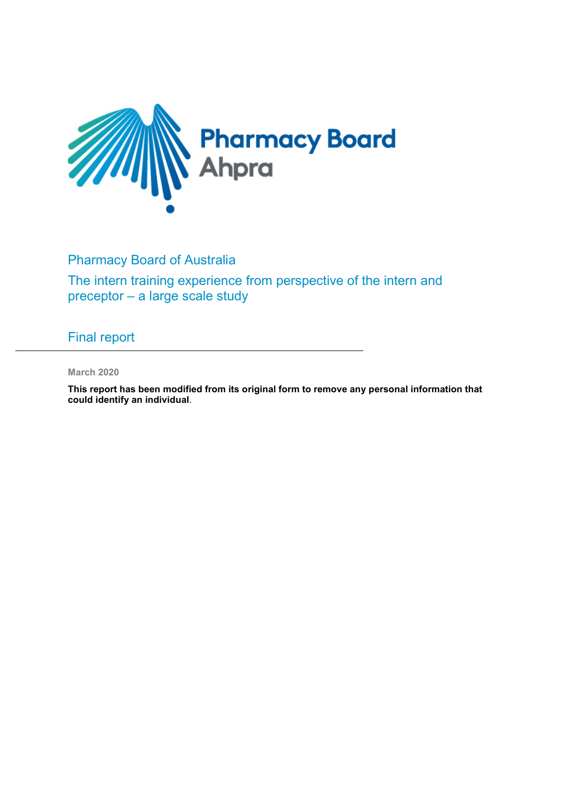

Pharmacy Board of Australia

The intern training experience from perspective of the intern and preceptor – a large scale study

Final report

**March 2020**

**This report has been modified from its original form to remove any personal information that could identify an individual**.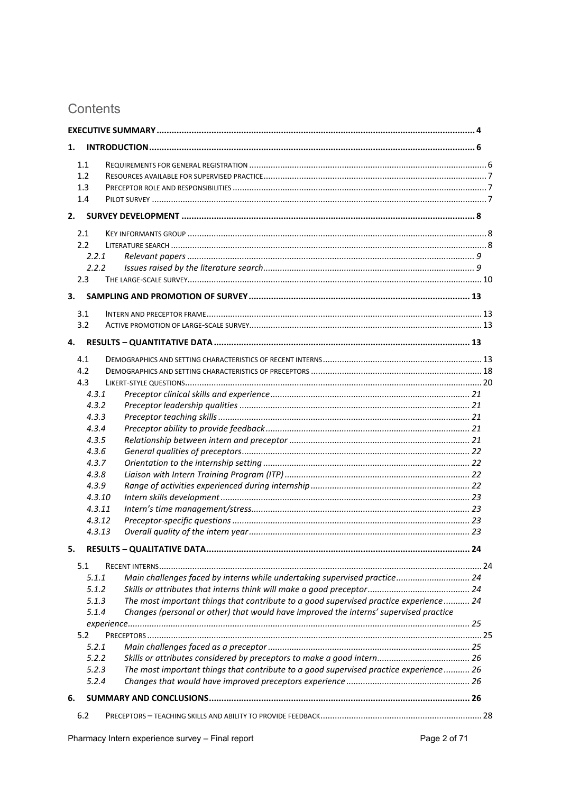# Contents

| 1.  |                                                                                                         |  |
|-----|---------------------------------------------------------------------------------------------------------|--|
| 1.1 |                                                                                                         |  |
| 1.2 |                                                                                                         |  |
| 1.3 |                                                                                                         |  |
| 1.4 |                                                                                                         |  |
| 2.  |                                                                                                         |  |
| 2.1 |                                                                                                         |  |
| 2.2 |                                                                                                         |  |
|     | 2.2.1                                                                                                   |  |
|     | 2.2.2                                                                                                   |  |
| 2.3 |                                                                                                         |  |
| 3.  |                                                                                                         |  |
| 3.1 |                                                                                                         |  |
| 3.2 |                                                                                                         |  |
| 4.  |                                                                                                         |  |
| 4.1 |                                                                                                         |  |
| 4.2 |                                                                                                         |  |
| 4.3 |                                                                                                         |  |
|     | 4.3.1                                                                                                   |  |
|     | 4.3.2                                                                                                   |  |
|     | 4.3.3                                                                                                   |  |
|     | 4.3.4                                                                                                   |  |
|     | 4.3.5                                                                                                   |  |
|     | 4.3.6                                                                                                   |  |
|     | 4.3.7                                                                                                   |  |
|     | 4.3.8                                                                                                   |  |
|     | 4.3.9                                                                                                   |  |
|     | 4.3.10<br>4.3.11                                                                                        |  |
|     | 4.3.12                                                                                                  |  |
|     | 4.3.13                                                                                                  |  |
|     |                                                                                                         |  |
| 5.  |                                                                                                         |  |
| 5.1 |                                                                                                         |  |
|     | 5.1.1<br>Main challenges faced by interns while undertaking supervised practice 24                      |  |
|     | 5.1.2<br>The most important things that contribute to a good supervised practice experience 24          |  |
|     | 5.1.3<br>Changes (personal or other) that would have improved the interns' supervised practice<br>5.1.4 |  |
|     |                                                                                                         |  |
| 5.2 |                                                                                                         |  |
|     | 5.2.1                                                                                                   |  |
|     | 5.2.2                                                                                                   |  |
|     | The most important things that contribute to a good supervised practice experience 26<br>5.2.3          |  |
|     | 5.2.4                                                                                                   |  |
| 6.  |                                                                                                         |  |
| 6.2 |                                                                                                         |  |
|     |                                                                                                         |  |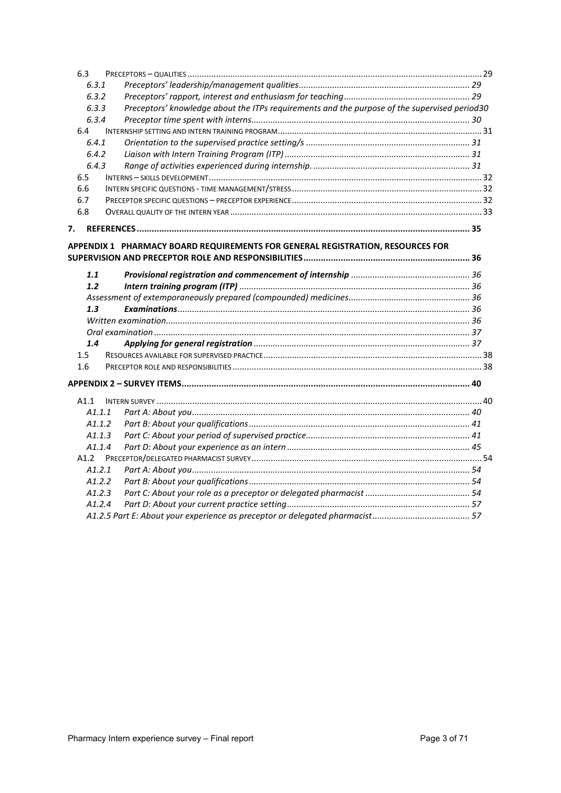| 6.3   |                                                                                              |  |
|-------|----------------------------------------------------------------------------------------------|--|
| 6.3.1 |                                                                                              |  |
| 6.3.2 |                                                                                              |  |
| 6.3.3 | Preceptors' knowledge about the ITPs requirements and the purpose of the supervised period30 |  |
| 6.3.4 |                                                                                              |  |
| 6.4   |                                                                                              |  |
| 6.4.1 |                                                                                              |  |
| 6.4.2 |                                                                                              |  |
| 6.4.3 |                                                                                              |  |
| 6.5   |                                                                                              |  |
| 6.6   |                                                                                              |  |
| 6.7   |                                                                                              |  |
| 6.8   |                                                                                              |  |
| 7.    |                                                                                              |  |
|       |                                                                                              |  |
|       | APPENDIX 1 PHARMACY BOARD REQUIREMENTS FOR GENERAL REGISTRATION, RESOURCES FOR               |  |
|       |                                                                                              |  |
| 1.1   |                                                                                              |  |
| 1.2   |                                                                                              |  |
|       |                                                                                              |  |
| 1.3   |                                                                                              |  |
|       |                                                                                              |  |
|       |                                                                                              |  |
| 1.4   |                                                                                              |  |
| 1.5   |                                                                                              |  |
| 1.6   |                                                                                              |  |
|       |                                                                                              |  |
| A1.1  |                                                                                              |  |
|       | A1.1.1                                                                                       |  |
|       | A1.1.2                                                                                       |  |
|       | A1.1.3                                                                                       |  |
|       | A1.1.4                                                                                       |  |
| A1.2  |                                                                                              |  |
|       | A1.2.1                                                                                       |  |
|       | A1.2.2                                                                                       |  |
|       | A1.2.3                                                                                       |  |
|       | A1.2.4                                                                                       |  |
|       |                                                                                              |  |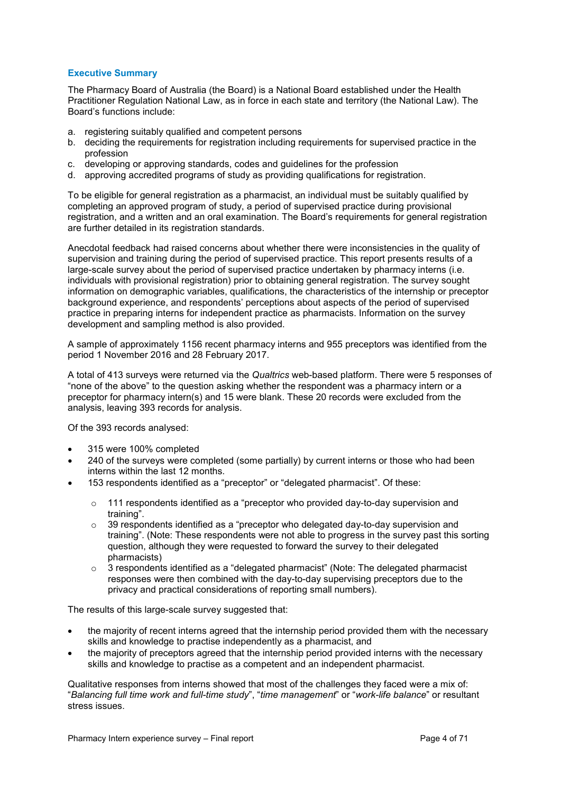## <span id="page-3-0"></span>**Executive Summary**

The Pharmacy Board of Australia (the Board) is a National Board established under the Health Practitioner Regulation National Law, as in force in each state and territory (the National Law). The Board's functions include:

- a. registering suitably qualified and competent persons
- b. deciding the requirements for registration including requirements for supervised practice in the profession
- c. developing or approving standards, codes and guidelines for the profession
- d. approving accredited programs of study as providing qualifications for registration.

To be eligible for general registration as a pharmacist, an individual must be suitably qualified by completing an approved program of study, a period of supervised practice during provisional registration, and a written and an oral examination. The Board's requirements for general registration are further detailed in its registration standards.

Anecdotal feedback had raised concerns about whether there were inconsistencies in the quality of supervision and training during the period of supervised practice. This report presents results of a large-scale survey about the period of supervised practice undertaken by pharmacy interns (i.e. individuals with provisional registration) prior to obtaining general registration. The survey sought information on demographic variables, qualifications, the characteristics of the internship or preceptor background experience, and respondents' perceptions about aspects of the period of supervised practice in preparing interns for independent practice as pharmacists. Information on the survey development and sampling method is also provided.

A sample of approximately 1156 recent pharmacy interns and 955 preceptors was identified from the period 1 November 2016 and 28 February 2017.

A total of 413 surveys were returned via the *Qualtrics* web-based platform. There were 5 responses of "none of the above" to the question asking whether the respondent was a pharmacy intern or a preceptor for pharmacy intern(s) and 15 were blank. These 20 records were excluded from the analysis, leaving 393 records for analysis.

Of the 393 records analysed:

- 315 were 100% completed
- 240 of the surveys were completed (some partially) by current interns or those who had been interns within the last 12 months.
- 153 respondents identified as a "preceptor" or "delegated pharmacist". Of these:
	- $\circ$  111 respondents identified as a "preceptor who provided day-to-day supervision and training".
	- $\circ$  39 respondents identified as a "preceptor who delegated day-to-day supervision and training". (Note: These respondents were not able to progress in the survey past this sorting question, although they were requested to forward the survey to their delegated pharmacists)
	- $\circ$  3 respondents identified as a "delegated pharmacist" (Note: The delegated pharmacist responses were then combined with the day-to-day supervising preceptors due to the privacy and practical considerations of reporting small numbers).

The results of this large-scale survey suggested that:

- the majority of recent interns agreed that the internship period provided them with the necessary skills and knowledge to practise independently as a pharmacist, and
- the majority of preceptors agreed that the internship period provided interns with the necessary skills and knowledge to practise as a competent and an independent pharmacist.

Qualitative responses from interns showed that most of the challenges they faced were a mix of: "*Balancing full time work and full-time study*", "*time management*" or "*work-life balance*" or resultant stress issues.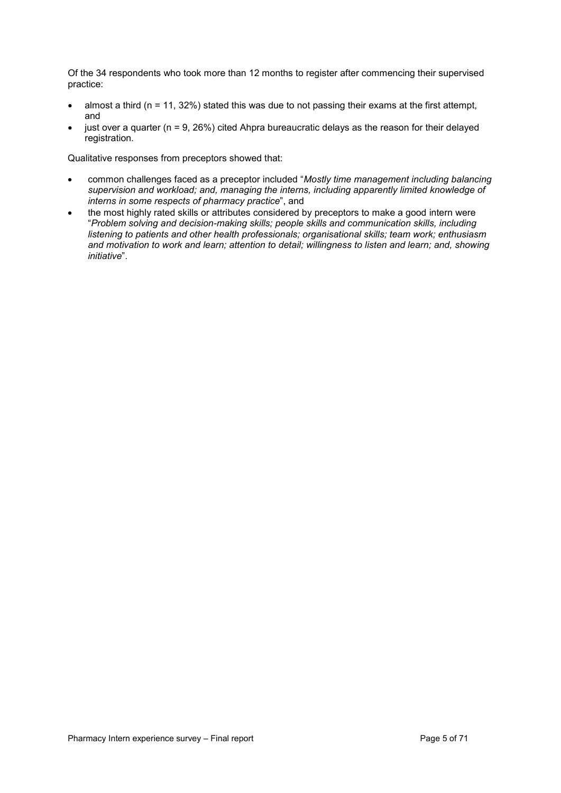Of the 34 respondents who took more than 12 months to register after commencing their supervised practice:

- almost a third ( $n = 11, 32\%$ ) stated this was due to not passing their exams at the first attempt, and
- just over a quarter ( $n = 9$ , 26%) cited Ahpra bureaucratic delays as the reason for their delayed registration.

Qualitative responses from preceptors showed that:

- common challenges faced as a preceptor included "*Mostly time management including balancing supervision and workload; and, managing the interns, including apparently limited knowledge of interns in some respects of pharmacy practice*", and
- the most highly rated skills or attributes considered by preceptors to make a good intern were "*Problem solving and decision-making skills; people skills and communication skills, including listening to patients and other health professionals; organisational skills; team work; enthusiasm and motivation to work and learn; attention to detail; willingness to listen and learn; and, showing initiative*".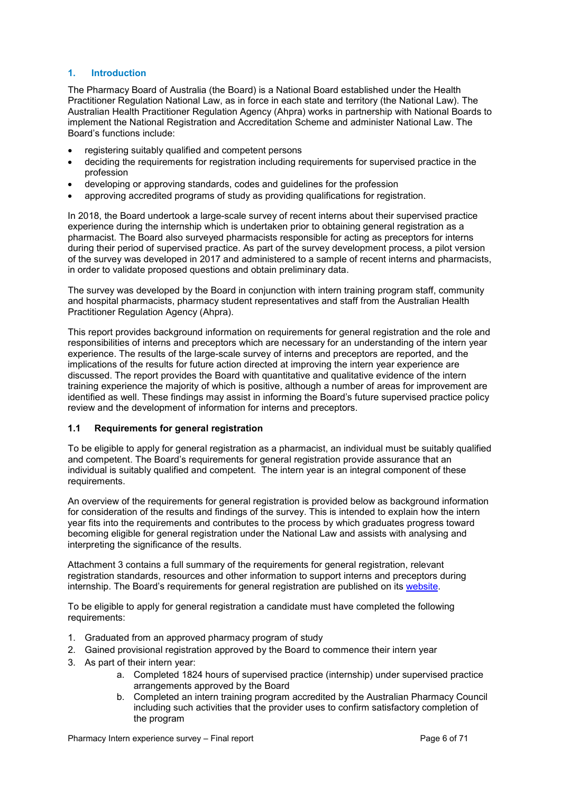## <span id="page-5-0"></span>**1. Introduction**

The Pharmacy Board of Australia (the Board) is a National Board established under the Health Practitioner Regulation National Law, as in force in each state and territory (the National Law). The Australian Health Practitioner Regulation Agency (Ahpra) works in partnership with National Boards to implement the National Registration and Accreditation Scheme and administer National Law. The Board's functions include:

- registering suitably qualified and competent persons
- deciding the requirements for registration including requirements for supervised practice in the profession
- developing or approving standards, codes and guidelines for the profession
- approving accredited programs of study as providing qualifications for registration.

In 2018, the Board undertook a large-scale survey of recent interns about their supervised practice experience during the internship which is undertaken prior to obtaining general registration as a pharmacist. The Board also surveyed pharmacists responsible for acting as preceptors for interns during their period of supervised practice. As part of the survey development process, a pilot version of the survey was developed in 2017 and administered to a sample of recent interns and pharmacists, in order to validate proposed questions and obtain preliminary data.

The survey was developed by the Board in conjunction with intern training program staff, community and hospital pharmacists, pharmacy student representatives and staff from the Australian Health Practitioner Regulation Agency (Ahpra).

This report provides background information on requirements for general registration and the role and responsibilities of interns and preceptors which are necessary for an understanding of the intern year experience. The results of the large-scale survey of interns and preceptors are reported, and the implications of the results for future action directed at improving the intern year experience are discussed. The report provides the Board with quantitative and qualitative evidence of the intern training experience the majority of which is positive, although a number of areas for improvement are identified as well. These findings may assist in informing the Board's future supervised practice policy review and the development of information for interns and preceptors.

## <span id="page-5-1"></span>**1.1 Requirements for general registration**

To be eligible to apply for general registration as a pharmacist, an individual must be suitably qualified and competent. The Board's requirements for general registration provide assurance that an individual is suitably qualified and competent. The intern year is an integral component of these requirements.

An overview of the requirements for general registration is provided below as background information for consideration of the results and findings of the survey. This is intended to explain how the intern year fits into the requirements and contributes to the process by which graduates progress toward becoming eligible for general registration under the National Law and assists with analysing and interpreting the significance of the results.

Attachment 3 contains a full summary of the requirements for general registration, relevant registration standards, resources and other information to support interns and preceptors during internship. The Board's requirements for general registration are published on its [website.](https://www.pharmacyboard.gov.au/)

To be eligible to apply for general registration a candidate must have completed the following requirements:

- 1. Graduated from an approved pharmacy program of study
- 2. Gained provisional registration approved by the Board to commence their intern year
- 3. As part of their intern year:
	- a. Completed 1824 hours of supervised practice (internship) under supervised practice arrangements approved by the Board
	- b. Completed an intern training program accredited by the Australian Pharmacy Council including such activities that the provider uses to confirm satisfactory completion of the program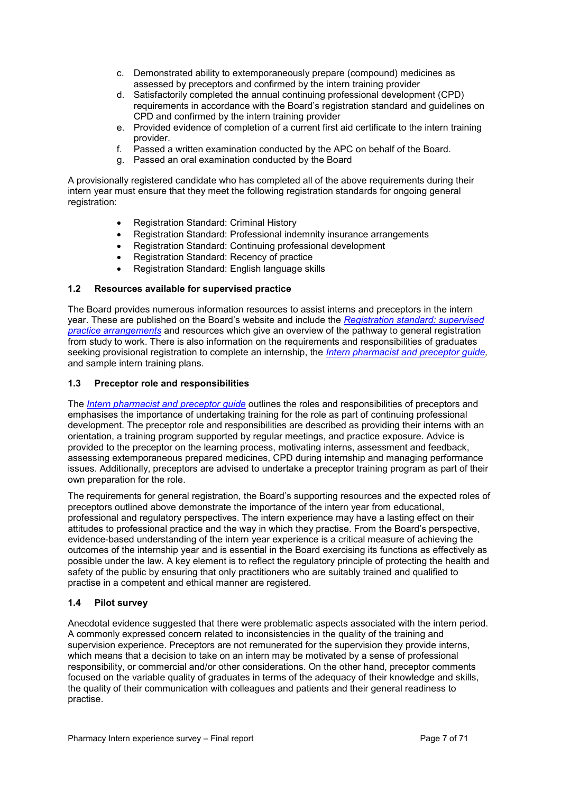- c. Demonstrated ability to extemporaneously prepare (compound) medicines as assessed by preceptors and confirmed by the intern training provider
- d. Satisfactorily completed the annual continuing professional development (CPD) requirements in accordance with the Board's registration standard and guidelines on CPD and confirmed by the intern training provider
- e. Provided evidence of completion of a current first aid certificate to the intern training provider.
- f. Passed a written examination conducted by the APC on behalf of the Board.
- g. Passed an oral examination conducted by the Board

A provisionally registered candidate who has completed all of the above requirements during their intern year must ensure that they meet the following registration standards for ongoing general registration:

- Registration Standard: Criminal History
- Registration Standard: Professional indemnity insurance arrangements
- Registration Standard: Continuing professional development
- Registration Standard: Recency of practice
- Registration Standard: English language skills

## <span id="page-6-0"></span>**1.2 Resources available for supervised practice**

The Board provides numerous information resources to assist interns and preceptors in the intern year. These are published on the Board's website and include the *[Registration standard: supervised](https://www.pharmacyboard.gov.au/Registration-Standards.aspx)  [practice arrangements](https://www.pharmacyboard.gov.au/Registration-Standards.aspx)* and resources which give an overview of the pathway to general registration from study to work. There is also information on the requirements and responsibilities of graduates seeking provisional registration to complete an internship, the *[Intern pharmacist and preceptor guide,](https://www.pharmacyboard.gov.au/Registration/Internships.aspx)*  and sample intern training plans.

#### <span id="page-6-1"></span>**1.3 Preceptor role and responsibilities**

The *[Intern pharmacist and preceptor guide](https://www.pharmacyboard.gov.au/Registration/Internships.aspx)* outlines the roles and responsibilities of preceptors and emphasises the importance of undertaking training for the role as part of continuing professional development. The preceptor role and responsibilities are described as providing their interns with an orientation, a training program supported by regular meetings, and practice exposure. Advice is provided to the preceptor on the learning process, motivating interns, assessment and feedback, assessing extemporaneous prepared medicines, CPD during internship and managing performance issues. Additionally, preceptors are advised to undertake a preceptor training program as part of their own preparation for the role.

The requirements for general registration, the Board's supporting resources and the expected roles of preceptors outlined above demonstrate the importance of the intern year from educational, professional and regulatory perspectives. The intern experience may have a lasting effect on their attitudes to professional practice and the way in which they practise. From the Board's perspective, evidence-based understanding of the intern year experience is a critical measure of achieving the outcomes of the internship year and is essential in the Board exercising its functions as effectively as possible under the law. A key element is to reflect the regulatory principle of protecting the health and safety of the public by ensuring that only practitioners who are suitably trained and qualified to practise in a competent and ethical manner are registered.

## <span id="page-6-2"></span>**1.4 Pilot survey**

Anecdotal evidence suggested that there were problematic aspects associated with the intern period. A commonly expressed concern related to inconsistencies in the quality of the training and supervision experience. Preceptors are not remunerated for the supervision they provide interns, which means that a decision to take on an intern may be motivated by a sense of professional responsibility, or commercial and/or other considerations. On the other hand, preceptor comments focused on the variable quality of graduates in terms of the adequacy of their knowledge and skills, the quality of their communication with colleagues and patients and their general readiness to practise.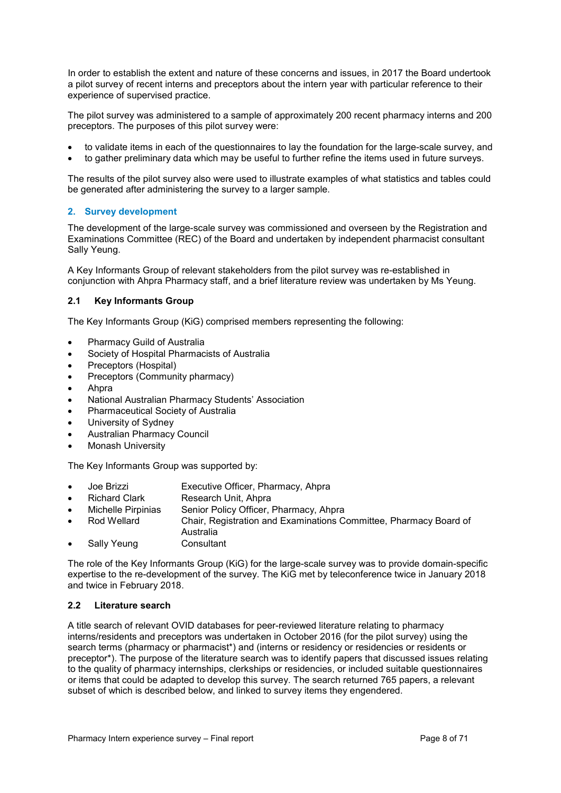In order to establish the extent and nature of these concerns and issues, in 2017 the Board undertook a pilot survey of recent interns and preceptors about the intern year with particular reference to their experience of supervised practice.

The pilot survey was administered to a sample of approximately 200 recent pharmacy interns and 200 preceptors. The purposes of this pilot survey were:

- to validate items in each of the questionnaires to lay the foundation for the large-scale survey, and
- to gather preliminary data which may be useful to further refine the items used in future surveys.

The results of the pilot survey also were used to illustrate examples of what statistics and tables could be generated after administering the survey to a larger sample.

#### <span id="page-7-0"></span>**2. Survey development**

The development of the large-scale survey was commissioned and overseen by the Registration and Examinations Committee (REC) of the Board and undertaken by independent pharmacist consultant Sally Yeung.

A Key Informants Group of relevant stakeholders from the pilot survey was re-established in conjunction with Ahpra Pharmacy staff, and a brief literature review was undertaken by Ms Yeung.

#### <span id="page-7-1"></span>**2.1 Key Informants Group**

The Key Informants Group (KiG) comprised members representing the following:

- Pharmacy Guild of Australia
- Society of Hospital Pharmacists of Australia
- Preceptors (Hospital)
- Preceptors (Community pharmacy)
- Ahpra
- National Australian Pharmacy Students' Association
- Pharmaceutical Society of Australia
- University of Sydney
- Australian Pharmacy Council
- Monash University

The Key Informants Group was supported by:

- Joe Brizzi Executive Officer, Pharmacy, Ahpra
- **Richard Clark Research Unit, Ahpra<br>
Michelle Pirpinias Senior Policy Officer.**
- Senior Policy Officer, Pharmacy, Ahpra
- Rod Wellard Chair, Registration and Examinations Committee, Pharmacy Board of Australia<br>Consultant
- Sally Yeung

The role of the Key Informants Group (KiG) for the large-scale survey was to provide domain-specific expertise to the re-development of the survey. The KiG met by teleconference twice in January 2018 and twice in February 2018.

#### <span id="page-7-2"></span>**2.2 Literature search**

A title search of relevant OVID databases for peer-reviewed literature relating to pharmacy interns/residents and preceptors was undertaken in October 2016 (for the pilot survey) using the search terms (pharmacy or pharmacist\*) and (interns or residency or residencies or residents or preceptor\*). The purpose of the literature search was to identify papers that discussed issues relating to the quality of pharmacy internships, clerkships or residencies, or included suitable questionnaires or items that could be adapted to develop this survey. The search returned 765 papers, a relevant subset of which is described below, and linked to survey items they engendered.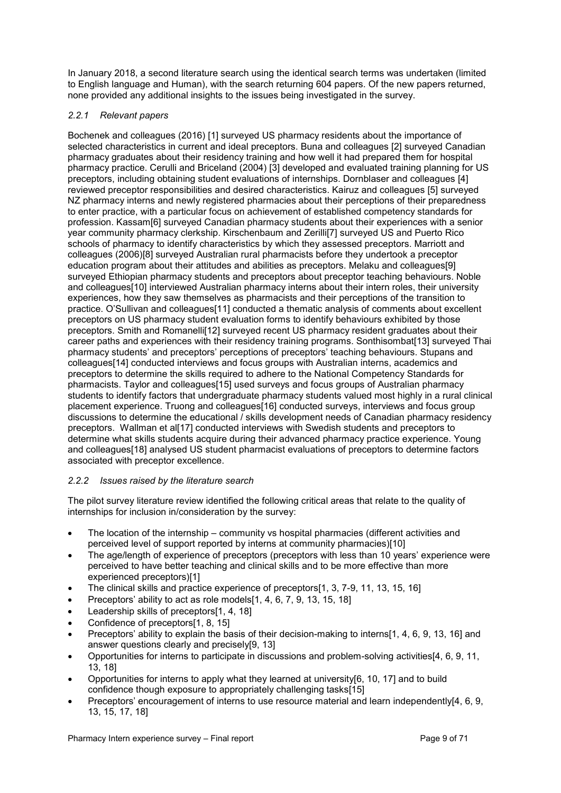<span id="page-8-0"></span>In January 2018, a second literature search using the identical search terms was undertaken (limited to English language and Human), with the search returning 604 papers. Of the new papers returned, none provided any additional insights to the issues being investigated in the survey.

## *2.2.1 Relevant papers*

Bochenek and colleagues (2016) [1] surveyed US pharmacy residents about the importance of selected characteristics in current and ideal preceptors. Buna and colleagues [2] surveyed Canadian pharmacy graduates about their residency training and how well it had prepared them for hospital pharmacy practice. Cerulli and Briceland (2004) [3] developed and evaluated training planning for US preceptors, including obtaining student evaluations of internships. Dornblaser and colleagues [4] reviewed preceptor responsibilities and desired characteristics. Kairuz and colleagues [5] surveyed NZ pharmacy interns and newly registered pharmacies about their perceptions of their preparedness to enter practice, with a particular focus on achievement of established competency standards for profession. Kassam[6] surveyed Canadian pharmacy students about their experiences with a senior year community pharmacy clerkship. Kirschenbaum and Zerilli[7] surveyed US and Puerto Rico schools of pharmacy to identify characteristics by which they assessed preceptors. Marriott and colleagues (2006)[8] surveyed Australian rural pharmacists before they undertook a preceptor education program about their attitudes and abilities as preceptors. Melaku and colleagues[9] surveyed Ethiopian pharmacy students and preceptors about preceptor teaching behaviours. Noble and colleagues[10] interviewed Australian pharmacy interns about their intern roles, their university experiences, how they saw themselves as pharmacists and their perceptions of the transition to practice. O'Sullivan and colleagues[11] conducted a thematic analysis of comments about excellent preceptors on US pharmacy student evaluation forms to identify behaviours exhibited by those preceptors. Smith and Romanelli[12] surveyed recent US pharmacy resident graduates about their career paths and experiences with their residency training programs. Sonthisombat[13] surveyed Thai pharmacy students' and preceptors' perceptions of preceptors' teaching behaviours. Stupans and colleagues[14] conducted interviews and focus groups with Australian interns, academics and preceptors to determine the skills required to adhere to the National Competency Standards for pharmacists. Taylor and colleagues[15] used surveys and focus groups of Australian pharmacy students to identify factors that undergraduate pharmacy students valued most highly in a rural clinical placement experience. Truong and colleagues[16] conducted surveys, interviews and focus group discussions to determine the educational / skills development needs of Canadian pharmacy residency preceptors. Wallman et al[17] conducted interviews with Swedish students and preceptors to determine what skills students acquire during their advanced pharmacy practice experience. Young and colleagues[18] analysed US student pharmacist evaluations of preceptors to determine factors associated with preceptor excellence.

## <span id="page-8-1"></span>*2.2.2 Issues raised by the literature search*

The pilot survey literature review identified the following critical areas that relate to the quality of internships for inclusion in/consideration by the survey:

- The location of the internship community vs hospital pharmacies (different activities and perceived level of support reported by interns at community pharmacies)[10]
- The age/length of experience of preceptors (preceptors with less than 10 years' experience were perceived to have better teaching and clinical skills and to be more effective than more experienced preceptors)[1]
- The clinical skills and practice experience of preceptors[1, 3, 7-9, 11, 13, 15, 16]
- Preceptors' ability to act as role models[1, 4, 6, 7, 9, 13, 15, 18]
- Leadership skills of preceptors[1, 4, 18]
- Confidence of preceptors[1, 8, 15]
- Preceptors' ability to explain the basis of their decision-making to interns[1, 4, 6, 9, 13, 16] and answer questions clearly and precisely[9, 13]
- Opportunities for interns to participate in discussions and problem-solving activities[4, 6, 9, 11, 13, 18]
- Opportunities for interns to apply what they learned at university[6, 10, 17] and to build confidence though exposure to appropriately challenging tasks[15]
- Preceptors' encouragement of interns to use resource material and learn independently[4, 6, 9, 13, 15, 17, 18]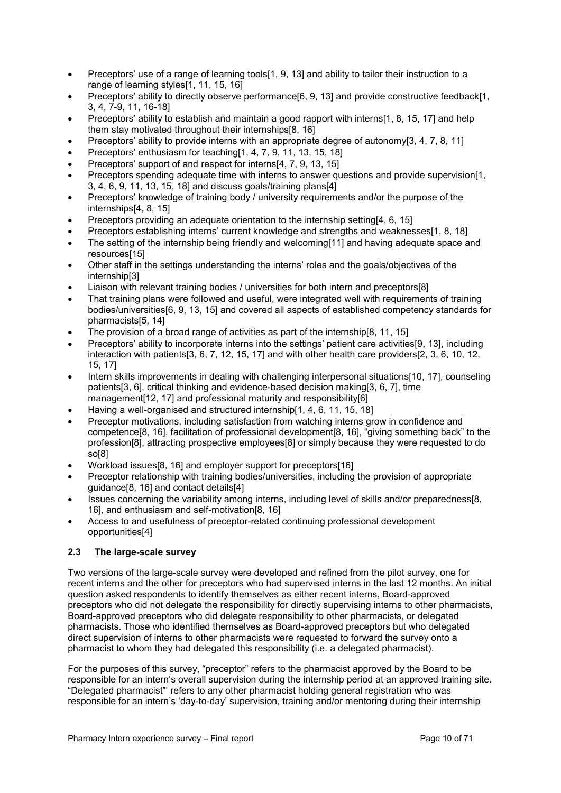- Preceptors' use of a range of learning tools[1, 9, 13] and ability to tailor their instruction to a range of learning styles[1, 11, 15, 16]
- Preceptors' ability to directly observe performance[6, 9, 13] and provide constructive feedback[1, 3, 4, 7-9, 11, 16-18]
- Preceptors' ability to establish and maintain a good rapport with interns[1, 8, 15, 17] and help them stay motivated throughout their internships[8, 16]
- Preceptors' ability to provide interns with an appropriate degree of autonomy[3, 4, 7, 8, 11]
- Preceptors' enthusiasm for teaching[1, 4, 7, 9, 11, 13, 15, 18]
- Preceptors' support of and respect for interns[4, 7, 9, 13, 15]
- Preceptors spending adequate time with interns to answer questions and provide supervision[1, 3, 4, 6, 9, 11, 13, 15, 18] and discuss goals/training plans[4]
- Preceptors' knowledge of training body / university requirements and/or the purpose of the internships[4, 8, 15]
- Preceptors providing an adequate orientation to the internship setting[4, 6, 15]
- Preceptors establishing interns' current knowledge and strengths and weaknesses[1, 8, 18]
- The setting of the internship being friendly and welcoming[11] and having adequate space and resources[15]
- Other staff in the settings understanding the interns' roles and the goals/objectives of the internship[3]
- Liaison with relevant training bodies / universities for both intern and preceptors[8]
- That training plans were followed and useful, were integrated well with requirements of training bodies/universities[6, 9, 13, 15] and covered all aspects of established competency standards for pharmacists[5, 14]
- The provision of a broad range of activities as part of the internship [8, 11, 15]
- Preceptors' ability to incorporate interns into the settings' patient care activities[9, 13], including interaction with patients[3, 6, 7, 12, 15, 17] and with other health care providers[2, 3, 6, 10, 12, 15, 17]
- Intern skills improvements in dealing with challenging interpersonal situations[10, 17], counseling patients[3, 6], critical thinking and evidence-based decision making[3, 6, 7], time management[12, 17] and professional maturity and responsibility[6]
- Having a well-organised and structured internship[1, 4, 6, 11, 15, 18]
- Preceptor motivations, including satisfaction from watching interns grow in confidence and competence[8, 16], facilitation of professional development[8, 16], "giving something back" to the profession[8], attracting prospective employees[8] or simply because they were requested to do so[8]
- Workload issues[8, 16] and employer support for preceptors[16]
- Preceptor relationship with training bodies/universities, including the provision of appropriate guidance[8, 16] and contact details[4]
- Issues concerning the variability among interns, including level of skills and/or preparedness[8, 16], and enthusiasm and self-motivation[8, 16]
- Access to and usefulness of preceptor-related continuing professional development opportunities[4]

## <span id="page-9-0"></span>**2.3 The large-scale survey**

Two versions of the large-scale survey were developed and refined from the pilot survey, one for recent interns and the other for preceptors who had supervised interns in the last 12 months. An initial question asked respondents to identify themselves as either recent interns, Board-approved preceptors who did not delegate the responsibility for directly supervising interns to other pharmacists, Board-approved preceptors who did delegate responsibility to other pharmacists, or delegated pharmacists. Those who identified themselves as Board-approved preceptors but who delegated direct supervision of interns to other pharmacists were requested to forward the survey onto a pharmacist to whom they had delegated this responsibility (i.e. a delegated pharmacist).

For the purposes of this survey, "preceptor" refers to the pharmacist approved by the Board to be responsible for an intern's overall supervision during the internship period at an approved training site. "Delegated pharmacist"' refers to any other pharmacist holding general registration who was responsible for an intern's 'day-to-day' supervision, training and/or mentoring during their internship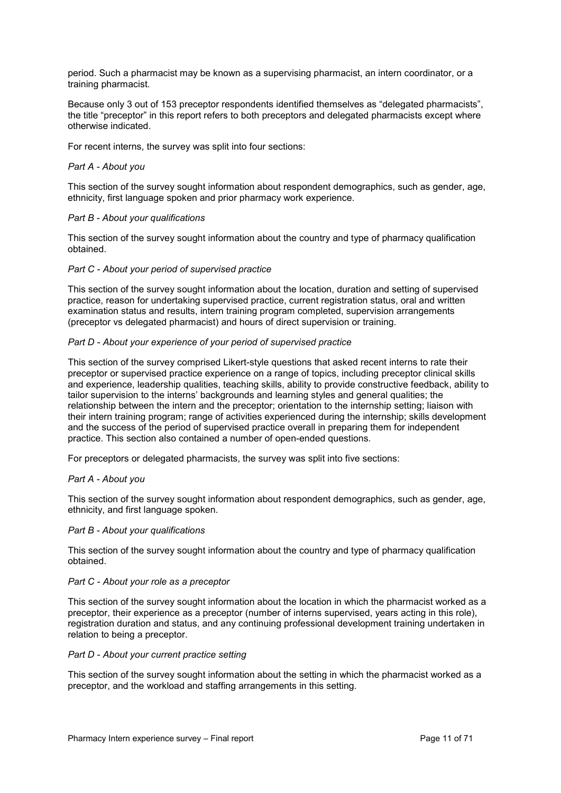period. Such a pharmacist may be known as a supervising pharmacist, an intern coordinator, or a training pharmacist.

Because only 3 out of 153 preceptor respondents identified themselves as "delegated pharmacists", the title "preceptor" in this report refers to both preceptors and delegated pharmacists except where otherwise indicated.

For recent interns, the survey was split into four sections:

#### *Part A - About you*

This section of the survey sought information about respondent demographics, such as gender, age, ethnicity, first language spoken and prior pharmacy work experience.

#### *Part B - About your qualifications*

This section of the survey sought information about the country and type of pharmacy qualification obtained.

#### *Part C - About your period of supervised practice*

This section of the survey sought information about the location, duration and setting of supervised practice, reason for undertaking supervised practice, current registration status, oral and written examination status and results, intern training program completed, supervision arrangements (preceptor vs delegated pharmacist) and hours of direct supervision or training.

#### *Part D - About your experience of your period of supervised practice*

This section of the survey comprised Likert-style questions that asked recent interns to rate their preceptor or supervised practice experience on a range of topics, including preceptor clinical skills and experience, leadership qualities, teaching skills, ability to provide constructive feedback, ability to tailor supervision to the interns' backgrounds and learning styles and general qualities; the relationship between the intern and the preceptor; orientation to the internship setting; liaison with their intern training program; range of activities experienced during the internship; skills development and the success of the period of supervised practice overall in preparing them for independent practice. This section also contained a number of open-ended questions.

For preceptors or delegated pharmacists, the survey was split into five sections:

#### *Part A - About you*

This section of the survey sought information about respondent demographics, such as gender, age, ethnicity, and first language spoken.

#### *Part B - About your qualifications*

This section of the survey sought information about the country and type of pharmacy qualification obtained.

#### *Part C - About your role as a preceptor*

This section of the survey sought information about the location in which the pharmacist worked as a preceptor, their experience as a preceptor (number of interns supervised, years acting in this role), registration duration and status, and any continuing professional development training undertaken in relation to being a preceptor.

#### *Part D - About your current practice setting*

This section of the survey sought information about the setting in which the pharmacist worked as a preceptor, and the workload and staffing arrangements in this setting.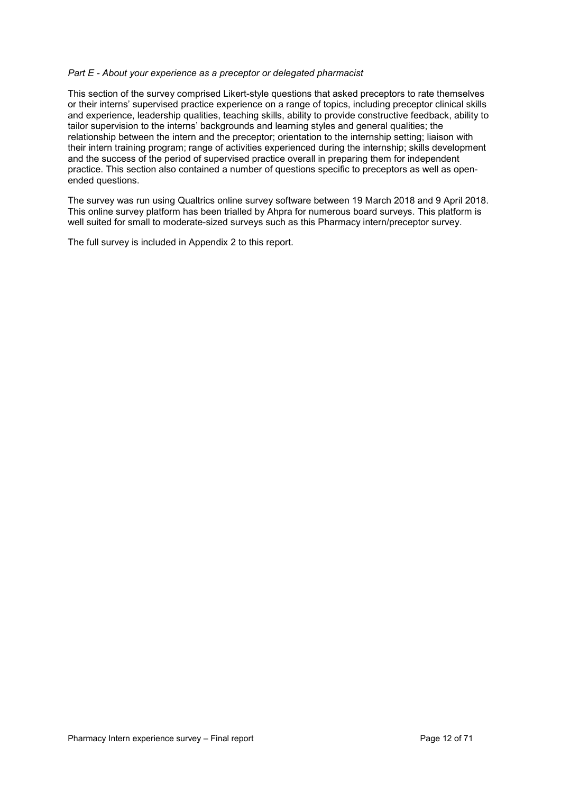#### *Part E - About your experience as a preceptor or delegated pharmacist*

This section of the survey comprised Likert-style questions that asked preceptors to rate themselves or their interns' supervised practice experience on a range of topics, including preceptor clinical skills and experience, leadership qualities, teaching skills, ability to provide constructive feedback, ability to tailor supervision to the interns' backgrounds and learning styles and general qualities; the relationship between the intern and the preceptor; orientation to the internship setting; liaison with their intern training program; range of activities experienced during the internship; skills development and the success of the period of supervised practice overall in preparing them for independent practice. This section also contained a number of questions specific to preceptors as well as openended questions.

The survey was run using Qualtrics online survey software between 19 March 2018 and 9 April 2018. This online survey platform has been trialled by Ahpra for numerous board surveys. This platform is well suited for small to moderate-sized surveys such as this Pharmacy intern/preceptor survey.

The full survey is included in Appendix 2 to this report.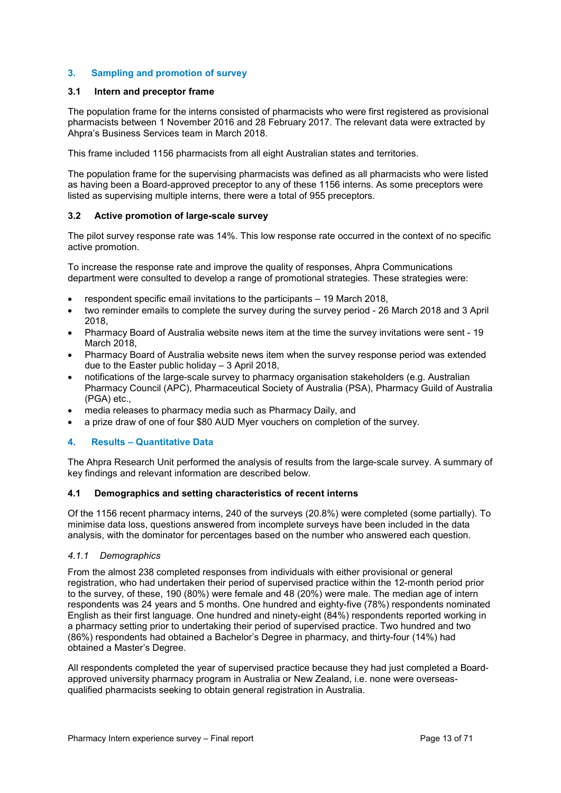## <span id="page-12-0"></span>**3. Sampling and promotion of survey**

## <span id="page-12-1"></span>**3.1 Intern and preceptor frame**

The population frame for the interns consisted of pharmacists who were first registered as provisional pharmacists between 1 November 2016 and 28 February 2017. The relevant data were extracted by Ahpra's Business Services team in March 2018.

This frame included 1156 pharmacists from all eight Australian states and territories.

The population frame for the supervising pharmacists was defined as all pharmacists who were listed as having been a Board-approved preceptor to any of these 1156 interns. As some preceptors were listed as supervising multiple interns, there were a total of 955 preceptors.

#### <span id="page-12-2"></span>**3.2 Active promotion of large-scale survey**

The pilot survey response rate was 14%. This low response rate occurred in the context of no specific active promotion.

To increase the response rate and improve the quality of responses, Ahpra Communications department were consulted to develop a range of promotional strategies. These strategies were:

- respondent specific email invitations to the participants 19 March 2018,
- two reminder emails to complete the survey during the survey period 26 March 2018 and 3 April 2018,
- Pharmacy Board of Australia website news item at the time the survey invitations were sent 19 March 2018,
- Pharmacy Board of Australia website news item when the survey response period was extended due to the Easter public holiday – 3 April 2018,
- notifications of the large-scale survey to pharmacy organisation stakeholders (e.g. Australian Pharmacy Council (APC), Pharmaceutical Society of Australia (PSA), Pharmacy Guild of Australia (PGA) etc.,
- media releases to pharmacy media such as Pharmacy Daily, and
- a prize draw of one of four \$80 AUD Myer vouchers on completion of the survey.

## <span id="page-12-3"></span>**4. Results – Quantitative Data**

The Ahpra Research Unit performed the analysis of results from the large-scale survey. A summary of key findings and relevant information are described below.

## <span id="page-12-4"></span>**4.1 Demographics and setting characteristics of recent interns**

Of the 1156 recent pharmacy interns, 240 of the surveys (20.8%) were completed (some partially). To minimise data loss, questions answered from incomplete surveys have been included in the data analysis, with the dominator for percentages based on the number who answered each question.

#### *4.1.1 Demographics*

From the almost 238 completed responses from individuals with either provisional or general registration, who had undertaken their period of supervised practice within the 12-month period prior to the survey, of these, 190 (80%) were female and 48 (20%) were male. The median age of intern respondents was 24 years and 5 months. One hundred and eighty-five (78%) respondents nominated English as their first language. One hundred and ninety-eight (84%) respondents reported working in a pharmacy setting prior to undertaking their period of supervised practice. Two hundred and two (86%) respondents had obtained a Bachelor's Degree in pharmacy, and thirty-four (14%) had obtained a Master's Degree.

All respondents completed the year of supervised practice because they had just completed a Boardapproved university pharmacy program in Australia or New Zealand, i.e. none were overseasqualified pharmacists seeking to obtain general registration in Australia.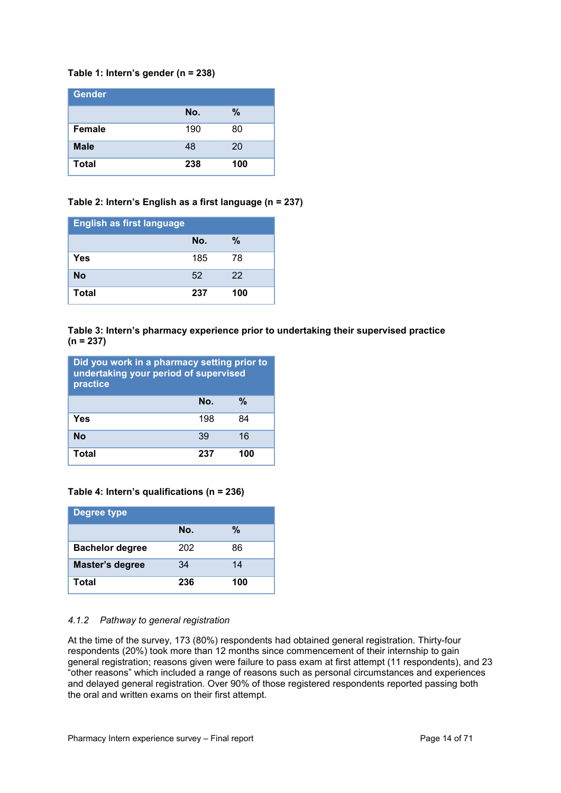## **Table 1: Intern's gender (n = 238)**

| <b>Gender</b> |     |     |
|---------------|-----|-----|
|               | No. | %   |
| <b>Female</b> | 190 | 80  |
| <b>Male</b>   | 48  | 20  |
| <b>Total</b>  | 238 | 100 |

## **Table 2: Intern's English as a first language (n = 237)**

| <b>English as first language</b> |     |     |
|----------------------------------|-----|-----|
|                                  | No. | %   |
| Yes                              | 185 | 78  |
| <b>No</b>                        | 52  | 22  |
| <b>Total</b>                     | 237 | 100 |

#### **Table 3: Intern's pharmacy experience prior to undertaking their supervised practice (n = 237)**

| Did you work in a pharmacy setting prior to<br>undertaking your period of supervised<br>practice |     |     |
|--------------------------------------------------------------------------------------------------|-----|-----|
|                                                                                                  | No. | %   |
| Yes                                                                                              | 198 | 84  |
| No                                                                                               | 39  | 16  |
| Total                                                                                            | 237 | 100 |

## **Table 4: Intern's qualifications (n = 236)**

| <b>Degree type</b>     |     |     |
|------------------------|-----|-----|
|                        | No. | %   |
| <b>Bachelor degree</b> | 202 | 86  |
| Master's degree        | 34  | 14  |
| Total                  | 236 | 100 |

## *4.1.2 Pathway to general registration*

At the time of the survey, 173 (80%) respondents had obtained general registration. Thirty-four respondents (20%) took more than 12 months since commencement of their internship to gain general registration; reasons given were failure to pass exam at first attempt (11 respondents), and 23 "other reasons" which included a range of reasons such as personal circumstances and experiences and delayed general registration. Over 90% of those registered respondents reported passing both the oral and written exams on their first attempt.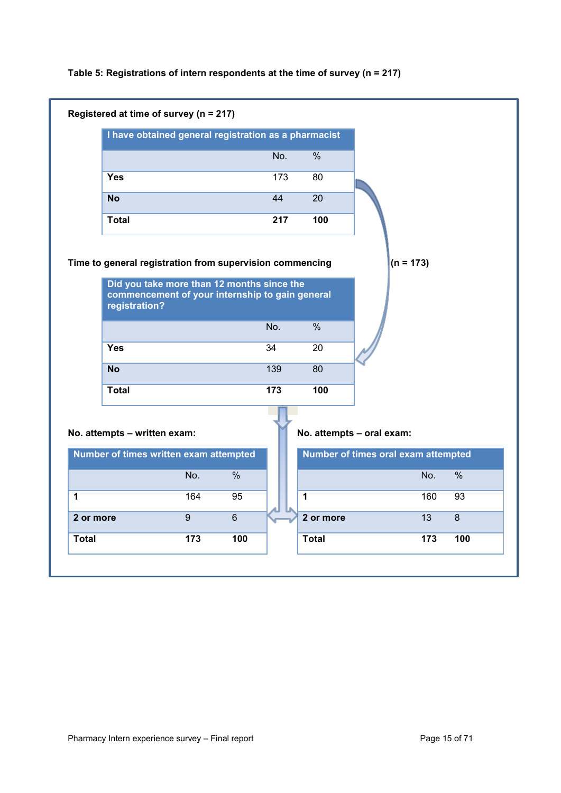|  | Table 5: Registrations of intern respondents at the time of survey ( $n = 217$ ) |  |  |  |  |
|--|----------------------------------------------------------------------------------|--|--|--|--|
|--|----------------------------------------------------------------------------------|--|--|--|--|

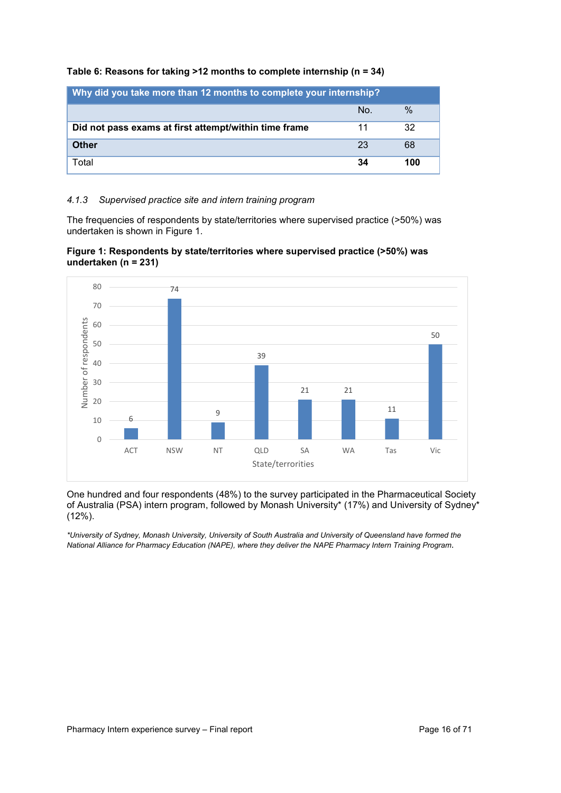| Why did you take more than 12 months to complete your internship? |     |               |  |  |
|-------------------------------------------------------------------|-----|---------------|--|--|
|                                                                   | No. | $\frac{0}{0}$ |  |  |
| Did not pass exams at first attempt/within time frame<br>32<br>11 |     |               |  |  |
| <b>Other</b>                                                      | 23  | 68            |  |  |
| Total                                                             | 34  | 100           |  |  |

### **Table 6: Reasons for taking >12 months to complete internship (n = 34)**

#### *4.1.3 Supervised practice site and intern training program*

The frequencies of respondents by state/territories where supervised practice (>50%) was undertaken is shown in Figure 1.





One hundred and four respondents (48%) to the survey participated in the Pharmaceutical Society of Australia (PSA) intern program, followed by Monash University\* (17%) and University of Sydney\* (12%).

*\*University of Sydney, Monash University, University of South Australia and University of Queensland have formed the National Alliance for Pharmacy Education (NAPE), where they deliver the NAPE Pharmacy Intern Training Program*.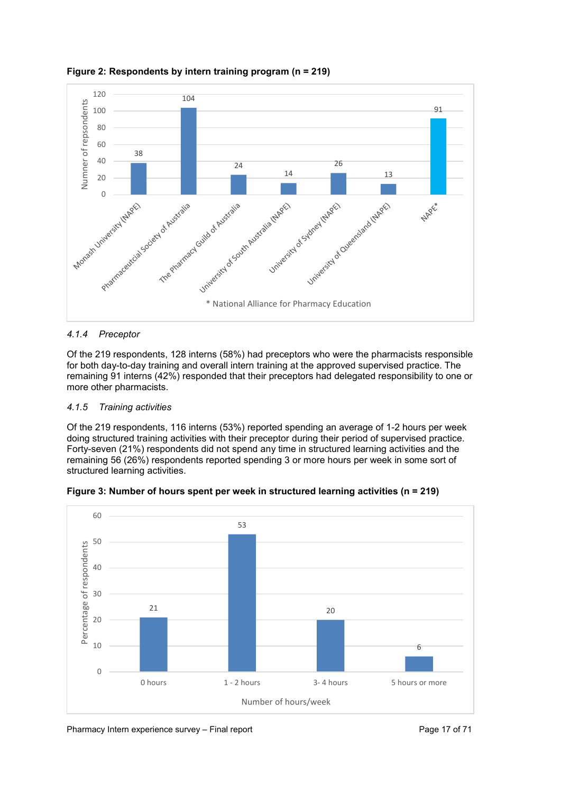

**Figure 2: Respondents by intern training program (n = 219)**

## *4.1.4 Preceptor*

Of the 219 respondents, 128 interns (58%) had preceptors who were the pharmacists responsible for both day-to-day training and overall intern training at the approved supervised practice. The remaining 91 interns (42%) responded that their preceptors had delegated responsibility to one or more other pharmacists.

## *4.1.5 Training activities*

Of the 219 respondents, 116 interns (53%) reported spending an average of 1-2 hours per week doing structured training activities with their preceptor during their period of supervised practice. Forty-seven (21%) respondents did not spend any time in structured learning activities and the remaining 56 (26%) respondents reported spending 3 or more hours per week in some sort of structured learning activities.



**Figure 3: Number of hours spent per week in structured learning activities (n = 219)**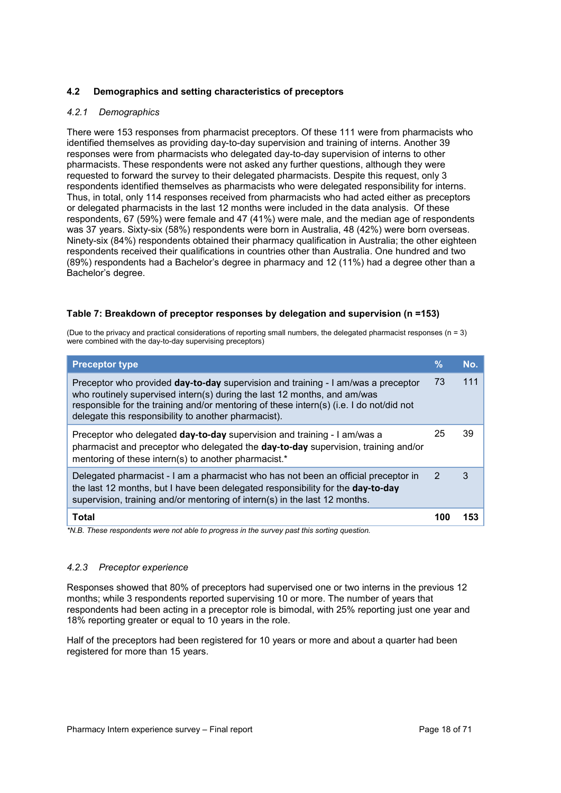## <span id="page-17-0"></span>**4.2 Demographics and setting characteristics of preceptors**

#### *4.2.1 Demographics*

There were 153 responses from pharmacist preceptors. Of these 111 were from pharmacists who identified themselves as providing day-to-day supervision and training of interns. Another 39 responses were from pharmacists who delegated day-to-day supervision of interns to other pharmacists. These respondents were not asked any further questions, although they were requested to forward the survey to their delegated pharmacists. Despite this request, only 3 respondents identified themselves as pharmacists who were delegated responsibility for interns. Thus, in total, only 114 responses received from pharmacists who had acted either as preceptors or delegated pharmacists in the last 12 months were included in the data analysis. Of these respondents, 67 (59%) were female and 47 (41%) were male, and the median age of respondents was 37 years. Sixty-six (58%) respondents were born in Australia, 48 (42%) were born overseas. Ninety-six (84%) respondents obtained their pharmacy qualification in Australia; the other eighteen respondents received their qualifications in countries other than Australia. One hundred and two (89%) respondents had a Bachelor's degree in pharmacy and 12 (11%) had a degree other than a Bachelor's degree.

#### **Table 7: Breakdown of preceptor responses by delegation and supervision (n =153)**

(Due to the privacy and practical considerations of reporting small numbers, the delegated pharmacist responses (n = 3) were combined with the day-to-day supervising preceptors)

| <b>Preceptor type</b>                                                                                                                                                                                                                                                                                            | $\frac{9}{6}$  | No. |
|------------------------------------------------------------------------------------------------------------------------------------------------------------------------------------------------------------------------------------------------------------------------------------------------------------------|----------------|-----|
| Preceptor who provided day-to-day supervision and training - I am/was a preceptor<br>who routinely supervised intern(s) during the last 12 months, and am/was<br>responsible for the training and/or mentoring of these intern(s) (i.e. I do not/did not<br>delegate this responsibility to another pharmacist). | 73             | 111 |
| Preceptor who delegated day-to-day supervision and training - I am/was a<br>pharmacist and preceptor who delegated the day-to-day supervision, training and/or<br>mentoring of these intern(s) to another pharmacist.*                                                                                           | 25             | 39  |
| Delegated pharmacist - I am a pharmacist who has not been an official preceptor in<br>the last 12 months, but I have been delegated responsibility for the day-to-day<br>supervision, training and/or mentoring of intern(s) in the last 12 months.                                                              | $\overline{2}$ | 3   |
| <b>Total</b>                                                                                                                                                                                                                                                                                                     |                | 153 |

*\*N.B. These respondents were not able to progress in the survey past this sorting question.*

## *4.2.3 Preceptor experience*

Responses showed that 80% of preceptors had supervised one or two interns in the previous 12 months; while 3 respondents reported supervising 10 or more. The number of years that respondents had been acting in a preceptor role is bimodal, with 25% reporting just one year and 18% reporting greater or equal to 10 years in the role.

Half of the preceptors had been registered for 10 years or more and about a quarter had been registered for more than 15 years.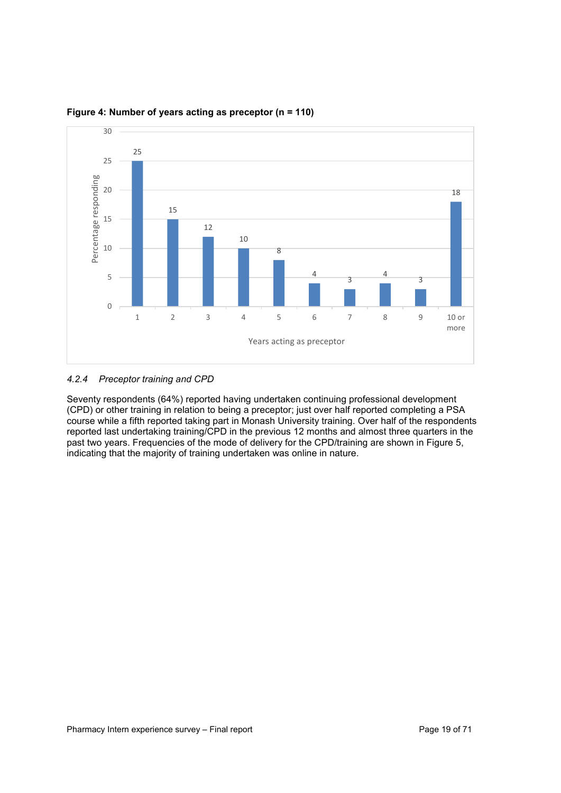

## **Figure 4: Number of years acting as preceptor (n = 110)**

## *4.2.4 Preceptor training and CPD*

Seventy respondents (64%) reported having undertaken continuing professional development (CPD) or other training in relation to being a preceptor; just over half reported completing a PSA course while a fifth reported taking part in Monash University training. Over half of the respondents reported last undertaking training/CPD in the previous 12 months and almost three quarters in the past two years. Frequencies of the mode of delivery for the CPD/training are shown in Figure 5, indicating that the majority of training undertaken was online in nature.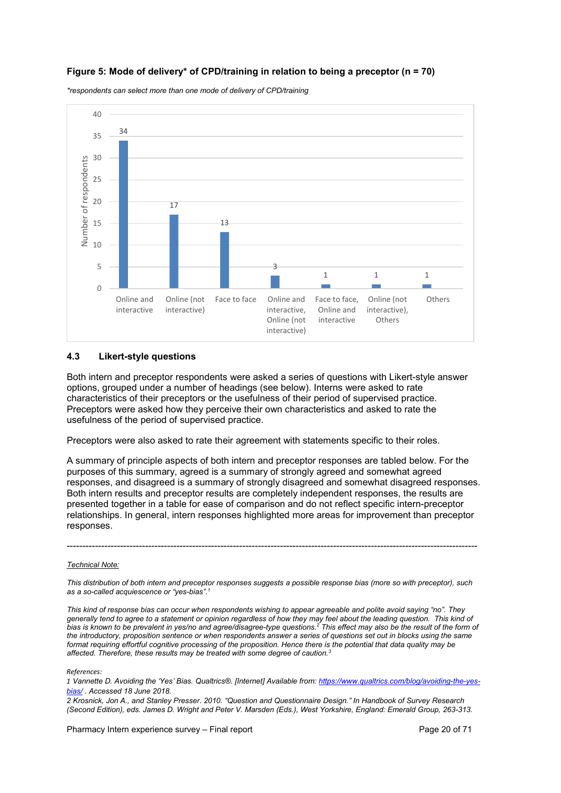## **Figure 5: Mode of delivery\* of CPD/training in relation to being a preceptor (n = 70)**

*\*respondents can select more than one mode of delivery of CPD/training*



#### <span id="page-19-0"></span>**4.3 Likert-style questions**

Both intern and preceptor respondents were asked a series of questions with Likert-style answer options, grouped under a number of headings (see below). Interns were asked to rate characteristics of their preceptors or the usefulness of their period of supervised practice. Preceptors were asked how they perceive their own characteristics and asked to rate the usefulness of the period of supervised practice.

Preceptors were also asked to rate their agreement with statements specific to their roles.

A summary of principle aspects of both intern and preceptor responses are tabled below. For the purposes of this summary, agreed is a summary of strongly agreed and somewhat agreed responses, and disagreed is a summary of strongly disagreed and somewhat disagreed responses. Both intern results and preceptor results are completely independent responses, the results are presented together in a table for ease of comparison and do not reflect specific intern-preceptor relationships. In general, intern responses highlighted more areas for improvement than preceptor responses.

#### *Technical Note:*

*This distribution of both intern and preceptor responses suggests a possible response bias (more so with preceptor), such as a so-called acquiescence or "yes-bias".1*

-----------------------------------------------------------------------------------------------------------------------------------

*This kind of response bias can occur when respondents wishing to appear agreeable and polite avoid saying "no". They*  generally tend to agree to a statement or opinion regardless of how they may feel about the leading question. This kind of *bias is known to be prevalent in yes/no and agree/disagree-type questions.2 This effect may also be the result of the form of the introductory, proposition sentence or when respondents answer a series of questions set out in blocks using the same format requiring effortful cognitive processing of the proposition. Hence there is the potential that data quality may be affected. Therefore, these results may be treated with some degree of caution.3* 

*References:*

*1 Vannette D. Avoiding the 'Yes' Bias. Qualtrics®. [Internet] Available from: [https://www.qualtrics.com/blog/avoiding-the-yes](https://www.qualtrics.com/blog/avoiding-the-yes-bias/)[bias/](https://www.qualtrics.com/blog/avoiding-the-yes-bias/) . Accessed 18 June 2018.* 

*2 Krosnick, Jon A., and Stanley Presser. 2010. "Question and Questionnaire Design." In Handbook of Survey Research (Second Edition), eds. James D. Wright and Peter V. Marsden (Eds.), West Yorkshire, England: Emerald Group, 263-313.*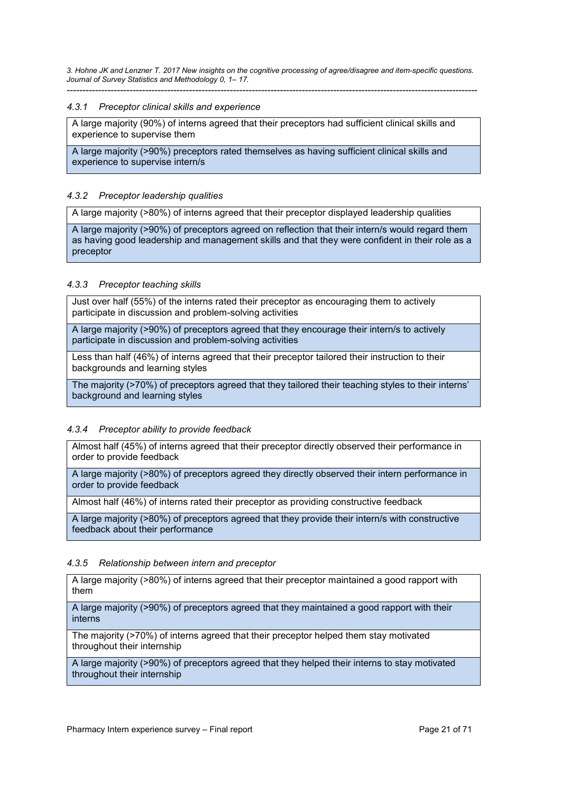*3. Hohne JK and Lenzner T. 2017 New insights on the cognitive processing of agree/disagree and item-specific questions. Journal of Survey Statistics and Methodology 0, 1– 17.*  -----------------------------------------------------------------------------------------------------------------------------------

#### <span id="page-20-0"></span>*4.3.1 Preceptor clinical skills and experience*

A large majority (90%) of interns agreed that their preceptors had sufficient clinical skills and experience to supervise them

A large majority (>90%) preceptors rated themselves as having sufficient clinical skills and experience to supervise intern/s

#### <span id="page-20-1"></span>*4.3.2 Preceptor leadership qualities*

A large majority (>80%) of interns agreed that their preceptor displayed leadership qualities

A large majority (>90%) of preceptors agreed on reflection that their intern/s would regard them as having good leadership and management skills and that they were confident in their role as a preceptor

#### <span id="page-20-2"></span>*4.3.3 Preceptor teaching skills*

Just over half (55%) of the interns rated their preceptor as encouraging them to actively participate in discussion and problem-solving activities

A large majority (>90%) of preceptors agreed that they encourage their intern/s to actively participate in discussion and problem-solving activities

Less than half (46%) of interns agreed that their preceptor tailored their instruction to their backgrounds and learning styles

The majority (>70%) of preceptors agreed that they tailored their teaching styles to their interns' background and learning styles

#### <span id="page-20-3"></span>*4.3.4 Preceptor ability to provide feedback*

Almost half (45%) of interns agreed that their preceptor directly observed their performance in order to provide feedback

A large majority (>80%) of preceptors agreed they directly observed their intern performance in order to provide feedback

Almost half (46%) of interns rated their preceptor as providing constructive feedback

A large majority (>80%) of preceptors agreed that they provide their intern/s with constructive feedback about their performance

#### <span id="page-20-4"></span>*4.3.5 Relationship between intern and preceptor*

A large majority (>80%) of interns agreed that their preceptor maintained a good rapport with them

A large majority (>90%) of preceptors agreed that they maintained a good rapport with their interns

The majority (>70%) of interns agreed that their preceptor helped them stay motivated throughout their internship

A large majority (>90%) of preceptors agreed that they helped their interns to stay motivated throughout their internship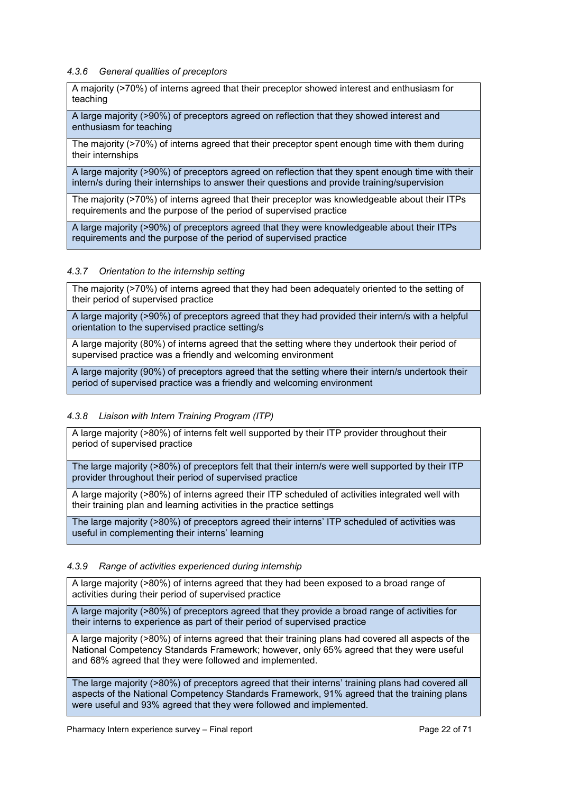#### <span id="page-21-0"></span>*4.3.6 General qualities of preceptors*

A majority (>70%) of interns agreed that their preceptor showed interest and enthusiasm for teaching

A large majority (>90%) of preceptors agreed on reflection that they showed interest and enthusiasm for teaching

The majority (>70%) of interns agreed that their preceptor spent enough time with them during their internships

A large majority (>90%) of preceptors agreed on reflection that they spent enough time with their intern/s during their internships to answer their questions and provide training/supervision

The majority (>70%) of interns agreed that their preceptor was knowledgeable about their ITPs requirements and the purpose of the period of supervised practice

A large majority (>90%) of preceptors agreed that they were knowledgeable about their ITPs requirements and the purpose of the period of supervised practice

#### <span id="page-21-1"></span>*4.3.7 Orientation to the internship setting*

The majority (>70%) of interns agreed that they had been adequately oriented to the setting of their period of supervised practice

A large majority (>90%) of preceptors agreed that they had provided their intern/s with a helpful orientation to the supervised practice setting/s

A large majority (80%) of interns agreed that the setting where they undertook their period of supervised practice was a friendly and welcoming environment

A large majority (90%) of preceptors agreed that the setting where their intern/s undertook their period of supervised practice was a friendly and welcoming environment

## <span id="page-21-2"></span>*4.3.8 Liaison with Intern Training Program (ITP)*

A large majority (>80%) of interns felt well supported by their ITP provider throughout their period of supervised practice

The large majority (>80%) of preceptors felt that their intern/s were well supported by their ITP provider throughout their period of supervised practice

A large majority (>80%) of interns agreed their ITP scheduled of activities integrated well with their training plan and learning activities in the practice settings

The large majority (>80%) of preceptors agreed their interns' ITP scheduled of activities was useful in complementing their interns' learning

#### <span id="page-21-3"></span>*4.3.9 Range of activities experienced during internship*

A large majority (>80%) of interns agreed that they had been exposed to a broad range of activities during their period of supervised practice

A large majority (>80%) of preceptors agreed that they provide a broad range of activities for their interns to experience as part of their period of supervised practice

A large majority (>80%) of interns agreed that their training plans had covered all aspects of the National Competency Standards Framework; however, only 65% agreed that they were useful and 68% agreed that they were followed and implemented.

The large majority (>80%) of preceptors agreed that their interns' training plans had covered all aspects of the National Competency Standards Framework, 91% agreed that the training plans were useful and 93% agreed that they were followed and implemented.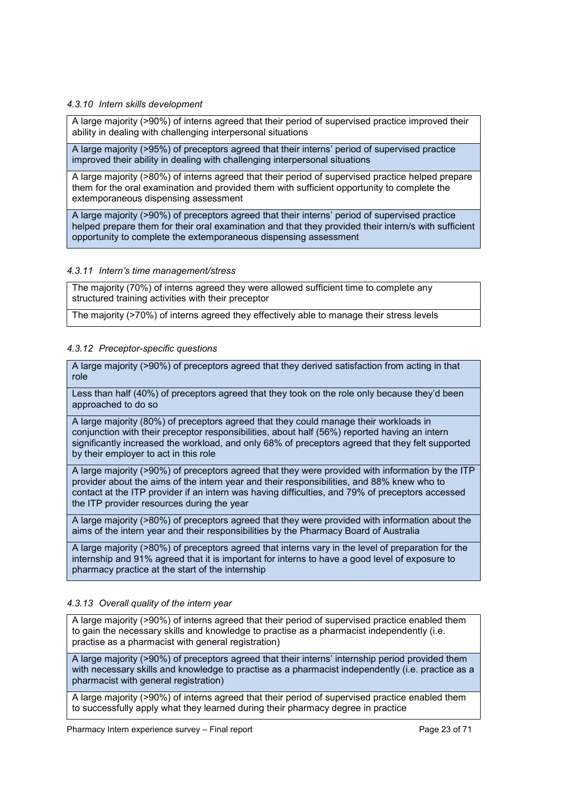## <span id="page-22-0"></span>*4.3.10 Intern skills development*

A large majority (>90%) of interns agreed that their period of supervised practice improved their ability in dealing with challenging interpersonal situations

A large majority (>95%) of preceptors agreed that their interns' period of supervised practice improved their ability in dealing with challenging interpersonal situations

A large majority (>80%) of interns agreed that their period of supervised practice helped prepare them for the oral examination and provided them with sufficient opportunity to complete the extemporaneous dispensing assessment

A large majority (>90%) of preceptors agreed that their interns' period of supervised practice helped prepare them for their oral examination and that they provided their intern/s with sufficient opportunity to complete the extemporaneous dispensing assessment

#### <span id="page-22-1"></span>*4.3.11 Intern's time management/stress*

The majority (70%) of interns agreed they were allowed sufficient time to complete any structured training activities with their preceptor

The majority (>70%) of interns agreed they effectively able to manage their stress levels

#### <span id="page-22-2"></span>*4.3.12 Preceptor-specific questions*

A large majority (>90%) of preceptors agreed that they derived satisfaction from acting in that role

Less than half (40%) of preceptors agreed that they took on the role only because they'd been approached to do so

A large majority (80%) of preceptors agreed that they could manage their workloads in conjunction with their preceptor responsibilities, about half (56%) reported having an intern significantly increased the workload, and only 68% of preceptors agreed that they felt supported by their employer to act in this role

A large majority (>90%) of preceptors agreed that they were provided with information by the ITP provider about the aims of the intern year and their responsibilities, and 88% knew who to contact at the ITP provider if an intern was having difficulties, and 79% of preceptors accessed the ITP provider resources during the year

A large majority (>80%) of preceptors agreed that they were provided with information about the aims of the intern year and their responsibilities by the Pharmacy Board of Australia

A large majority (>80%) of preceptors agreed that interns vary in the level of preparation for the internship and 91% agreed that it is important for interns to have a good level of exposure to pharmacy practice at the start of the internship

## <span id="page-22-3"></span>*4.3.13 Overall quality of the intern year*

A large majority (>90%) of interns agreed that their period of supervised practice enabled them to gain the necessary skills and knowledge to practise as a pharmacist independently (i.e. practise as a pharmacist with general registration)

A large majority (>90%) of preceptors agreed that their interns' internship period provided them with necessary skills and knowledge to practise as a pharmacist independently (i.e. practice as a pharmacist with general registration)

A large majority (>90%) of interns agreed that their period of supervised practice enabled them to successfully apply what they learned during their pharmacy degree in practice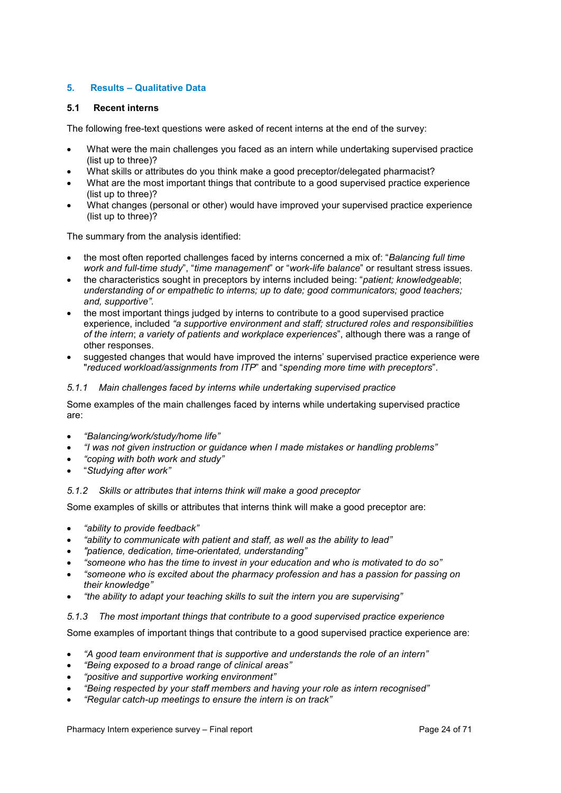## <span id="page-23-0"></span>**5. Results – Qualitative Data**

#### <span id="page-23-1"></span>**5.1 Recent interns**

The following free-text questions were asked of recent interns at the end of the survey:

- What were the main challenges you faced as an intern while undertaking supervised practice (list up to three)?
- What skills or attributes do you think make a good preceptor/delegated pharmacist?
- What are the most important things that contribute to a good supervised practice experience (list up to three)?
- What changes (personal or other) would have improved your supervised practice experience (list up to three)?

The summary from the analysis identified:

- the most often reported challenges faced by interns concerned a mix of: "*Balancing full time work and full-time study*", "*time management*" or "*work-life balance*" or resultant stress issues.
- the characteristics sought in preceptors by interns included being: "*patient; knowledgeable*; *understanding of or empathetic to interns; up to date; good communicators; good teachers; and, supportive".*
- the most important things judged by interns to contribute to a good supervised practice experience, included *"a supportive environment and staff; structured roles and responsibilities of the intern*; *a variety of patients and workplace experiences*", although there was a range of other responses.
- suggested changes that would have improved the interns' supervised practice experience were "*reduced workload/assignments from ITP*" and "*spending more time with preceptors*".

#### <span id="page-23-2"></span>*5.1.1 Main challenges faced by interns while undertaking supervised practice*

Some examples of the main challenges faced by interns while undertaking supervised practice are:

- *"Balancing/work/study/home life"*
- *"I was not given instruction or guidance when I made mistakes or handling problems"*
- *"coping with both work and study"*
- "*Studying after work"*

## <span id="page-23-3"></span>*5.1.2 Skills or attributes that interns think will make a good preceptor*

Some examples of skills or attributes that interns think will make a good preceptor are:

- *"ability to provide feedback"*
- *"ability to communicate with patient and staff, as well as the ability to lead"*
- *"patience, dedication, time-orientated, understanding"*
- *"someone who has the time to invest in your education and who is motivated to do so"*
- *"someone who is excited about the pharmacy profession and has a passion for passing on their knowledge"*
- *"the ability to adapt your teaching skills to suit the intern you are supervising"*
- <span id="page-23-4"></span>*5.1.3 The most important things that contribute to a good supervised practice experience*

Some examples of important things that contribute to a good supervised practice experience are:

- *"A good team environment that is supportive and understands the role of an intern"*
- *"Being exposed to a broad range of clinical areas"*
- *"positive and supportive working environment"*
- *"Being respected by your staff members and having your role as intern recognised"*
- *"Regular catch-up meetings to ensure the intern is on track"*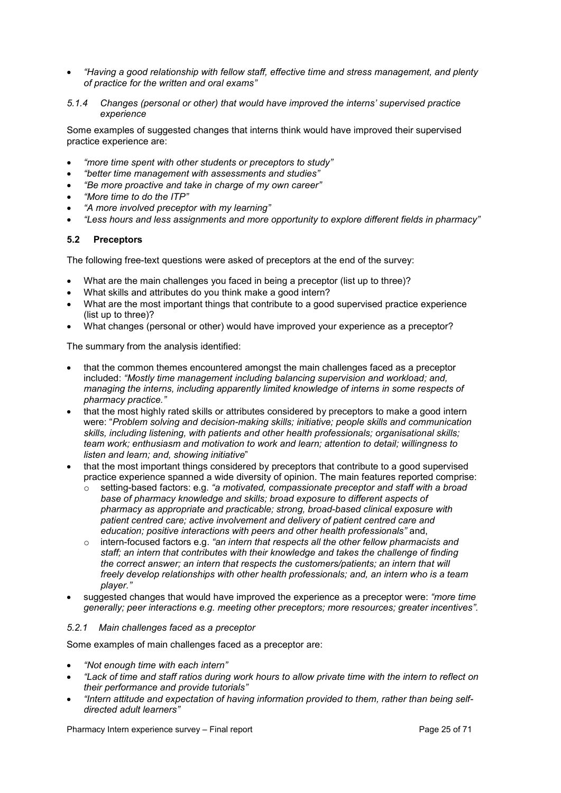• *"Having a good relationship with fellow staff, effective time and stress management, and plenty of practice for the written and oral exams"*

#### <span id="page-24-0"></span>*5.1.4 Changes (personal or other) that would have improved the interns' supervised practice experience*

Some examples of suggested changes that interns think would have improved their supervised practice experience are:

- *"more time spent with other students or preceptors to study"*
- *"better time management with assessments and studies"*
- *"Be more proactive and take in charge of my own career"*
- *"More time to do the ITP"*
- *"A more involved preceptor with my learning"*
- *"Less hours and less assignments and more opportunity to explore different fields in pharmacy"*

#### <span id="page-24-1"></span>**5.2 Preceptors**

The following free-text questions were asked of preceptors at the end of the survey:

- What are the main challenges you faced in being a preceptor (list up to three)?
- What skills and attributes do you think make a good intern?
- What are the most important things that contribute to a good supervised practice experience (list up to three)?
- What changes (personal or other) would have improved your experience as a preceptor?

The summary from the analysis identified:

- that the common themes encountered amongst the main challenges faced as a preceptor included: *"Mostly time management including balancing supervision and workload; and, managing the interns, including apparently limited knowledge of interns in some respects of pharmacy practice."*
- that the most highly rated skills or attributes considered by preceptors to make a good intern were: "*Problem solving and decision-making skills; initiative; people skills and communication skills, including listening, with patients and other health professionals; organisational skills; team work; enthusiasm and motivation to work and learn; attention to detail; willingness to listen and learn; and, showing initiative*"
- that the most important things considered by preceptors that contribute to a good supervised practice experience spanned a wide diversity of opinion. The main features reported comprise:
	- o setting-based factors: e.g. *"a motivated, compassionate preceptor and staff with a broad base of pharmacy knowledge and skills; broad exposure to different aspects of pharmacy as appropriate and practicable; strong, broad-based clinical exposure with patient centred care; active involvement and delivery of patient centred care and education; positive interactions with peers and other health professionals"* and,
	- o intern-focused factors e.g. *"an intern that respects all the other fellow pharmacists and staff; an intern that contributes with their knowledge and takes the challenge of finding the correct answer; an intern that respects the customers/patients; an intern that will freely develop relationships with other health professionals; and, an intern who is a team player."*
- suggested changes that would have improved the experience as a preceptor were: *"more time generally; peer interactions e.g. meeting other preceptors; more resources; greater incentives".*

#### <span id="page-24-2"></span>*5.2.1 Main challenges faced as a preceptor*

Some examples of main challenges faced as a preceptor are:

- *"Not enough time with each intern"*
- *"Lack of time and staff ratios during work hours to allow private time with the intern to reflect on their performance and provide tutorials"*
- *"Intern attitude and expectation of having information provided to them, rather than being selfdirected adult learners"*

Pharmacy Intern experience survey – Final report Page 25 of 71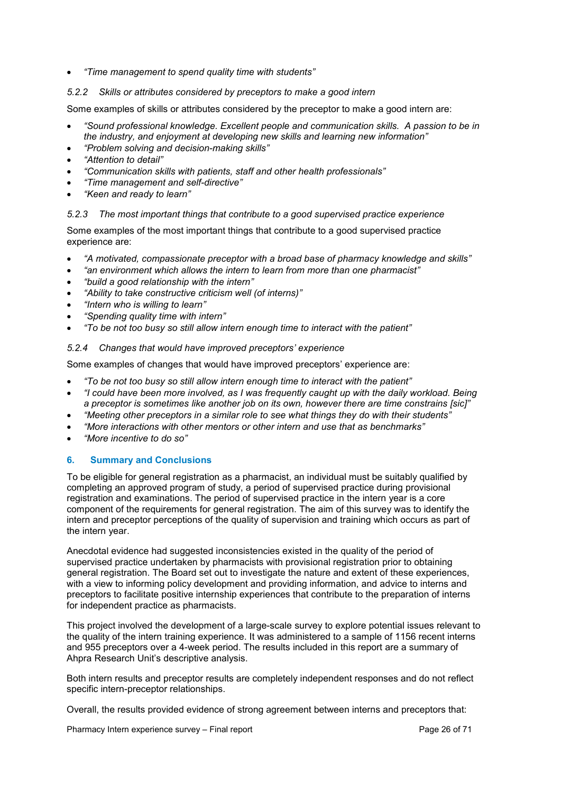<span id="page-25-0"></span>• *"Time management to spend quality time with students"*

### *5.2.2 Skills or attributes considered by preceptors to make a good intern*

Some examples of skills or attributes considered by the preceptor to make a good intern are:

- *"Sound professional knowledge. Excellent people and communication skills. A passion to be in the industry, and enjoyment at developing new skills and learning new information"*
- *"Problem solving and decision-making skills"*
- *"Attention to detail"*
- *"Communication skills with patients, staff and other health professionals"*
- *"Time management and self-directive"*
- *"Keen and ready to learn"*

#### <span id="page-25-1"></span>*5.2.3 The most important things that contribute to a good supervised practice experience*

Some examples of the most important things that contribute to a good supervised practice experience are:

- *"A motivated, compassionate preceptor with a broad base of pharmacy knowledge and skills"*
- *"an environment which allows the intern to learn from more than one pharmacist"*
- *"build a good relationship with the intern"*
- *"Ability to take constructive criticism well (of interns)"*
- *"Intern who is willing to learn"*
- *"Spending quality time with intern"*
- *"To be not too busy so still allow intern enough time to interact with the patient"*

#### <span id="page-25-2"></span>*5.2.4 Changes that would have improved preceptors' experience*

Some examples of changes that would have improved preceptors' experience are:

- *"To be not too busy so still allow intern enough time to interact with the patient"*
- *"I could have been more involved, as I was frequently caught up with the daily workload. Being a preceptor is sometimes like another job on its own, however there are time constrains [sic]"*
- *"Meeting other preceptors in a similar role to see what things they do with their students"*
- *"More interactions with other mentors or other intern and use that as benchmarks"*
- *"More incentive to do so"*

## <span id="page-25-3"></span>**6. Summary and Conclusions**

To be eligible for general registration as a pharmacist, an individual must be suitably qualified by completing an approved program of study, a period of supervised practice during provisional registration and examinations. The period of supervised practice in the intern year is a core component of the requirements for general registration. The aim of this survey was to identify the intern and preceptor perceptions of the quality of supervision and training which occurs as part of the intern year.

Anecdotal evidence had suggested inconsistencies existed in the quality of the period of supervised practice undertaken by pharmacists with provisional registration prior to obtaining general registration. The Board set out to investigate the nature and extent of these experiences, with a view to informing policy development and providing information, and advice to interns and preceptors to facilitate positive internship experiences that contribute to the preparation of interns for independent practice as pharmacists.

This project involved the development of a large-scale survey to explore potential issues relevant to the quality of the intern training experience. It was administered to a sample of 1156 recent interns and 955 preceptors over a 4-week period. The results included in this report are a summary of Ahpra Research Unit's descriptive analysis.

Both intern results and preceptor results are completely independent responses and do not reflect specific intern-preceptor relationships.

Overall, the results provided evidence of strong agreement between interns and preceptors that: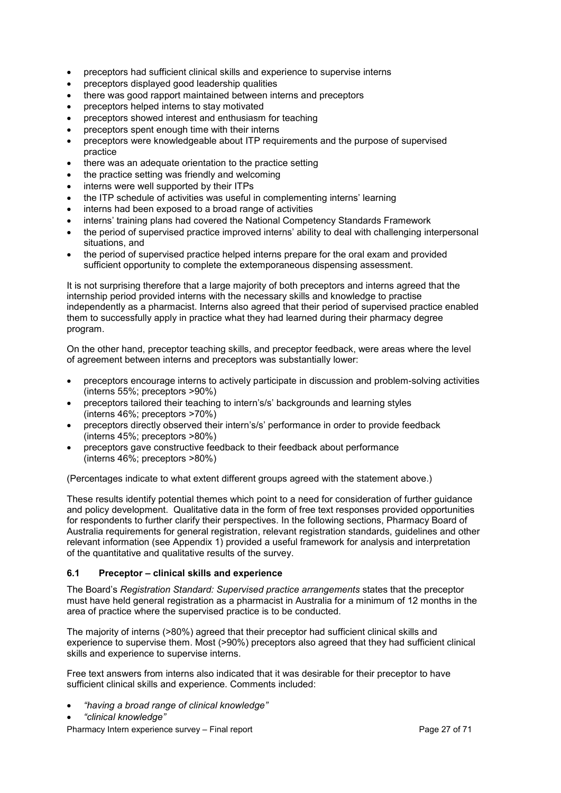- preceptors had sufficient clinical skills and experience to supervise interns
- preceptors displayed good leadership qualities
- there was good rapport maintained between interns and preceptors
- preceptors helped interns to stay motivated
- preceptors showed interest and enthusiasm for teaching
- preceptors spent enough time with their interns
- preceptors were knowledgeable about ITP requirements and the purpose of supervised practice
- there was an adequate orientation to the practice setting
- the practice setting was friendly and welcoming
- interns were well supported by their ITPs
- the ITP schedule of activities was useful in complementing interns' learning
- interns had been exposed to a broad range of activities
- interns' training plans had covered the National Competency Standards Framework
- the period of supervised practice improved interns' ability to deal with challenging interpersonal situations, and
- the period of supervised practice helped interns prepare for the oral exam and provided sufficient opportunity to complete the extemporaneous dispensing assessment.

It is not surprising therefore that a large majority of both preceptors and interns agreed that the internship period provided interns with the necessary skills and knowledge to practise independently as a pharmacist. Interns also agreed that their period of supervised practice enabled them to successfully apply in practice what they had learned during their pharmacy degree program.

On the other hand, preceptor teaching skills, and preceptor feedback, were areas where the level of agreement between interns and preceptors was substantially lower:

- preceptors encourage interns to actively participate in discussion and problem-solving activities (interns 55%; preceptors >90%)
- preceptors tailored their teaching to intern's/s' backgrounds and learning styles (interns 46%; preceptors >70%)
- preceptors directly observed their intern's/s' performance in order to provide feedback (interns 45%; preceptors >80%)
- preceptors gave constructive feedback to their feedback about performance (interns 46%; preceptors >80%)

(Percentages indicate to what extent different groups agreed with the statement above.)

These results identify potential themes which point to a need for consideration of further guidance and policy development. Qualitative data in the form of free text responses provided opportunities for respondents to further clarify their perspectives. In the following sections, Pharmacy Board of Australia requirements for general registration, relevant registration standards, guidelines and other relevant information (see Appendix 1) provided a useful framework for analysis and interpretation of the quantitative and qualitative results of the survey.

#### **6.1 Preceptor – clinical skills and experience**

The Board's *Registration Standard: Supervised practice arrangements* states that the preceptor must have held general registration as a pharmacist in Australia for a minimum of 12 months in the area of practice where the supervised practice is to be conducted.

The majority of interns (>80%) agreed that their preceptor had sufficient clinical skills and experience to supervise them. Most (>90%) preceptors also agreed that they had sufficient clinical skills and experience to supervise interns.

Free text answers from interns also indicated that it was desirable for their preceptor to have sufficient clinical skills and experience. Comments included:

- *"having a broad range of clinical knowledge"*
- *"clinical knowledge"*

Pharmacy Intern experience survey – Final report Page 27 of 71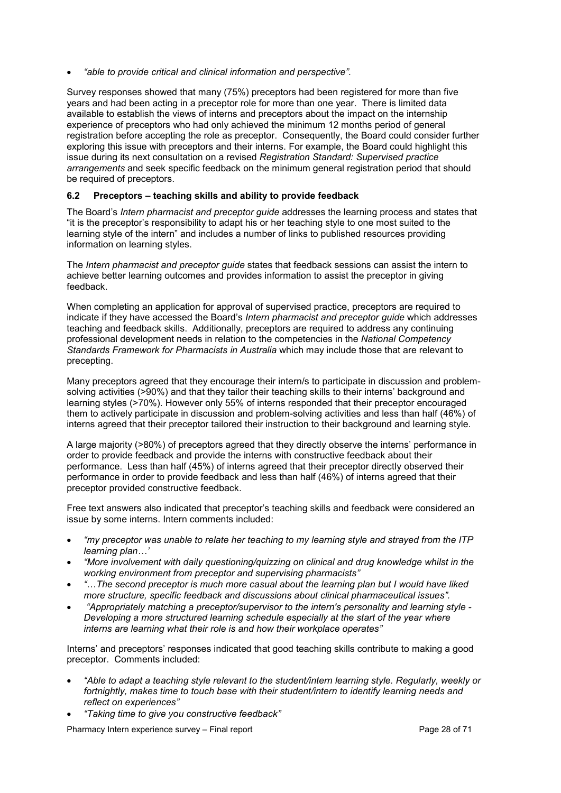• *"able to provide critical and clinical information and perspective".*

Survey responses showed that many (75%) preceptors had been registered for more than five years and had been acting in a preceptor role for more than one year. There is limited data available to establish the views of interns and preceptors about the impact on the internship experience of preceptors who had only achieved the minimum 12 months period of general registration before accepting the role as preceptor. Consequently, the Board could consider further exploring this issue with preceptors and their interns. For example, the Board could highlight this issue during its next consultation on a revised *Registration Standard: Supervised practice arrangements* and seek specific feedback on the minimum general registration period that should be required of preceptors.

## <span id="page-27-0"></span>**6.2 Preceptors – teaching skills and ability to provide feedback**

The Board's *Intern pharmacist and preceptor guide* addresses the learning process and states that "it is the preceptor's responsibility to adapt his or her teaching style to one most suited to the learning style of the intern" and includes a number of links to published resources providing information on learning styles.

The *Intern pharmacist and preceptor guide* states that feedback sessions can assist the intern to achieve better learning outcomes and provides information to assist the preceptor in giving feedback.

When completing an application for approval of supervised practice, preceptors are required to indicate if they have accessed the Board's *Intern pharmacist and preceptor guide* which addresses teaching and feedback skills. Additionally, preceptors are required to address any continuing professional development needs in relation to the competencies in the *National Competency Standards Framework for Pharmacists in Australia* which may include those that are relevant to precepting.

Many preceptors agreed that they encourage their intern/s to participate in discussion and problemsolving activities (>90%) and that they tailor their teaching skills to their interns' background and learning styles (>70%). However only 55% of interns responded that their preceptor encouraged them to actively participate in discussion and problem-solving activities and less than half (46%) of interns agreed that their preceptor tailored their instruction to their background and learning style.

A large majority (>80%) of preceptors agreed that they directly observe the interns' performance in order to provide feedback and provide the interns with constructive feedback about their performance. Less than half (45%) of interns agreed that their preceptor directly observed their performance in order to provide feedback and less than half (46%) of interns agreed that their preceptor provided constructive feedback.

Free text answers also indicated that preceptor's teaching skills and feedback were considered an issue by some interns. Intern comments included:

- *"my preceptor was unable to relate her teaching to my learning style and strayed from the ITP learning plan…'*
- *"More involvement with daily questioning/quizzing on clinical and drug knowledge whilst in the working environment from preceptor and supervising pharmacists"*
- *"*…*The second preceptor is much more casual about the learning plan but I would have liked more structure, specific feedback and discussions about clinical pharmaceutical issues".*
- *"Appropriately matching a preceptor/supervisor to the intern's personality and learning style - Developing a more structured learning schedule especially at the start of the year where interns are learning what their role is and how their workplace operates"*

Interns' and preceptors' responses indicated that good teaching skills contribute to making a good preceptor. Comments included:

- *"Able to adapt a teaching style relevant to the student/intern learning style. Regularly, weekly or fortnightly, makes time to touch base with their student/intern to identify learning needs and reflect on experiences"*
- *"Taking time to give you constructive feedback"*

Pharmacy Intern experience survey – Final report Page 28 of 71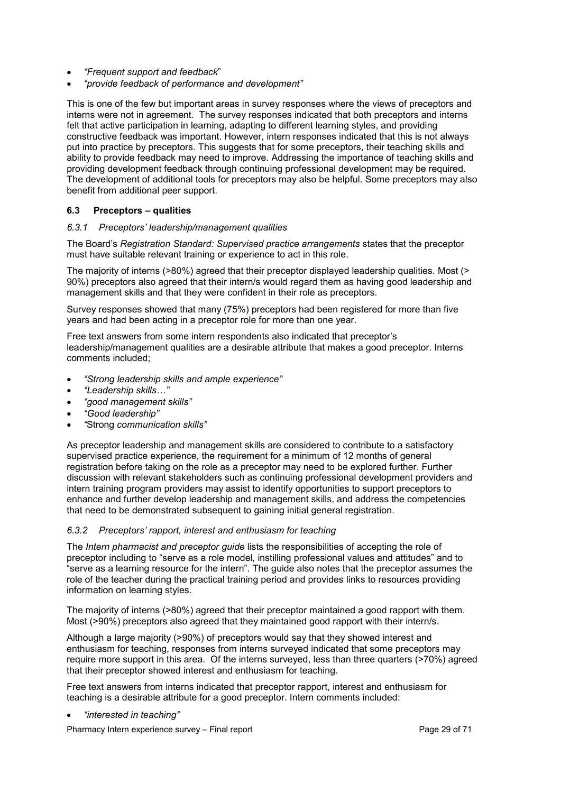- *"Frequent support and feedback*"
- *"provide feedback of performance and development"*

This is one of the few but important areas in survey responses where the views of preceptors and interns were not in agreement. The survey responses indicated that both preceptors and interns felt that active participation in learning, adapting to different learning styles, and providing constructive feedback was important. However, intern responses indicated that this is not always put into practice by preceptors. This suggests that for some preceptors, their teaching skills and ability to provide feedback may need to improve. Addressing the importance of teaching skills and providing development feedback through continuing professional development may be required. The development of additional tools for preceptors may also be helpful. Some preceptors may also benefit from additional peer support.

#### <span id="page-28-0"></span>**6.3 Preceptors – qualities**

#### <span id="page-28-1"></span>*6.3.1 Preceptors' leadership/management qualities*

The Board's *Registration Standard: Supervised practice arrangements* states that the preceptor must have suitable relevant training or experience to act in this role.

The majority of interns (>80%) agreed that their preceptor displayed leadership qualities. Most (> 90%) preceptors also agreed that their intern/s would regard them as having good leadership and management skills and that they were confident in their role as preceptors.

Survey responses showed that many (75%) preceptors had been registered for more than five years and had been acting in a preceptor role for more than one year.

Free text answers from some intern respondents also indicated that preceptor's leadership/management qualities are a desirable attribute that makes a good preceptor. Interns comments included;

- *"Strong leadership skills and ample experience"*
- *"Leadership skills…"*
- *"good management skills"*
- *"Good leadership"*
- *"*Strong *communication skills"*

As preceptor leadership and management skills are considered to contribute to a satisfactory supervised practice experience, the requirement for a minimum of 12 months of general registration before taking on the role as a preceptor may need to be explored further. Further discussion with relevant stakeholders such as continuing professional development providers and intern training program providers may assist to identify opportunities to support preceptors to enhance and further develop leadership and management skills, and address the competencies that need to be demonstrated subsequent to gaining initial general registration.

#### <span id="page-28-2"></span>*6.3.2 Preceptors' rapport, interest and enthusiasm for teaching*

The *Intern pharmacist and preceptor guide* lists the responsibilities of accepting the role of preceptor including to "serve as a role model, instilling professional values and attitudes" and to "serve as a learning resource for the intern". The guide also notes that the preceptor assumes the role of the teacher during the practical training period and provides links to resources providing information on learning styles.

The majority of interns (>80%) agreed that their preceptor maintained a good rapport with them. Most (>90%) preceptors also agreed that they maintained good rapport with their intern/s.

Although a large majority (>90%) of preceptors would say that they showed interest and enthusiasm for teaching, responses from interns surveyed indicated that some preceptors may require more support in this area. Of the interns surveyed, less than three quarters (>70%) agreed that their preceptor showed interest and enthusiasm for teaching.

Free text answers from interns indicated that preceptor rapport, interest and enthusiasm for teaching is a desirable attribute for a good preceptor. Intern comments included:

• *"interested in teaching"* 

Pharmacy Intern experience survey – Final report Page 29 of 71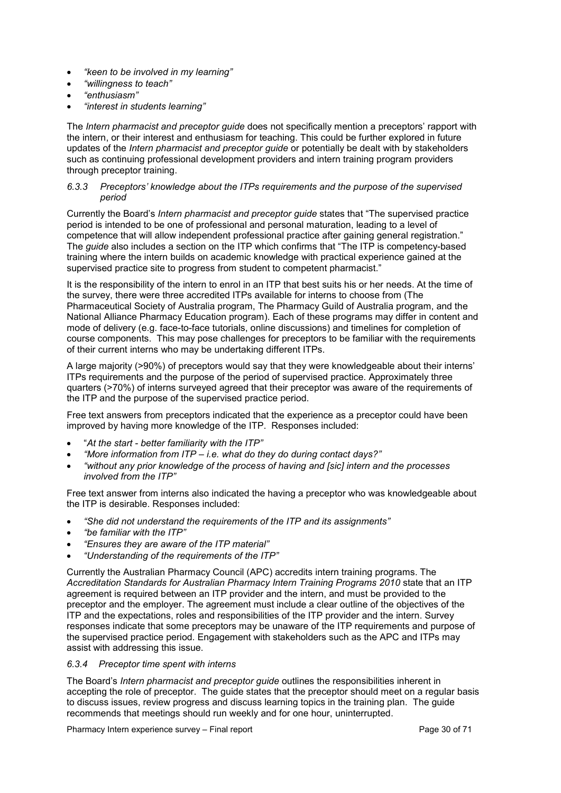- *"keen to be involved in my learning"*
- *"willingness to teach"*
- *"enthusiasm"*
- *"interest in students learning"*

The *Intern pharmacist and preceptor guide* does not specifically mention a preceptors' rapport with the intern, or their interest and enthusiasm for teaching. This could be further explored in future updates of the *Intern pharmacist and preceptor guide* or potentially be dealt with by stakeholders such as continuing professional development providers and intern training program providers through preceptor training.

#### <span id="page-29-0"></span>*6.3.3 Preceptors' knowledge about the ITPs requirements and the purpose of the supervised period*

Currently the Board's *Intern pharmacist and preceptor guide* states that "The supervised practice period is intended to be one of professional and personal maturation, leading to a level of competence that will allow independent professional practice after gaining general registration." The *guide* also includes a section on the ITP which confirms that "The ITP is competency-based training where the intern builds on academic knowledge with practical experience gained at the supervised practice site to progress from student to competent pharmacist."

It is the responsibility of the intern to enrol in an ITP that best suits his or her needs. At the time of the survey, there were three accredited ITPs available for interns to choose from (The Pharmaceutical Society of Australia program, The Pharmacy Guild of Australia program, and the National Alliance Pharmacy Education program). Each of these programs may differ in content and mode of delivery (e.g. face-to-face tutorials, online discussions) and timelines for completion of course components. This may pose challenges for preceptors to be familiar with the requirements of their current interns who may be undertaking different ITPs.

A large majority (>90%) of preceptors would say that they were knowledgeable about their interns' ITPs requirements and the purpose of the period of supervised practice. Approximately three quarters (>70%) of interns surveyed agreed that their preceptor was aware of the requirements of the ITP and the purpose of the supervised practice period.

Free text answers from preceptors indicated that the experience as a preceptor could have been improved by having more knowledge of the ITP. Responses included:

- "*At the start - better familiarity with the ITP"*
- *"More information from ITP – i.e. what do they do during contact days?"*
- *"without any prior knowledge of the process of having and [sic] intern and the processes involved from the ITP"*

Free text answer from interns also indicated the having a preceptor who was knowledgeable about the ITP is desirable. Responses included:

- *"She did not understand the requirements of the ITP and its assignments"*
- *"be familiar with the ITP"*
- *"Ensures they are aware of the ITP material"*
- *"Understanding of the requirements of the ITP"*

Currently the Australian Pharmacy Council (APC) accredits intern training programs. The *Accreditation Standards for Australian Pharmacy Intern Training Programs 2010* state that an ITP agreement is required between an ITP provider and the intern, and must be provided to the preceptor and the employer. The agreement must include a clear outline of the objectives of the ITP and the expectations, roles and responsibilities of the ITP provider and the intern. Survey responses indicate that some preceptors may be unaware of the ITP requirements and purpose of the supervised practice period. Engagement with stakeholders such as the APC and ITPs may assist with addressing this issue.

### <span id="page-29-1"></span>*6.3.4 Preceptor time spent with interns*

The Board's *Intern pharmacist and preceptor guide* outlines the responsibilities inherent in accepting the role of preceptor. The guide states that the preceptor should meet on a regular basis to discuss issues, review progress and discuss learning topics in the training plan. The guide recommends that meetings should run weekly and for one hour, uninterrupted.

Pharmacy Intern experience survey – Final report Page 30 of 71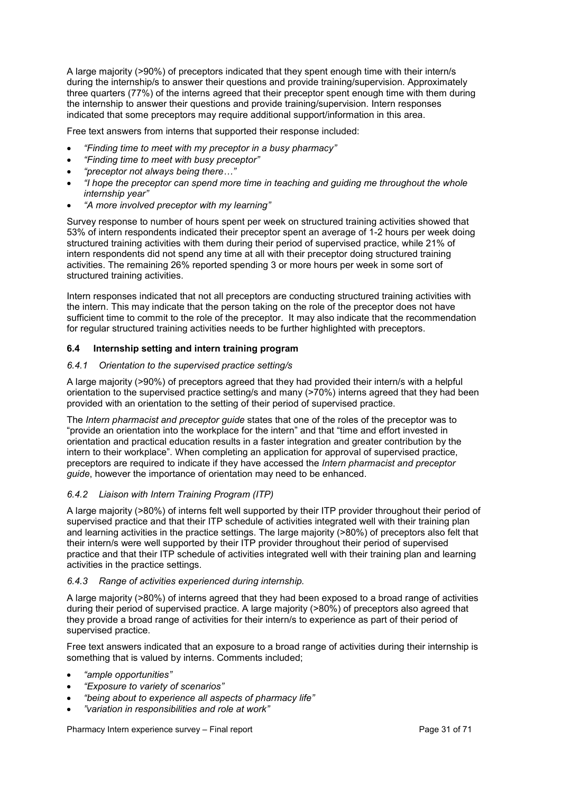A large majority (>90%) of preceptors indicated that they spent enough time with their intern/s during the internship/s to answer their questions and provide training/supervision. Approximately three quarters (77%) of the interns agreed that their preceptor spent enough time with them during the internship to answer their questions and provide training/supervision. Intern responses indicated that some preceptors may require additional support/information in this area.

Free text answers from interns that supported their response included:

- *"Finding time to meet with my preceptor in a busy pharmacy"*
- *"Finding time to meet with busy preceptor"*
- *"preceptor not always being there…"*
- *"I hope the preceptor can spend more time in teaching and guiding me throughout the whole internship year"*
- *"A more involved preceptor with my learning"*

Survey response to number of hours spent per week on structured training activities showed that 53% of intern respondents indicated their preceptor spent an average of 1-2 hours per week doing structured training activities with them during their period of supervised practice, while 21% of intern respondents did not spend any time at all with their preceptor doing structured training activities. The remaining 26% reported spending 3 or more hours per week in some sort of structured training activities.

Intern responses indicated that not all preceptors are conducting structured training activities with the intern. This may indicate that the person taking on the role of the preceptor does not have sufficient time to commit to the role of the preceptor. It may also indicate that the recommendation for regular structured training activities needs to be further highlighted with preceptors.

#### <span id="page-30-0"></span>**6.4 Internship setting and intern training program**

### <span id="page-30-1"></span>*6.4.1 Orientation to the supervised practice setting/s*

A large majority (>90%) of preceptors agreed that they had provided their intern/s with a helpful orientation to the supervised practice setting/s and many (>70%) interns agreed that they had been provided with an orientation to the setting of their period of supervised practice.

The *Intern pharmacist and preceptor guide* states that one of the roles of the preceptor was to "provide an orientation into the workplace for the intern" and that "time and effort invested in orientation and practical education results in a faster integration and greater contribution by the intern to their workplace". When completing an application for approval of supervised practice, preceptors are required to indicate if they have accessed the *Intern pharmacist and preceptor guide*, however the importance of orientation may need to be enhanced.

#### <span id="page-30-2"></span>*6.4.2 Liaison with Intern Training Program (ITP)*

A large majority (>80%) of interns felt well supported by their ITP provider throughout their period of supervised practice and that their ITP schedule of activities integrated well with their training plan and learning activities in the practice settings. The large majority (>80%) of preceptors also felt that their intern/s were well supported by their ITP provider throughout their period of supervised practice and that their ITP schedule of activities integrated well with their training plan and learning activities in the practice settings.

#### <span id="page-30-3"></span>*6.4.3 Range of activities experienced during internship.*

A large majority (>80%) of interns agreed that they had been exposed to a broad range of activities during their period of supervised practice. A large majority (>80%) of preceptors also agreed that they provide a broad range of activities for their intern/s to experience as part of their period of supervised practice.

Free text answers indicated that an exposure to a broad range of activities during their internship is something that is valued by interns. Comments included;

- *"ample opportunities"*
- *"Exposure to variety of scenarios"*
- *"being about to experience all aspects of pharmacy life"*
- *"variation in responsibilities and role at work"*

Pharmacy Intern experience survey – Final report Page 31 of 71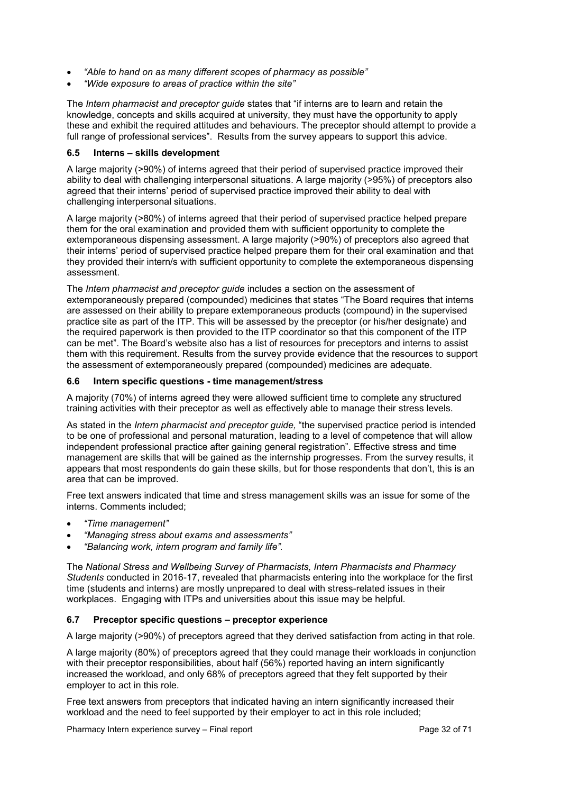- *"Able to hand on as many different scopes of pharmacy as possible"*
- *"Wide exposure to areas of practice within the site"*

The *Intern pharmacist and preceptor guide* states that "if interns are to learn and retain the knowledge, concepts and skills acquired at university, they must have the opportunity to apply these and exhibit the required attitudes and behaviours. The preceptor should attempt to provide a full range of professional services". Results from the survey appears to support this advice.

#### <span id="page-31-0"></span>**6.5 Interns – skills development**

A large majority (>90%) of interns agreed that their period of supervised practice improved their ability to deal with challenging interpersonal situations. A large majority (>95%) of preceptors also agreed that their interns' period of supervised practice improved their ability to deal with challenging interpersonal situations.

A large majority (>80%) of interns agreed that their period of supervised practice helped prepare them for the oral examination and provided them with sufficient opportunity to complete the extemporaneous dispensing assessment. A large majority (>90%) of preceptors also agreed that their interns' period of supervised practice helped prepare them for their oral examination and that they provided their intern/s with sufficient opportunity to complete the extemporaneous dispensing assessment.

The *Intern pharmacist and preceptor guide* includes a section on the assessment of extemporaneously prepared (compounded) medicines that states "The Board requires that interns are assessed on their ability to prepare extemporaneous products (compound) in the supervised practice site as part of the ITP. This will be assessed by the preceptor (or his/her designate) and the required paperwork is then provided to the ITP coordinator so that this component of the ITP can be met". The Board's website also has a list of resources for preceptors and interns to assist them with this requirement. Results from the survey provide evidence that the resources to support the assessment of extemporaneously prepared (compounded) medicines are adequate.

#### <span id="page-31-1"></span>**6.6 Intern specific questions - time management/stress**

A majority (70%) of interns agreed they were allowed sufficient time to complete any structured training activities with their preceptor as well as effectively able to manage their stress levels.

As stated in the *Intern pharmacist and preceptor guide,* "the supervised practice period is intended to be one of professional and personal maturation, leading to a level of competence that will allow independent professional practice after gaining general registration". Effective stress and time management are skills that will be gained as the internship progresses. From the survey results, it appears that most respondents do gain these skills, but for those respondents that don't, this is an area that can be improved.

Free text answers indicated that time and stress management skills was an issue for some of the interns. Comments included;

- *"Time management"*
- *"Managing stress about exams and assessments"*
- *"Balancing work, intern program and family life".*

The *National Stress and Wellbeing Survey of Pharmacists, Intern Pharmacists and Pharmacy Students* conducted in 2016-17, revealed that pharmacists entering into the workplace for the first time (students and interns) are mostly unprepared to deal with stress-related issues in their workplaces. Engaging with ITPs and universities about this issue may be helpful.

## <span id="page-31-2"></span>**6.7 Preceptor specific questions – preceptor experience**

A large majority (>90%) of preceptors agreed that they derived satisfaction from acting in that role.

A large majority (80%) of preceptors agreed that they could manage their workloads in conjunction with their preceptor responsibilities, about half (56%) reported having an intern significantly increased the workload, and only 68% of preceptors agreed that they felt supported by their employer to act in this role.

Free text answers from preceptors that indicated having an intern significantly increased their workload and the need to feel supported by their employer to act in this role included;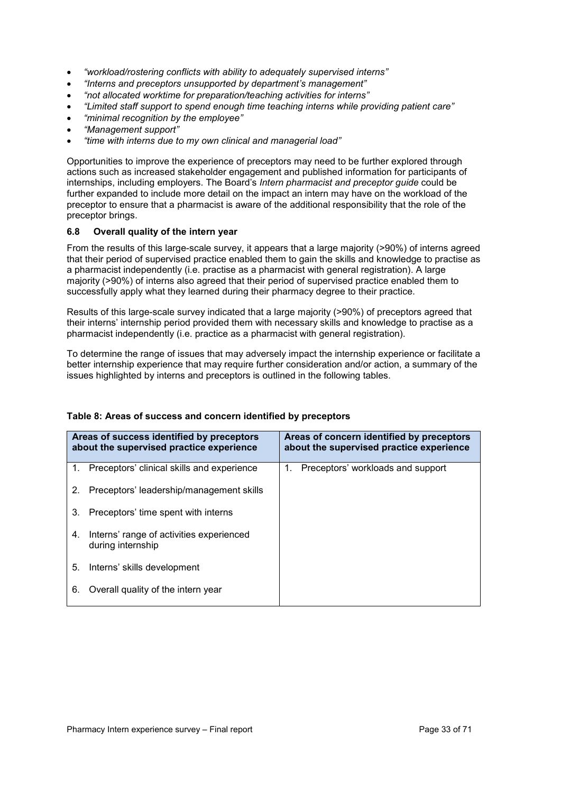- *"workload/rostering conflicts with ability to adequately supervised interns"*
- *"Interns and preceptors unsupported by department's management"*
- *"not allocated worktime for preparation/teaching activities for interns"*
- *"Limited staff support to spend enough time teaching interns while providing patient care"*
- *"minimal recognition by the employee"*
- *"Management support"*
- *"time with interns due to my own clinical and managerial load"*

Opportunities to improve the experience of preceptors may need to be further explored through actions such as increased stakeholder engagement and published information for participants of internships, including employers. The Board's *Intern pharmacist and preceptor guide* could be further expanded to include more detail on the impact an intern may have on the workload of the preceptor to ensure that a pharmacist is aware of the additional responsibility that the role of the preceptor brings.

#### <span id="page-32-0"></span>**6.8 Overall quality of the intern year**

From the results of this large-scale survey, it appears that a large majority (>90%) of interns agreed that their period of supervised practice enabled them to gain the skills and knowledge to practise as a pharmacist independently (i.e. practise as a pharmacist with general registration). A large majority (>90%) of interns also agreed that their period of supervised practice enabled them to successfully apply what they learned during their pharmacy degree to their practice.

Results of this large-scale survey indicated that a large majority (>90%) of preceptors agreed that their interns' internship period provided them with necessary skills and knowledge to practise as a pharmacist independently (i.e. practice as a pharmacist with general registration).

To determine the range of issues that may adversely impact the internship experience or facilitate a better internship experience that may require further consideration and/or action, a summary of the issues highlighted by interns and preceptors is outlined in the following tables.

| Areas of success identified by preceptors<br>about the supervised practice experience |                                                               | Areas of concern identified by preceptors<br>about the supervised practice experience |
|---------------------------------------------------------------------------------------|---------------------------------------------------------------|---------------------------------------------------------------------------------------|
| 1.                                                                                    | Preceptors' clinical skills and experience                    | Preceptors' workloads and support<br>1.                                               |
| $2_{\cdot}$                                                                           | Preceptors' leadership/management skills                      |                                                                                       |
| 3.                                                                                    | Preceptors' time spent with interns                           |                                                                                       |
| 4.                                                                                    | Interns' range of activities experienced<br>during internship |                                                                                       |
| 5.                                                                                    | Interns' skills development                                   |                                                                                       |
| 6.                                                                                    | Overall quality of the intern year                            |                                                                                       |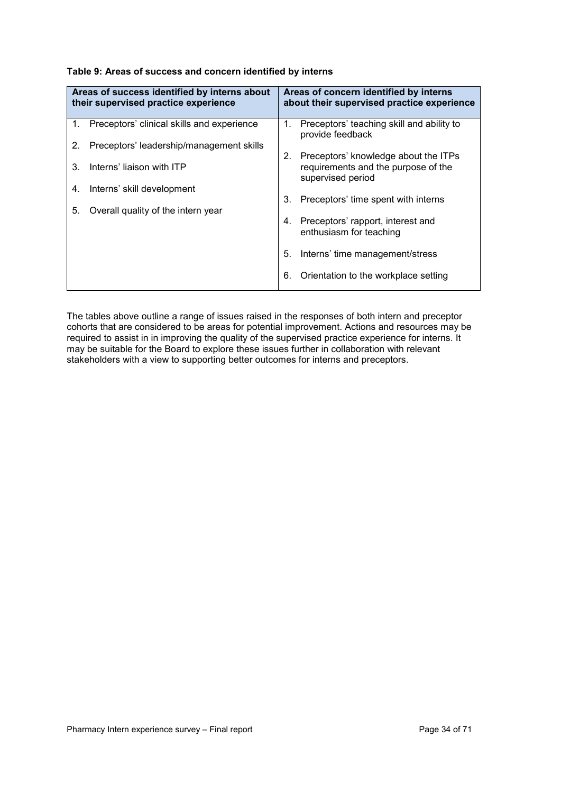| Table 9: Areas of success and concern identified by interns |  |
|-------------------------------------------------------------|--|
|-------------------------------------------------------------|--|

|             | Areas of success identified by interns about<br>their supervised practice experience |    | Areas of concern identified by interns<br>about their supervised practice experience             |
|-------------|--------------------------------------------------------------------------------------|----|--------------------------------------------------------------------------------------------------|
| $1_{\cdot}$ | Preceptors' clinical skills and experience                                           | 1. | Preceptors' teaching skill and ability to<br>provide feedback                                    |
| 2.          | Preceptors' leadership/management skills                                             |    |                                                                                                  |
| 3.          | Interns' liaison with ITP                                                            | 2. | Preceptors' knowledge about the ITPs<br>requirements and the purpose of the<br>supervised period |
| 4.          | Interns' skill development                                                           |    |                                                                                                  |
|             |                                                                                      | 3. | Preceptors' time spent with interns                                                              |
| 5.          | Overall quality of the intern year                                                   |    |                                                                                                  |
|             |                                                                                      | 4. | Preceptors' rapport, interest and<br>enthusiasm for teaching                                     |
|             |                                                                                      | 5. | Interns' time management/stress                                                                  |
|             |                                                                                      | 6. | Orientation to the workplace setting                                                             |

The tables above outline a range of issues raised in the responses of both intern and preceptor cohorts that are considered to be areas for potential improvement. Actions and resources may be required to assist in in improving the quality of the supervised practice experience for interns. It may be suitable for the Board to explore these issues further in collaboration with relevant stakeholders with a view to supporting better outcomes for interns and preceptors.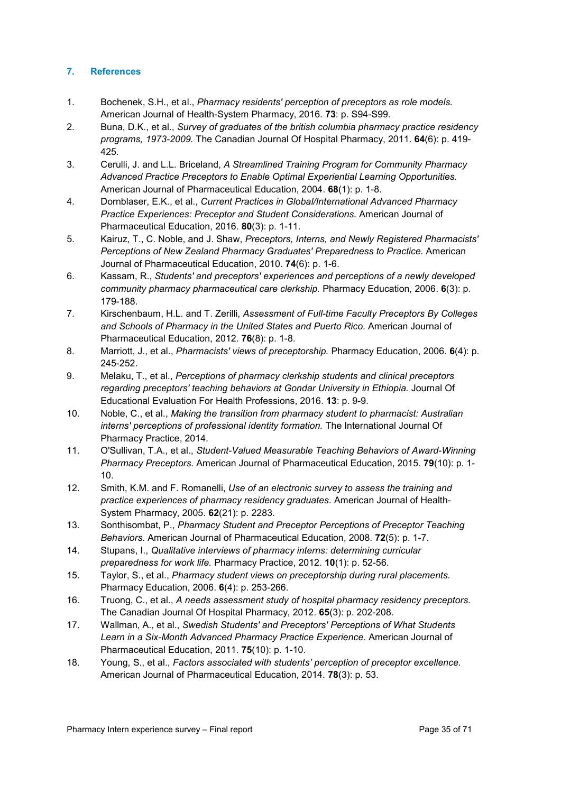## <span id="page-34-0"></span>**7. References**

- 1. Bochenek, S.H., et al., *Pharmacy residents' perception of preceptors as role models.* American Journal of Health-System Pharmacy, 2016. **73**: p. S94-S99.
- 2. Buna, D.K., et al., *Survey of graduates of the british columbia pharmacy practice residency programs, 1973-2009.* The Canadian Journal Of Hospital Pharmacy, 2011. **64**(6): p. 419- 425.
- 3. Cerulli, J. and L.L. Briceland, *A Streamlined Training Program for Community Pharmacy Advanced Practice Preceptors to Enable Optimal Experiential Learning Opportunities.* American Journal of Pharmaceutical Education, 2004. **68**(1): p. 1-8.
- 4. Dornblaser, E.K., et al., *Current Practices in Global/International Advanced Pharmacy Practice Experiences: Preceptor and Student Considerations.* American Journal of Pharmaceutical Education, 2016. **80**(3): p. 1-11.
- 5. Kairuz, T., C. Noble, and J. Shaw, *Preceptors, Interns, and Newly Registered Pharmacists' Perceptions of New Zealand Pharmacy Graduates' Preparedness to Practice.* American Journal of Pharmaceutical Education, 2010. **74**(6): p. 1-6.
- 6. Kassam, R., *Students' and preceptors' experiences and perceptions of a newly developed community pharmacy pharmaceutical care clerkship.* Pharmacy Education, 2006. **6**(3): p. 179-188.
- 7. Kirschenbaum, H.L. and T. Zerilli, *Assessment of Full-time Faculty Preceptors By Colleges and Schools of Pharmacy in the United States and Puerto Rico.* American Journal of Pharmaceutical Education, 2012. **76**(8): p. 1-8.
- 8. Marriott, J., et al., *Pharmacists' views of preceptorship.* Pharmacy Education, 2006. **6**(4): p. 245-252.
- 9. Melaku, T., et al., *Perceptions of pharmacy clerkship students and clinical preceptors regarding preceptors' teaching behaviors at Gondar University in Ethiopia.* Journal Of Educational Evaluation For Health Professions, 2016. **13**: p. 9-9.
- 10. Noble, C., et al., *Making the transition from pharmacy student to pharmacist: Australian interns' perceptions of professional identity formation.* The International Journal Of Pharmacy Practice, 2014.
- 11. O'Sullivan, T.A., et al., *Student-Valued Measurable Teaching Behaviors of Award-Winning Pharmacy Preceptors.* American Journal of Pharmaceutical Education, 2015. **79**(10): p. 1- 10.
- 12. Smith, K.M. and F. Romanelli, *Use of an electronic survey to assess the training and practice experiences of pharmacy residency graduates.* American Journal of Health-System Pharmacy, 2005. **62**(21): p. 2283.
- 13. Sonthisombat, P., *Pharmacy Student and Preceptor Perceptions of Preceptor Teaching Behaviors.* American Journal of Pharmaceutical Education, 2008. **72**(5): p. 1-7.
- 14. Stupans, I., *Qualitative interviews of pharmacy interns: determining curricular preparedness for work life.* Pharmacy Practice, 2012. **10**(1): p. 52-56.
- 15. Taylor, S., et al., *Pharmacy student views on preceptorship during rural placements.* Pharmacy Education, 2006. **6**(4): p. 253-266.
- 16. Truong, C., et al., *A needs assessment study of hospital pharmacy residency preceptors.* The Canadian Journal Of Hospital Pharmacy, 2012. **65**(3): p. 202-208.
- 17. Wallman, A., et al., *Swedish Students' and Preceptors' Perceptions of What Students Learn in a Six-Month Advanced Pharmacy Practice Experience.* American Journal of Pharmaceutical Education, 2011. **75**(10): p. 1-10.
- 18. Young, S., et al., *Factors associated with students' perception of preceptor excellence.* American Journal of Pharmaceutical Education, 2014. **78**(3): p. 53.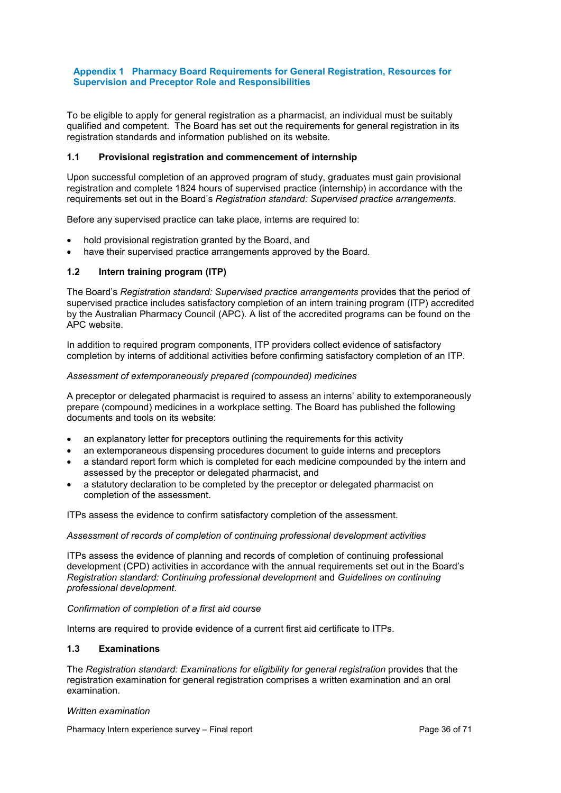#### <span id="page-35-0"></span>**Appendix 1 Pharmacy Board Requirements for General Registration, Resources for Supervision and Preceptor Role and Responsibilities**

To be eligible to apply for general registration as a pharmacist, an individual must be suitably qualified and competent. The Board has set out the requirements for general registration in its registration standards and information published on its website.

#### <span id="page-35-1"></span>**1.1 Provisional registration and commencement of internship**

Upon successful completion of an approved program of study, graduates must gain provisional registration and complete 1824 hours of supervised practice (internship) in accordance with the requirements set out in the Board's *Registration standard: Supervised practice arrangements*.

Before any supervised practice can take place, interns are required to:

- hold provisional registration granted by the Board, and
- have their supervised practice arrangements approved by the Board.

#### <span id="page-35-2"></span>**1.2 Intern training program (ITP)**

The Board's *Registration standard: Supervised practice arrangements* provides that the period of supervised practice includes satisfactory completion of an intern training program (ITP) accredited by the Australian Pharmacy Council (APC). A list of the accredited programs can be found on the APC website.

In addition to required program components, ITP providers collect evidence of satisfactory completion by interns of additional activities before confirming satisfactory completion of an ITP.

#### <span id="page-35-3"></span>*Assessment of extemporaneously prepared (compounded) medicines*

A preceptor or delegated pharmacist is required to assess an interns' ability to extemporaneously prepare (compound) medicines in a workplace setting. The Board has published the following documents and tools on its website:

- an explanatory letter for preceptors outlining the requirements for this activity
- an extemporaneous dispensing procedures document to guide interns and preceptors
- a standard report form which is completed for each medicine compounded by the intern and assessed by the preceptor or delegated pharmacist, and
- a statutory declaration to be completed by the preceptor or delegated pharmacist on completion of the assessment.

ITPs assess the evidence to confirm satisfactory completion of the assessment.

#### *Assessment of records of completion of continuing professional development activities*

ITPs assess the evidence of planning and records of completion of continuing professional development (CPD) activities in accordance with the annual requirements set out in the Board's *Registration standard: Continuing professional development* and *Guidelines on continuing professional development*.

#### *Confirmation of completion of a first aid course*

Interns are required to provide evidence of a current first aid certificate to ITPs.

## <span id="page-35-4"></span>**1.3 Examinations**

The *Registration standard: Examinations for eligibility for general registration* provides that the registration examination for general registration comprises a written examination and an oral examination.

#### <span id="page-35-5"></span>*Written examination*

Pharmacy Intern experience survey – Final report Page 36 of 71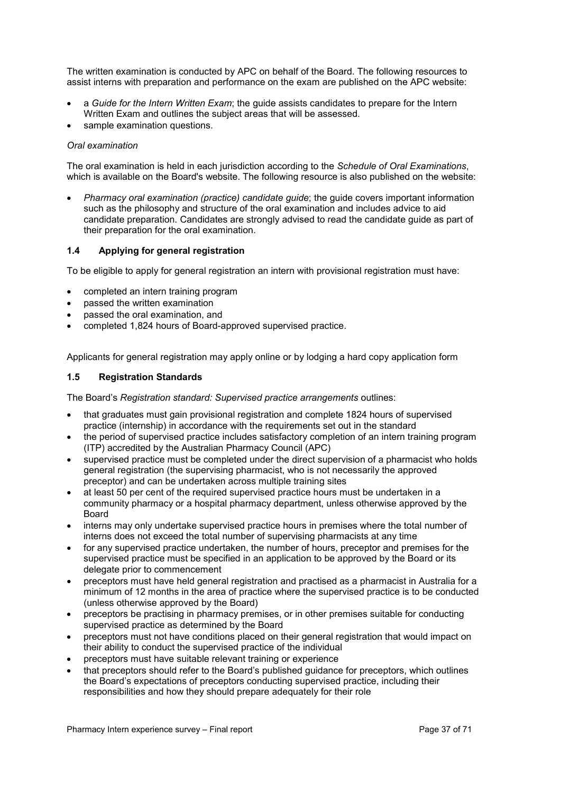The written examination is conducted by APC on behalf of the Board. The following resources to assist interns with preparation and performance on the exam are published on the APC website:

- a *Guide for the Intern Written Exam*; the guide assists candidates to prepare for the Intern Written Exam and outlines the subject areas that will be assessed.
- sample examination questions.

#### <span id="page-36-0"></span>*Oral examination*

The oral examination is held in each jurisdiction according to the *Schedule of Oral Examinations*, which is available on the Board's website. The following resource is also published on the website:

• *Pharmacy oral examination (practice) candidate guide*; the guide covers important information such as the philosophy and structure of the oral examination and includes advice to aid candidate preparation. Candidates are strongly advised to read the candidate guide as part of their preparation for the oral examination.

#### <span id="page-36-1"></span>**1.4 Applying for general registration**

To be eligible to apply for general registration an intern with provisional registration must have:

- completed an intern training program
- passed the written examination
- passed the oral examination, and
- completed 1,824 hours of Board-approved supervised practice.

Applicants for general registration may apply online or by lodging a hard copy application form

#### **1.5 Registration Standards**

The Board's *Registration standard: Supervised practice arrangements* outlines:

- that graduates must gain provisional registration and complete 1824 hours of supervised practice (internship) in accordance with the requirements set out in the standard
- the period of supervised practice includes satisfactory completion of an intern training program (ITP) accredited by the Australian Pharmacy Council (APC)
- supervised practice must be completed under the direct supervision of a pharmacist who holds general registration (the supervising pharmacist, who is not necessarily the approved preceptor) and can be undertaken across multiple training sites
- at least 50 per cent of the required supervised practice hours must be undertaken in a community pharmacy or a hospital pharmacy department, unless otherwise approved by the Board
- interns may only undertake supervised practice hours in premises where the total number of interns does not exceed the total number of supervising pharmacists at any time
- for any supervised practice undertaken, the number of hours, preceptor and premises for the supervised practice must be specified in an application to be approved by the Board or its delegate prior to commencement
- preceptors must have held general registration and practised as a pharmacist in Australia for a minimum of 12 months in the area of practice where the supervised practice is to be conducted (unless otherwise approved by the Board)
- preceptors be practising in pharmacy premises, or in other premises suitable for conducting supervised practice as determined by the Board
- preceptors must not have conditions placed on their general registration that would impact on their ability to conduct the supervised practice of the individual
- preceptors must have suitable relevant training or experience
- that preceptors should refer to the Board's published guidance for preceptors, which outlines the Board's expectations of preceptors conducting supervised practice, including their responsibilities and how they should prepare adequately for their role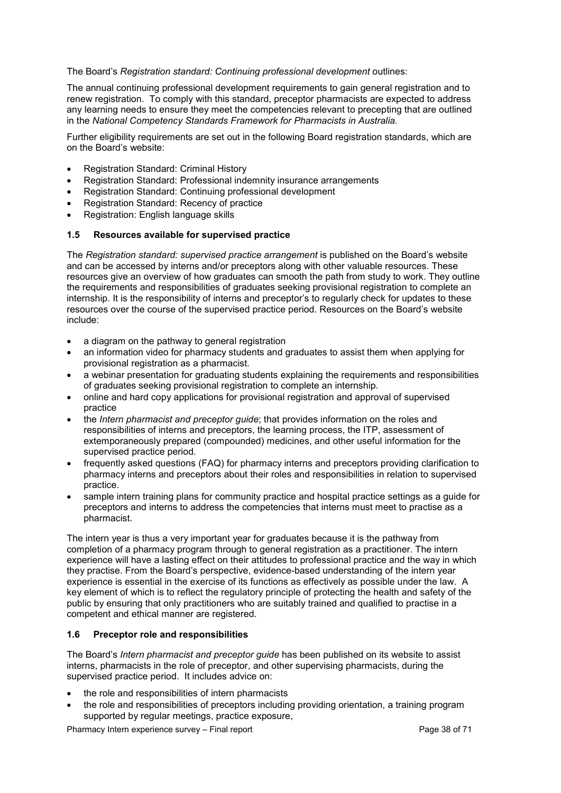### The Board's *Registration standard: Continuing professional development* outlines:

The annual continuing professional development requirements to gain general registration and to renew registration. To comply with this standard, preceptor pharmacists are expected to address any learning needs to ensure they meet the competencies relevant to precepting that are outlined in the *National Competency Standards Framework for Pharmacists in Australia.*

Further eligibility requirements are set out in the following Board registration standards, which are on the Board's website:

- Registration Standard: Criminal History
- Registration Standard: Professional indemnity insurance arrangements
- Registration Standard: Continuing professional development
- Registration Standard: Recency of practice
- Registration: English language skills

## <span id="page-37-0"></span>**1.5 Resources available for supervised practice**

The *Registration standard: supervised practice arrangement* is published on the Board's website and can be accessed by interns and/or preceptors along with other valuable resources. These resources give an overview of how graduates can smooth the path from study to work. They outline the requirements and responsibilities of graduates seeking provisional registration to complete an internship. It is the responsibility of interns and preceptor's to regularly check for updates to these resources over the course of the supervised practice period. Resources on the Board's website include:

- a diagram on the pathway to general registration
- an information video for pharmacy students and graduates to assist them when applying for provisional registration as a pharmacist.
- a webinar presentation for graduating students explaining the requirements and responsibilities of graduates seeking provisional registration to complete an internship.
- online and hard copy applications for provisional registration and approval of supervised practice
- the *Intern pharmacist and preceptor guide*; that provides information on the roles and responsibilities of interns and preceptors, the learning process, the ITP, assessment of extemporaneously prepared (compounded) medicines, and other useful information for the supervised practice period.
- frequently asked questions (FAQ) for pharmacy interns and preceptors providing clarification to pharmacy interns and preceptors about their roles and responsibilities in relation to supervised practice.
- sample intern training plans for community practice and hospital practice settings as a guide for preceptors and interns to address the competencies that interns must meet to practise as a pharmacist.

The intern year is thus a very important year for graduates because it is the pathway from completion of a pharmacy program through to general registration as a practitioner. The intern experience will have a lasting effect on their attitudes to professional practice and the way in which they practise. From the Board's perspective, evidence-based understanding of the intern year experience is essential in the exercise of its functions as effectively as possible under the law. A key element of which is to reflect the regulatory principle of protecting the health and safety of the public by ensuring that only practitioners who are suitably trained and qualified to practise in a competent and ethical manner are registered.

## <span id="page-37-1"></span>**1.6 Preceptor role and responsibilities**

The Board's *Intern pharmacist and preceptor guide* has been published on its website to assist interns, pharmacists in the role of preceptor, and other supervising pharmacists, during the supervised practice period. It includes advice on:

- the role and responsibilities of intern pharmacists
- the role and responsibilities of preceptors including providing orientation, a training program supported by regular meetings, practice exposure,

Pharmacy Intern experience survey – Final report Page 38 of 71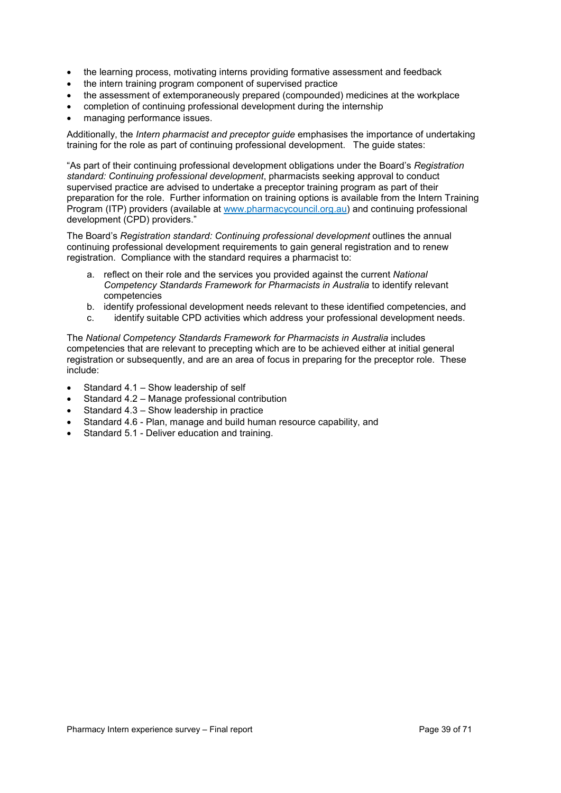- the learning process, motivating interns providing formative assessment and feedback
- the intern training program component of supervised practice
- the assessment of extemporaneously prepared (compounded) medicines at the workplace
- completion of continuing professional development during the internship
- managing performance issues.

Additionally, the *Intern pharmacist and preceptor guide* emphasises the importance of undertaking training for the role as part of continuing professional development. The guide states:

"As part of their continuing professional development obligations under the Board's *Registration standard: Continuing professional development*, pharmacists seeking approval to conduct supervised practice are advised to undertake a preceptor training program as part of their preparation for the role. Further information on training options is available from the Intern Training Program (ITP) providers (available at [www.pharmacycouncil.org.au\)](http://www.pharmacycouncil.org.au/) and continuing professional development (CPD) providers."

The Board's *Registration standard: Continuing professional development* outlines the annual continuing professional development requirements to gain general registration and to renew registration. Compliance with the standard requires a pharmacist to:

- a. reflect on their role and the services you provided against the current *National Competency Standards Framework for Pharmacists in Australia* to identify relevant competencies
- b. identify professional development needs relevant to these identified competencies, and
- c. identify suitable CPD activities which address your professional development needs.

The *National Competency Standards Framework for Pharmacists in Australia* includes competencies that are relevant to precepting which are to be achieved either at initial general registration or subsequently, and are an area of focus in preparing for the preceptor role. These include:

- Standard 4.1 Show leadership of self
- Standard 4.2 Manage professional contribution
- Standard 4.3 Show leadership in practice
- Standard 4.6 Plan, manage and build human resource capability, and
- Standard 5.1 Deliver education and training.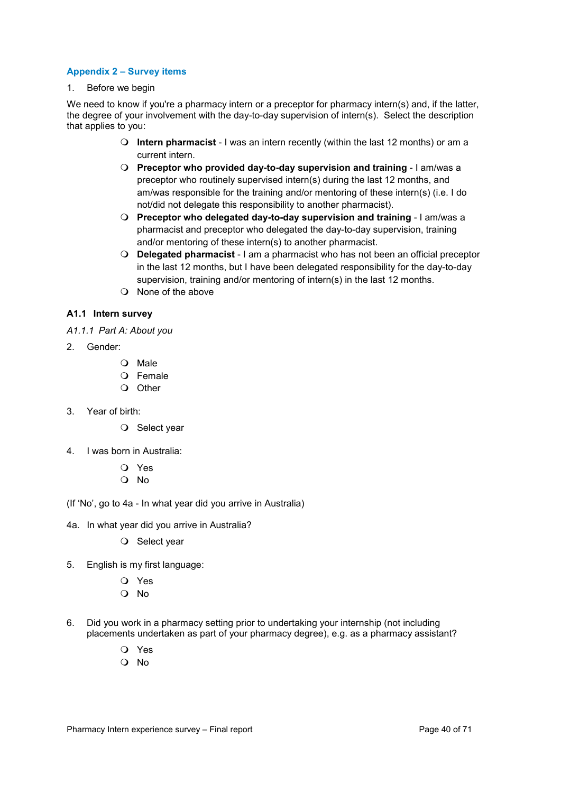### <span id="page-39-0"></span>**Appendix 2 – Survey items**

1. Before we begin

We need to know if you're a pharmacy intern or a preceptor for pharmacy intern(s) and, if the latter, the degree of your involvement with the day-to-day supervision of intern(s). Select the description that applies to you:

- **Intern pharmacist** I was an intern recently (within the last 12 months) or am a current intern.
- **Preceptor who provided day-to-day supervision and training** I am/was a preceptor who routinely supervised intern(s) during the last 12 months, and am/was responsible for the training and/or mentoring of these intern(s) (i.e. I do not/did not delegate this responsibility to another pharmacist).
- **Preceptor who delegated day-to-day supervision and training** I am/was a pharmacist and preceptor who delegated the day-to-day supervision, training and/or mentoring of these intern(s) to another pharmacist.
- **Delegated pharmacist** I am a pharmacist who has not been an official preceptor in the last 12 months, but I have been delegated responsibility for the day-to-day supervision, training and/or mentoring of intern(s) in the last 12 months.
- $\Omega$  None of the above

## <span id="page-39-1"></span>**A1.1 Intern survey**

- <span id="page-39-2"></span>*A1.1.1 Part A: About you*
- 2. Gender:
	- O Male
	- O Female
	- O Other
- 3. Year of birth:
	- O Select year
- 4. I was born in Australia:
	- Yes
	- No
- (If 'No', go to 4a In what year did you arrive in Australia)
- 4a. In what year did you arrive in Australia?
	- O Select year
- 5. English is my first language:
	- Yes
	- Q No
- 6. Did you work in a pharmacy setting prior to undertaking your internship (not including placements undertaken as part of your pharmacy degree), e.g. as a pharmacy assistant?
	- Yes
	- No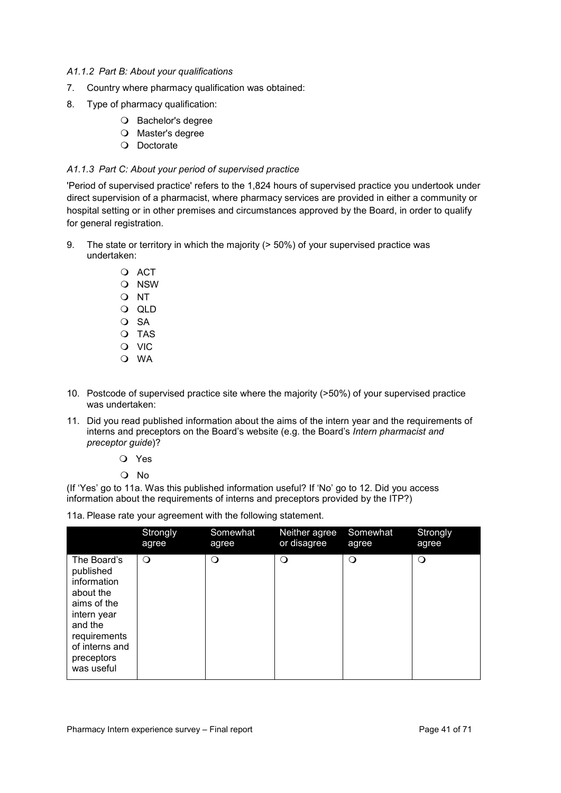### <span id="page-40-0"></span>*A1.1.2 Part B: About your qualifications*

- 7. Country where pharmacy qualification was obtained:
- 8. Type of pharmacy qualification:
	- O Bachelor's degree
	- O Master's degree
	- O Doctorate

#### <span id="page-40-1"></span>*A1.1.3 Part C: About your period of supervised practice*

'Period of supervised practice' refers to the 1,824 hours of supervised practice you undertook under direct supervision of a pharmacist, where pharmacy services are provided in either a community or hospital setting or in other premises and circumstances approved by the Board, in order to qualify for general registration.

- 9. The state or territory in which the majority (> 50%) of your supervised practice was undertaken:
	- O ACT O NSW O NT QLD O SA O TAS O VIC O WA
- 10. Postcode of supervised practice site where the majority (>50%) of your supervised practice was undertaken:
- 11. Did you read published information about the aims of the intern year and the requirements of interns and preceptors on the Board's website (e.g. the Board's *Intern pharmacist and preceptor guide*)?
	- Yes

No

(If 'Yes' go to 11a. Was this published information useful? If 'No' go to 12. Did you access information about the requirements of interns and preceptors provided by the ITP?)

11a. Please rate your agreement with the following statement.

|                                                                                                                                                             | Strongly | Somewhat | Neither agree | Somewhat | Strongly |
|-------------------------------------------------------------------------------------------------------------------------------------------------------------|----------|----------|---------------|----------|----------|
|                                                                                                                                                             | agree    | agree    | or disagree   | agree    | agree    |
| The Board's<br>published<br>information<br>about the<br>aims of the<br>intern year<br>and the<br>requirements<br>of interns and<br>preceptors<br>was useful | $\circ$  | O        | O             | $\Omega$ | $\circ$  |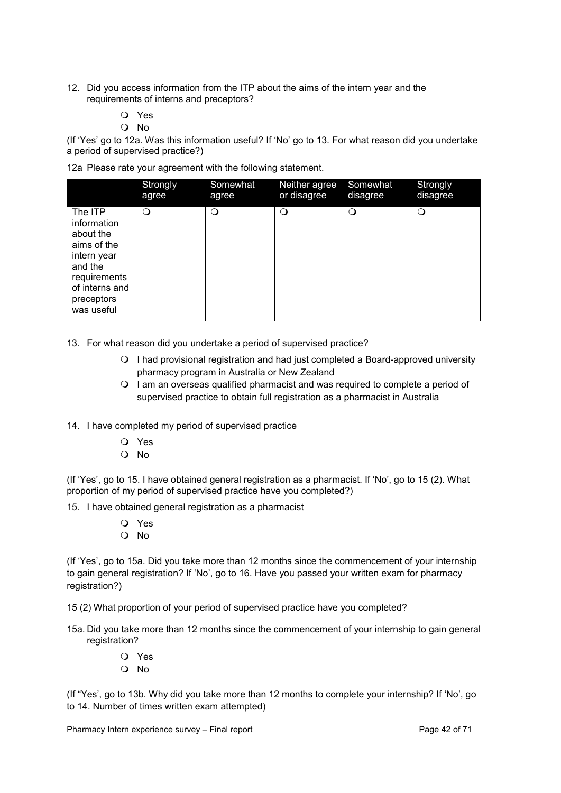- 12. Did you access information from the ITP about the aims of the intern year and the requirements of interns and preceptors?
	- Yes
	- No

(If 'Yes' go to 12a. Was this information useful? If 'No' go to 13. For what reason did you undertake a period of supervised practice?)

12a Please rate your agreement with the following statement.

|                                                                                                                                            | Strongly | Somewhat | Neither agree | Somewhat | Strongly |
|--------------------------------------------------------------------------------------------------------------------------------------------|----------|----------|---------------|----------|----------|
|                                                                                                                                            | agree    | agree    | or disagree   | disagree | disagree |
| The ITP<br>information<br>about the<br>aims of the<br>intern year<br>and the<br>requirements<br>of interns and<br>preceptors<br>was useful | $\Omega$ | $\Omega$ | Q             | $\Omega$ | $\circ$  |

13. For what reason did you undertake a period of supervised practice?

- I had provisional registration and had just completed a Board-approved university pharmacy program in Australia or New Zealand
- $\bigcirc$  I am an overseas qualified pharmacist and was required to complete a period of supervised practice to obtain full registration as a pharmacist in Australia
- 14. I have completed my period of supervised practice
	- Yes
	- No

(If 'Yes', go to 15. I have obtained general registration as a pharmacist. If 'No', go to 15 (2). What proportion of my period of supervised practice have you completed?)

15. I have obtained general registration as a pharmacist

- Yes
- No

(If 'Yes', go to 15a. Did you take more than 12 months since the commencement of your internship to gain general registration? If 'No', go to 16. Have you passed your written exam for pharmacy registration?)

15 (2) What proportion of your period of supervised practice have you completed?

- 15a. Did you take more than 12 months since the commencement of your internship to gain general registration?
	- Yes  $\Omega$  No.

(If "Yes', go to 13b. Why did you take more than 12 months to complete your internship? If 'No', go to 14. Number of times written exam attempted)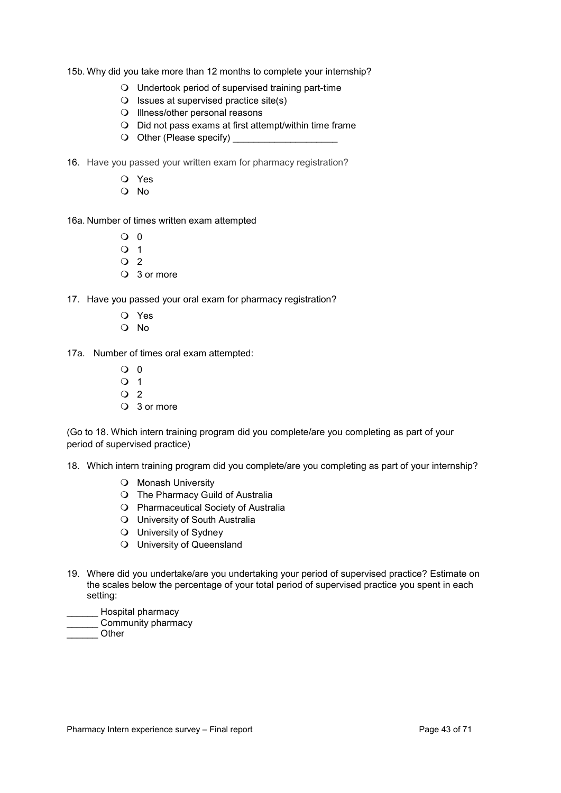15b. Why did you take more than 12 months to complete your internship?

- Undertook period of supervised training part-time
- $\bigcirc$  Issues at supervised practice site(s)
- O Illness/other personal reasons
- Did not pass exams at first attempt/within time frame
- Other (Please specify) \_\_\_\_\_\_\_\_\_\_\_\_\_\_\_\_\_\_\_\_
- 16. Have you passed your written exam for pharmacy registration?
	- Yes
	- $O$  No

16a. Number of times written exam attempted

- $\Omega$   $\Omega$
- $\Omega$  1
- $\overline{Q}$  2
- 3 or more

17. Have you passed your oral exam for pharmacy registration?

- Yes
- Q No
- 17a. Number of times oral exam attempted:
	- $Q<sub>0</sub>$
	- O 1
	- $\Omega$  2
	- 3 or more

(Go to 18. Which intern training program did you complete/are you completing as part of your period of supervised practice)

18. Which intern training program did you complete/are you completing as part of your internship?

- O Monash University
- O The Pharmacy Guild of Australia
- Pharmaceutical Society of Australia
- University of South Australia
- University of Sydney
- University of Queensland
- 19. Where did you undertake/are you undertaking your period of supervised practice? Estimate on the scales below the percentage of your total period of supervised practice you spent in each setting:
	- \_\_\_\_\_\_ Hospital pharmacy
- \_\_\_\_\_\_ Community pharmacy
- \_\_\_\_\_\_ Other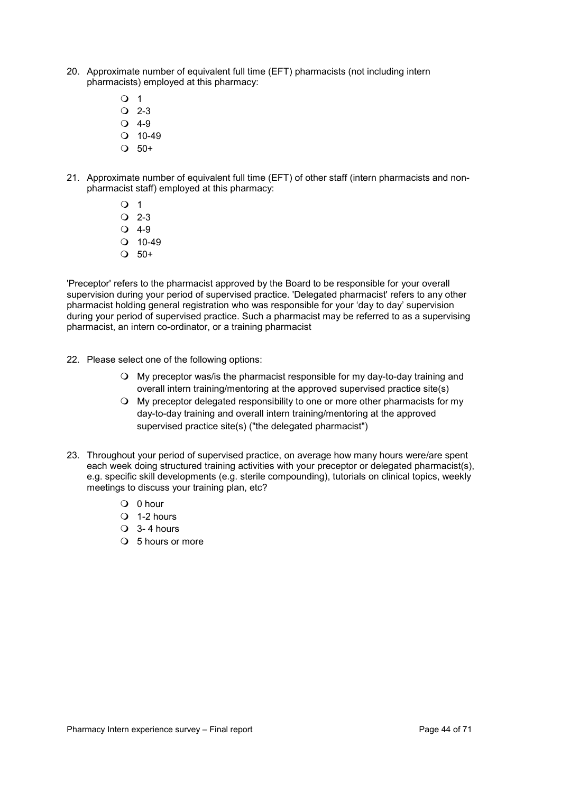- 20. Approximate number of equivalent full time (EFT) pharmacists (not including intern pharmacists) employed at this pharmacy:
	- $\overline{O}$  1
	- $\Omega$  2-3
	- $\bigcirc$  4-9
	- $O$  10-49
	- $\bigcirc$  50+
- 21. Approximate number of equivalent full time (EFT) of other staff (intern pharmacists and nonpharmacist staff) employed at this pharmacy:
	- $\Omega$  1
	- $\overline{O}$  2-3
	- $Q$  4-9
	- $Q$  10-49
	- $\Omega$  50+

'Preceptor' refers to the pharmacist approved by the Board to be responsible for your overall supervision during your period of supervised practice. 'Delegated pharmacist' refers to any other pharmacist holding general registration who was responsible for your 'day to day' supervision during your period of supervised practice. Such a pharmacist may be referred to as a supervising pharmacist, an intern co-ordinator, or a training pharmacist

- 22. Please select one of the following options:
	- My preceptor was/is the pharmacist responsible for my day-to-day training and overall intern training/mentoring at the approved supervised practice site(s)
	- My preceptor delegated responsibility to one or more other pharmacists for my day-to-day training and overall intern training/mentoring at the approved supervised practice site(s) ("the delegated pharmacist")
- <span id="page-43-0"></span>23. Throughout your period of supervised practice, on average how many hours were/are spent each week doing structured training activities with your preceptor or delegated pharmacist(s), e.g. specific skill developments (e.g. sterile compounding), tutorials on clinical topics, weekly meetings to discuss your training plan, etc?
	- 0 hour
	- $\Omega$  1-2 hours
	- $\bigcirc$  3-4 hours
	- 5 hours or more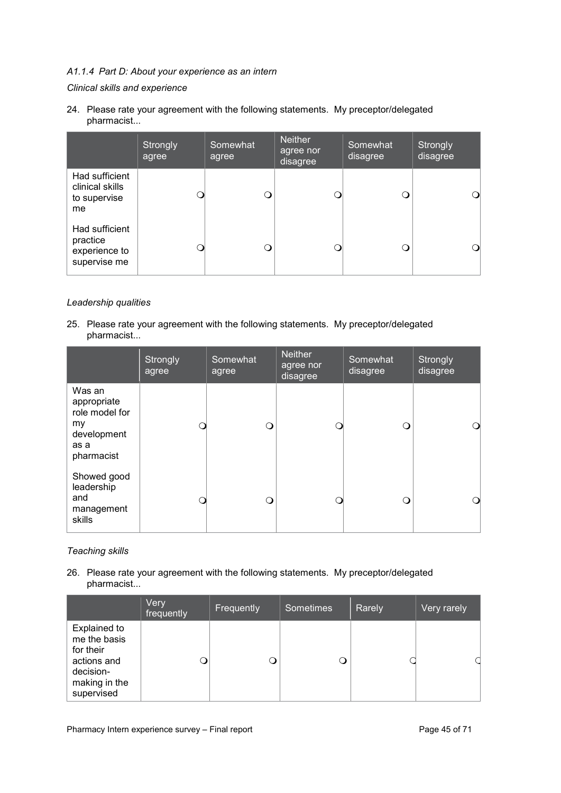## *A1.1.4 Part D: About your experience as an intern*

### *Clinical skills and experience*

24. Please rate your agreement with the following statements. My preceptor/delegated pharmacist...

|                                                             | Strongly<br>agree | Somewhat<br>agree | <b>Neither</b><br>agree nor<br>disagree | Somewhat<br>disagree | Strongly<br>disagree |
|-------------------------------------------------------------|-------------------|-------------------|-----------------------------------------|----------------------|----------------------|
| Had sufficient<br>clinical skills<br>to supervise<br>me     |                   | 0                 |                                         |                      |                      |
| Had sufficient<br>practice<br>experience to<br>supervise me |                   |                   |                                         | ா                    |                      |

## *Leadership qualities*

25. Please rate your agreement with the following statements. My preceptor/delegated pharmacist...

|                                                                                    | Strongly<br>agree | Somewhat<br>agree | <b>Neither</b><br>agree nor<br>disagree | Somewhat<br>disagree | Strongly<br>disagree |
|------------------------------------------------------------------------------------|-------------------|-------------------|-----------------------------------------|----------------------|----------------------|
| Was an<br>appropriate<br>role model for<br>my<br>development<br>as a<br>pharmacist |                   | Ω                 |                                         | ∩                    | ∩                    |
| Showed good<br>leadership<br>and<br>management<br>skills                           |                   | ∩                 |                                         | Q                    | Q                    |

## *Teaching skills*

26. Please rate your agreement with the following statements. My preceptor/delegated pharmacist...

|                                                                                                             | Very<br>frequently | Frequently | <b>Sometimes</b> | Rarely | Very rarely |
|-------------------------------------------------------------------------------------------------------------|--------------------|------------|------------------|--------|-------------|
| <b>Explained to</b><br>me the basis<br>for their<br>actions and<br>decision-<br>making in the<br>supervised |                    |            |                  |        |             |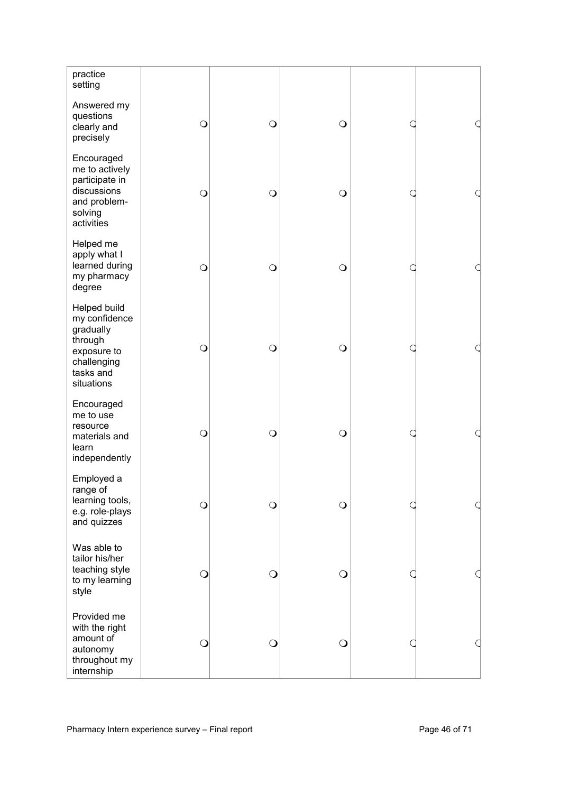| practice<br>setting                                                                                            |            |            |            |  |
|----------------------------------------------------------------------------------------------------------------|------------|------------|------------|--|
| Answered my<br>questions<br>clearly and<br>precisely                                                           | $\bigcirc$ | $\bigcirc$ | $\bigcirc$ |  |
| Encouraged<br>me to actively<br>participate in<br>discussions<br>and problem-<br>solving<br>activities         | $\bigcirc$ | $\bigcirc$ | $\bigcirc$ |  |
| Helped me<br>apply what I<br>learned during<br>my pharmacy<br>degree                                           | $\bigcirc$ | $\circ$    | $\circ$    |  |
| Helped build<br>my confidence<br>gradually<br>through<br>exposure to<br>challenging<br>tasks and<br>situations | $\bigcirc$ | $\circ$    | $\bigcirc$ |  |
| Encouraged<br>me to use<br>resource<br>materials and<br>learn<br>independently                                 | $\bigcirc$ | $\circ$    | $\bigcirc$ |  |
| Employed a<br>range of<br>learning tools,<br>e.g. role-plays<br>and quizzes                                    | $\bigcirc$ | $\circ$    | $\circ$    |  |
| Was able to<br>tailor his/her<br>teaching style<br>to my learning<br>style                                     | $\bigcirc$ | $\bigcirc$ | $\bigcirc$ |  |
| Provided me<br>with the right<br>amount of<br>autonomy<br>throughout my<br>internship                          | $\bigcirc$ | $\bigcirc$ | $\bigcirc$ |  |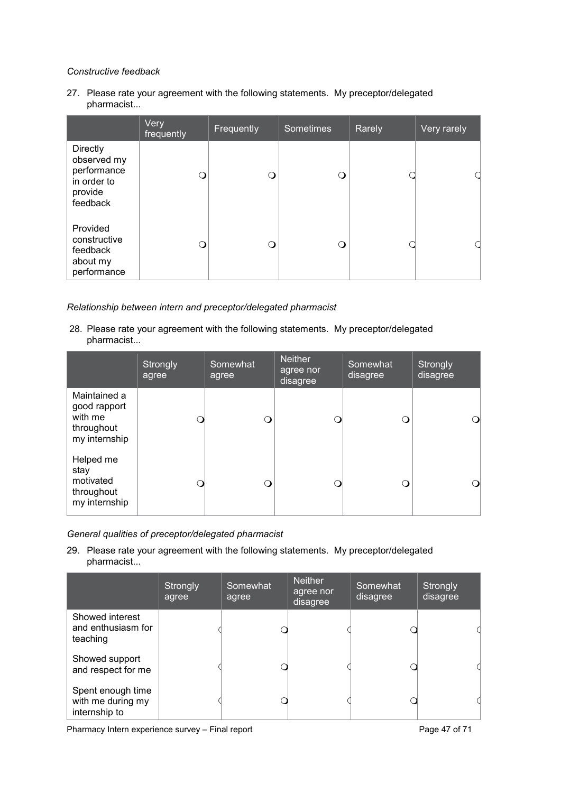## *Constructive feedback*

27. Please rate your agreement with the following statements. My preceptor/delegated pharmacist...

|                                                                                     | Very<br>frequently | Frequently | <b>Sometimes</b> | Rarely | Very rarely |
|-------------------------------------------------------------------------------------|--------------------|------------|------------------|--------|-------------|
| <b>Directly</b><br>observed my<br>performance<br>in order to<br>provide<br>feedback | Q                  | ∩          | ( )              |        |             |
| Provided<br>constructive<br>feedback<br>about my<br>performance                     | Q                  | ∩          |                  |        |             |

## *Relationship between intern and preceptor/delegated pharmacist*

28. Please rate your agreement with the following statements. My preceptor/delegated pharmacist...

|                                                                        | Strongly<br>agree | Somewhat<br>agree | <b>Neither</b><br>agree nor<br>disagree | Somewhat<br>disagree | Strongly<br>disagree |
|------------------------------------------------------------------------|-------------------|-------------------|-----------------------------------------|----------------------|----------------------|
| Maintained a<br>good rapport<br>with me<br>throughout<br>my internship |                   | ∩                 |                                         | ∩                    |                      |
| Helped me<br>stay<br>motivated<br>throughout<br>my internship          |                   | ∩                 |                                         | ∩                    |                      |

*General qualities of preceptor/delegated pharmacist* 

29. Please rate your agreement with the following statements. My preceptor/delegated pharmacist...

|                                                         | Strongly<br>agree | Somewhat<br>agree | <b>Neither</b><br>agree nor<br>disagree | Somewhat<br>disagree | Strongly<br>disagree |
|---------------------------------------------------------|-------------------|-------------------|-----------------------------------------|----------------------|----------------------|
| Showed interest<br>and enthusiasm for<br>teaching       |                   |                   |                                         |                      |                      |
| Showed support<br>and respect for me                    |                   |                   |                                         |                      |                      |
| Spent enough time<br>with me during my<br>internship to |                   |                   |                                         |                      |                      |

Pharmacy Intern experience survey – Final report Pharmacy 1 Page 47 of 71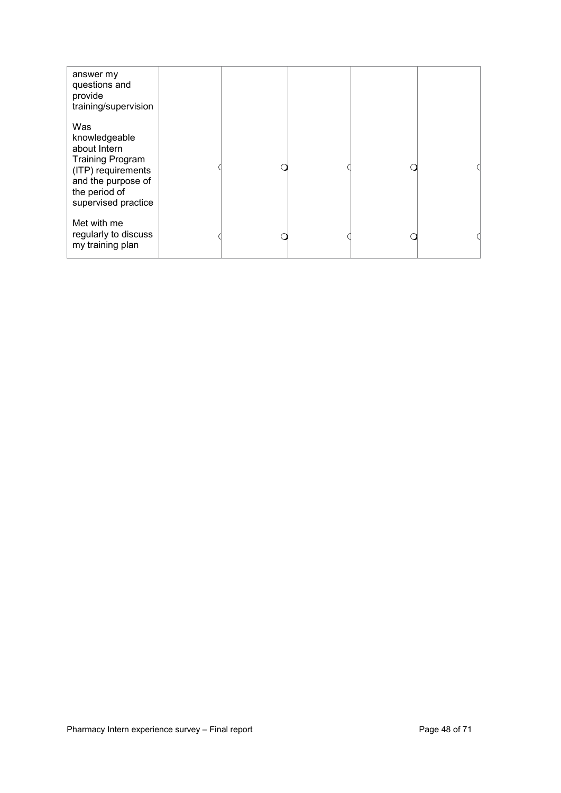| answer my<br>questions and<br>provide<br>training/supervision                                                                                       |  |  |  |
|-----------------------------------------------------------------------------------------------------------------------------------------------------|--|--|--|
| Was<br>knowledgeable<br>about Intern<br><b>Training Program</b><br>(ITP) requirements<br>and the purpose of<br>the period of<br>supervised practice |  |  |  |
| Met with me<br>regularly to discuss<br>my training plan                                                                                             |  |  |  |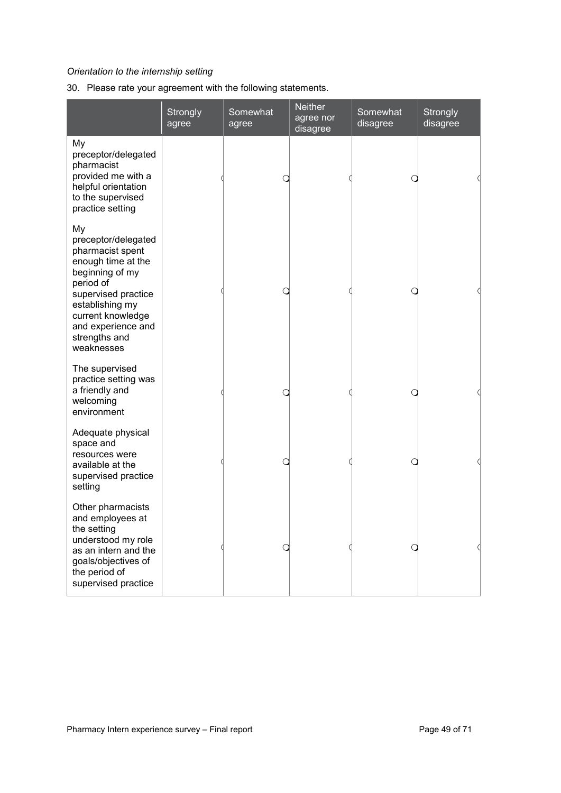## *Orientation to the internship setting*

30. Please rate your agreement with the following statements.

|                                                                                                                                                                                                                         | Strongly<br>agree | Somewhat<br>agree | <b>Neither</b><br>agree nor<br>disagree | Somewhat<br>disagree | <b>Strongly</b><br>disagree |
|-------------------------------------------------------------------------------------------------------------------------------------------------------------------------------------------------------------------------|-------------------|-------------------|-----------------------------------------|----------------------|-----------------------------|
| My<br>preceptor/delegated<br>pharmacist<br>provided me with a<br>helpful orientation<br>to the supervised<br>practice setting                                                                                           |                   |                   |                                         |                      |                             |
| My<br>preceptor/delegated<br>pharmacist spent<br>enough time at the<br>beginning of my<br>period of<br>supervised practice<br>establishing my<br>current knowledge<br>and experience and<br>strengths and<br>weaknesses |                   |                   |                                         |                      |                             |
| The supervised<br>practice setting was<br>a friendly and<br>welcoming<br>environment                                                                                                                                    |                   |                   |                                         |                      |                             |
| Adequate physical<br>space and<br>resources were<br>available at the<br>supervised practice<br>setting                                                                                                                  |                   |                   |                                         |                      |                             |
| Other pharmacists<br>and employees at<br>the setting<br>understood my role<br>as an intern and the<br>goals/objectives of<br>the period of<br>supervised practice                                                       |                   |                   |                                         |                      |                             |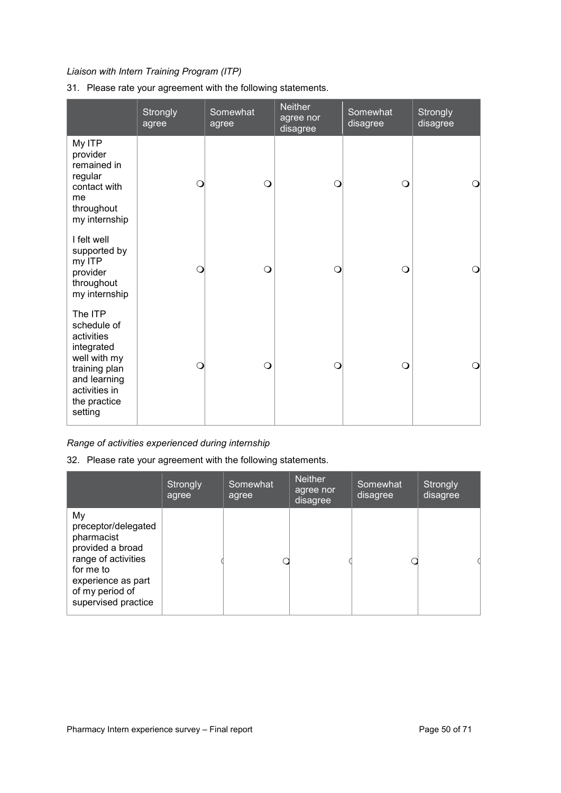## *Liaison with Intern Training Program (ITP)*

## 31. Please rate your agreement with the following statements.

|                                                                                                                                                 | Strongly<br>agree | Somewhat<br>agree | <b>Neither</b><br>agree nor<br>disagree | Somewhat<br>disagree | Strongly<br>disagree |
|-------------------------------------------------------------------------------------------------------------------------------------------------|-------------------|-------------------|-----------------------------------------|----------------------|----------------------|
| My ITP<br>provider<br>remained in<br>regular<br>contact with<br>me<br>throughout<br>my internship                                               | $\mathsf{O}$      | $\circ$           | O                                       | $\circ$              | $\circ$              |
| I felt well<br>supported by<br>my ITP<br>provider<br>throughout<br>my internship                                                                | O                 | $\circ$           | ∩                                       | $\Omega$             | $\Omega$             |
| The ITP<br>schedule of<br>activities<br>integrated<br>well with my<br>training plan<br>and learning<br>activities in<br>the practice<br>setting | $\Omega$          | $\circ$           | Ω                                       | $\Omega$             | $\Omega$             |

*Range of activities experienced during internship* 

32. Please rate your agreement with the following statements.

|                                                                                                                                                                 | Strongly<br>agree | Somewhat<br>agree | <b>Neither</b><br>agree nor<br>disagree | Somewhat<br>disagree | Strongly<br>disagree |
|-----------------------------------------------------------------------------------------------------------------------------------------------------------------|-------------------|-------------------|-----------------------------------------|----------------------|----------------------|
| My<br>preceptor/delegated<br>pharmacist<br>provided a broad<br>range of activities<br>for me to<br>experience as part<br>of my period of<br>supervised practice |                   |                   |                                         |                      |                      |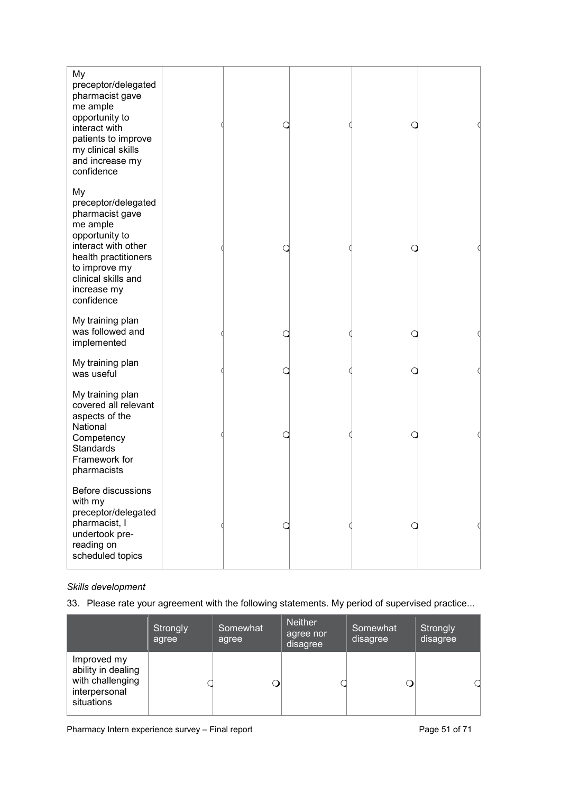| My<br>preceptor/delegated<br>pharmacist gave<br>me ample<br>opportunity to<br>interact with<br>patients to improve<br>my clinical skills<br>and increase my<br>confidence                      |  |  |  |
|------------------------------------------------------------------------------------------------------------------------------------------------------------------------------------------------|--|--|--|
| My<br>preceptor/delegated<br>pharmacist gave<br>me ample<br>opportunity to<br>interact with other<br>health practitioners<br>to improve my<br>clinical skills and<br>increase my<br>confidence |  |  |  |
| My training plan<br>was followed and<br>implemented                                                                                                                                            |  |  |  |
| My training plan<br>was useful                                                                                                                                                                 |  |  |  |
| My training plan<br>covered all relevant<br>aspects of the<br>National<br>Competency<br><b>Standards</b><br>Framework for<br>pharmacists                                                       |  |  |  |
| Before discussions<br>with my<br>preceptor/delegated<br>pharmacist, I<br>undertook pre-<br>reading on<br>scheduled topics                                                                      |  |  |  |

## *Skills development*

33. Please rate your agreement with the following statements. My period of supervised practice...

|                                                                                      | Strongly<br>agree | Somewhat<br>agree | <b>Neither</b><br>agree nor<br>disagree | Somewhat<br>disagree | Strongly<br>disagree |
|--------------------------------------------------------------------------------------|-------------------|-------------------|-----------------------------------------|----------------------|----------------------|
| Improved my<br>ability in dealing<br>with challenging<br>interpersonal<br>situations |                   |                   |                                         |                      |                      |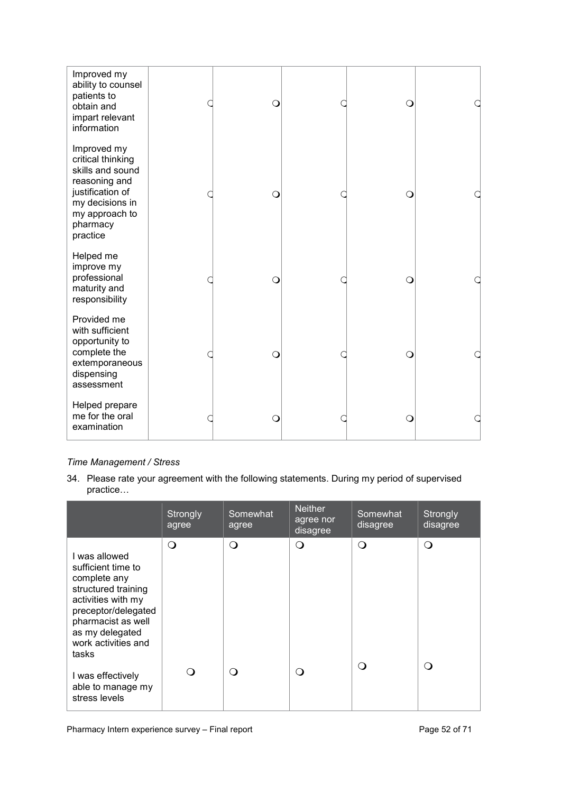| Improved my<br>ability to counsel<br>patients to<br>obtain and<br>impart relevant<br>information                                                       | $\Omega$ | Ω |  |
|--------------------------------------------------------------------------------------------------------------------------------------------------------|----------|---|--|
| Improved my<br>critical thinking<br>skills and sound<br>reasoning and<br>justification of<br>my decisions in<br>my approach to<br>pharmacy<br>practice | $\Omega$ |   |  |
| Helped me<br>improve my<br>professional<br>maturity and<br>responsibility                                                                              | ∩        |   |  |
| Provided me<br>with sufficient<br>opportunity to<br>complete the<br>extemporaneous<br>dispensing<br>assessment                                         | $\circ$  | Ω |  |
| Helped prepare<br>me for the oral<br>examination                                                                                                       | $\circ$  | Ω |  |

## *Time Management / Stress*

34. Please rate your agreement with the following statements. During my period of supervised practice…

|                                                                                                                                                                                                  | Strongly<br>agree | Somewhat<br>agree | <b>Neither</b><br>agree nor<br>disagree | Somewhat<br>disagree | Strongly<br>disagree |
|--------------------------------------------------------------------------------------------------------------------------------------------------------------------------------------------------|-------------------|-------------------|-----------------------------------------|----------------------|----------------------|
| I was allowed<br>sufficient time to<br>complete any<br>structured training<br>activities with my<br>preceptor/delegated<br>pharmacist as well<br>as my delegated<br>work activities and<br>tasks | $\Omega$          | $\Omega$          | $\Omega$                                | Q                    | Q                    |
| I was effectively<br>able to manage my<br>stress levels                                                                                                                                          | ∩)                | ∩                 | $\Omega$                                | ( )                  | $\left( \right)$     |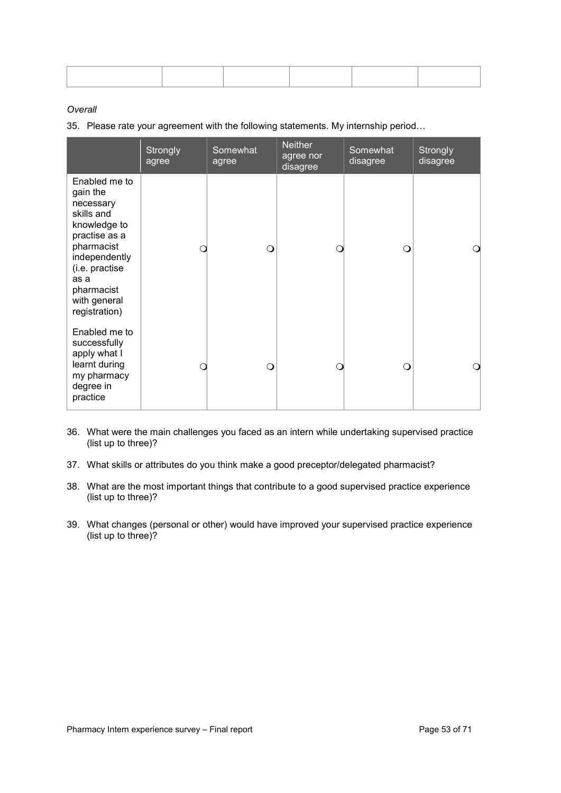## *Overall*

35. Please rate your agreement with the following statements. My internship period…

|                                                                                                                                                                                               | Strongly<br>agree | Somewhat<br>agree | <b>Neither</b><br>agree nor<br>disagree | Somewhat<br>disagree | Strongly<br>disagree |
|-----------------------------------------------------------------------------------------------------------------------------------------------------------------------------------------------|-------------------|-------------------|-----------------------------------------|----------------------|----------------------|
| Enabled me to<br>gain the<br>necessary<br>skills and<br>knowledge to<br>practise as a<br>pharmacist<br>independently<br>(i.e. practise<br>as a<br>pharmacist<br>with general<br>registration) |                   | Ω                 |                                         | ∩                    |                      |
| Enabled me to<br>successfully<br>apply what I<br>learnt during<br>my pharmacy<br>degree in<br>practice                                                                                        |                   | ∩                 |                                         | ∩                    |                      |

- 36. What were the main challenges you faced as an intern while undertaking supervised practice (list up to three)?
- 37. What skills or attributes do you think make a good preceptor/delegated pharmacist?
- 38. What are the most important things that contribute to a good supervised practice experience (list up to three)?
- 39. What changes (personal or other) would have improved your supervised practice experience (list up to three)?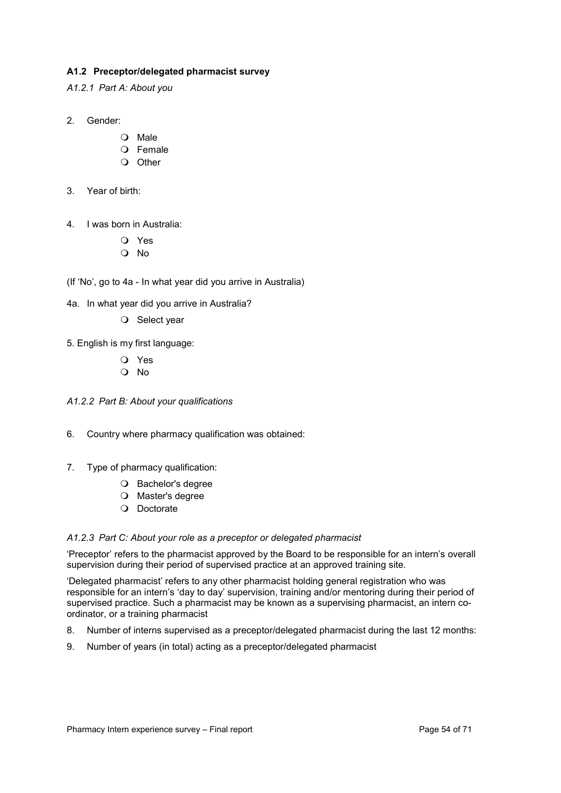## <span id="page-53-0"></span>**A1.2 Preceptor/delegated pharmacist survey**

<span id="page-53-1"></span>*A1.2.1 Part A: About you*

## 2. Gender:

- Male
- O Female
- $\Omega$  Other
- 3. Year of birth:
- 4. I was born in Australia:
	- Yes
	- No

(If 'No', go to 4a - In what year did you arrive in Australia)

- 4a. In what year did you arrive in Australia?
	- O Select year
- 5. English is my first language:
	- Yes
	- No
- <span id="page-53-2"></span>*A1.2.2 Part B: About your qualifications*
- 6. Country where pharmacy qualification was obtained:
- 7. Type of pharmacy qualification:
	- O Bachelor's degree
	- Master's degree
	- O Doctorate

## <span id="page-53-3"></span>*A1.2.3 Part C: About your role as a preceptor or delegated pharmacist*

'Preceptor' refers to the pharmacist approved by the Board to be responsible for an intern's overall supervision during their period of supervised practice at an approved training site.

'Delegated pharmacist' refers to any other pharmacist holding general registration who was responsible for an intern's 'day to day' supervision, training and/or mentoring during their period of supervised practice. Such a pharmacist may be known as a supervising pharmacist, an intern coordinator, or a training pharmacist

- 8. Number of interns supervised as a preceptor/delegated pharmacist during the last 12 months:
- 9. Number of years (in total) acting as a preceptor/delegated pharmacist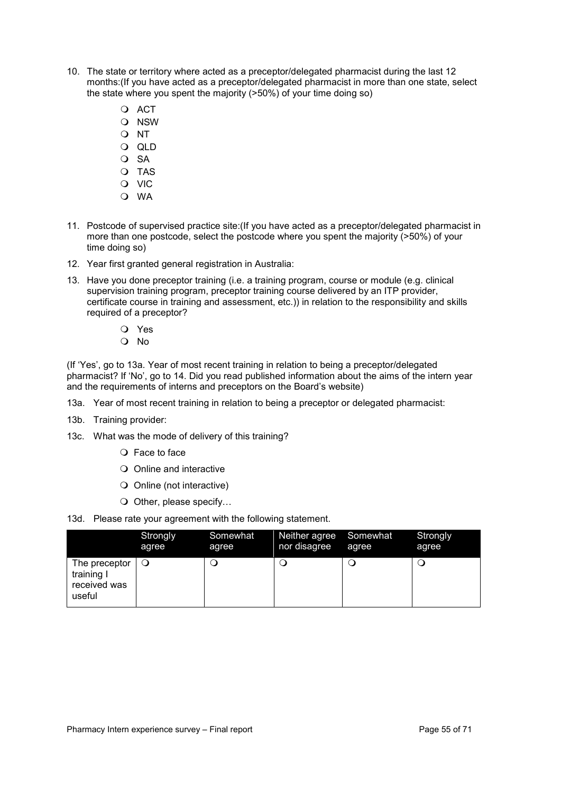- 10. The state or territory where acted as a preceptor/delegated pharmacist during the last 12 months:(If you have acted as a preceptor/delegated pharmacist in more than one state, select the state where you spent the majority (>50%) of your time doing so)
	- O ACT
	- O NSW
	- O NT
	- QLD
	- $O$  SA
	- O TAS
	- O VIC
	- WA
- 11. Postcode of supervised practice site:(If you have acted as a preceptor/delegated pharmacist in more than one postcode, select the postcode where you spent the majority (>50%) of your time doing so)
- 12. Year first granted general registration in Australia:
- 13. Have you done preceptor training (i.e. a training program, course or module (e.g. clinical supervision training program, preceptor training course delivered by an ITP provider, certificate course in training and assessment, etc.)) in relation to the responsibility and skills required of a preceptor?
	- Yes
	- No

(If 'Yes', go to 13a. Year of most recent training in relation to being a preceptor/delegated pharmacist? If 'No', go to 14. Did you read published information about the aims of the intern year and the requirements of interns and preceptors on the Board's website)

- 13a. Year of most recent training in relation to being a preceptor or delegated pharmacist:
- 13b. Training provider:
- 13c. What was the mode of delivery of this training?
	- Face to face
	- Online and interactive
	- Online (not interactive)
	- $\bigcirc$  Other, please specify...
- 13d. Please rate your agreement with the following statement.

|                                                           | Strongly | Somewhat | Neither agree | Somewhat | Strongly |
|-----------------------------------------------------------|----------|----------|---------------|----------|----------|
|                                                           | agree    | agree    | nor disagree  | agree    | agree    |
| The preceptor $ $<br>training I<br>received was<br>useful | ∣∪       | ب        |               |          |          |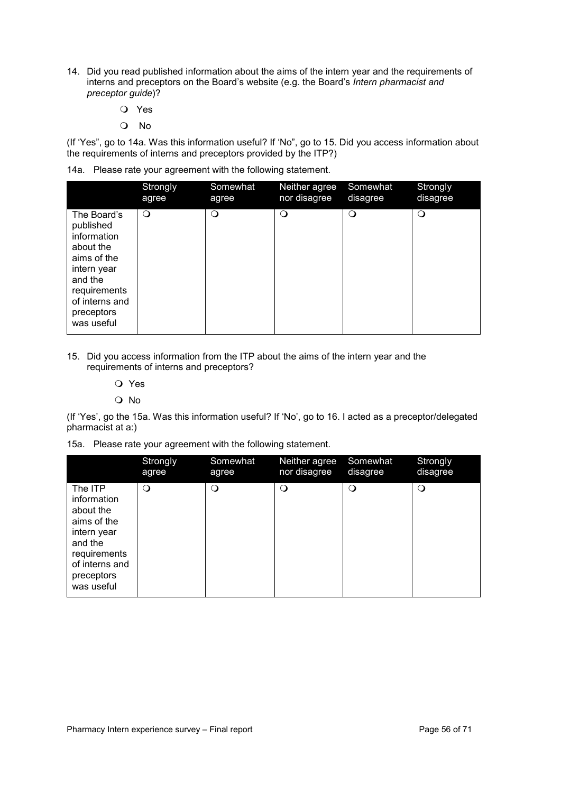- 14. Did you read published information about the aims of the intern year and the requirements of interns and preceptors on the Board's website (e.g. the Board's *Intern pharmacist and preceptor guide*)?
	- Yes
	- No

(If 'Yes", go to 14a. Was this information useful? If 'No", go to 15. Did you access information about the requirements of interns and preceptors provided by the ITP?)

|  |  |  | 14a. Please rate your agreement with the following statement. |
|--|--|--|---------------------------------------------------------------|
|--|--|--|---------------------------------------------------------------|

|                                                                                                                                                             | Strongly | Somewhat | Neither agree | Somewhat | Strongly |
|-------------------------------------------------------------------------------------------------------------------------------------------------------------|----------|----------|---------------|----------|----------|
|                                                                                                                                                             | agree    | agree    | nor disagree  | disagree | disagree |
| The Board's<br>published<br>information<br>about the<br>aims of the<br>intern year<br>and the<br>requirements<br>of interns and<br>preceptors<br>was useful | $\circ$  | $\Omega$ | $\circ$       | $\circ$  | Q        |

## 15. Did you access information from the ITP about the aims of the intern year and the requirements of interns and preceptors?

- Yes
- O No

(If 'Yes', go the 15a. Was this information useful? If 'No', go to 16. I acted as a preceptor/delegated pharmacist at a:)

15a. Please rate your agreement with the following statement.

|                                                                                                                                            | Strongly | Somewhat | Neither agree | Somewhat | Strongly |
|--------------------------------------------------------------------------------------------------------------------------------------------|----------|----------|---------------|----------|----------|
|                                                                                                                                            | agree    | agree    | nor disagree  | disagree | disagree |
| The ITP<br>information<br>about the<br>aims of the<br>intern year<br>and the<br>requirements<br>of interns and<br>preceptors<br>was useful | $\Omega$ | $\Omega$ | Q             | $\Omega$ | $\circ$  |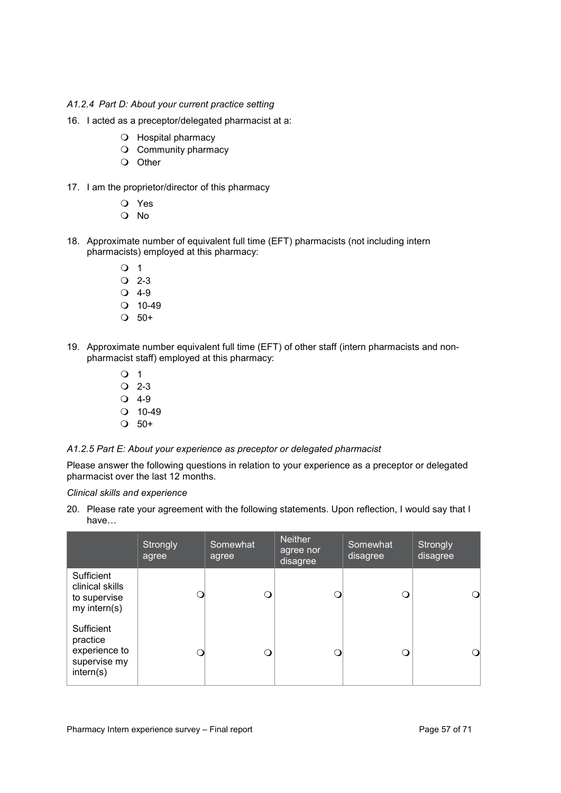### <span id="page-56-0"></span>*A1.2.4 Part D: About your current practice setting*

- 16. I acted as a preceptor/delegated pharmacist at a:
	- O Hospital pharmacy
	- O Community pharmacy
	- O Other
- 17. I am the proprietor/director of this pharmacy
	- Yes
	- No
- 18. Approximate number of equivalent full time (EFT) pharmacists (not including intern pharmacists) employed at this pharmacy:
	- $\overline{O}$  1
	- $Q$  2-3
	- $Q$  4-9
	- $Q$  10-49
	- $\Omega$  50+
- 19. Approximate number equivalent full time (EFT) of other staff (intern pharmacists and nonpharmacist staff) employed at this pharmacy:
	- $\overline{O}$  1  $Q$  2-3
	- $Q$  4-9
	- $Q$  10-49
	- $\bigcirc$  50+

#### <span id="page-56-1"></span>*A1.2.5 Part E: About your experience as preceptor or delegated pharmacist*

Please answer the following questions in relation to your experience as a preceptor or delegated pharmacist over the last 12 months.

#### *Clinical skills and experience*

20. Please rate your agreement with the following statements. Upon reflection, I would say that I have…

|                                                                      | Strongly<br>agree | Somewhat<br>agree | Neither<br>agree nor<br>disagree | Somewhat<br>disagree | Strongly<br>disagree |
|----------------------------------------------------------------------|-------------------|-------------------|----------------------------------|----------------------|----------------------|
| Sufficient<br>clinical skills<br>to supervise<br>$my$ intern(s)      |                   | Э                 |                                  |                      |                      |
| Sufficient<br>practice<br>experience to<br>supervise my<br>intern(s) |                   | Q                 |                                  |                      |                      |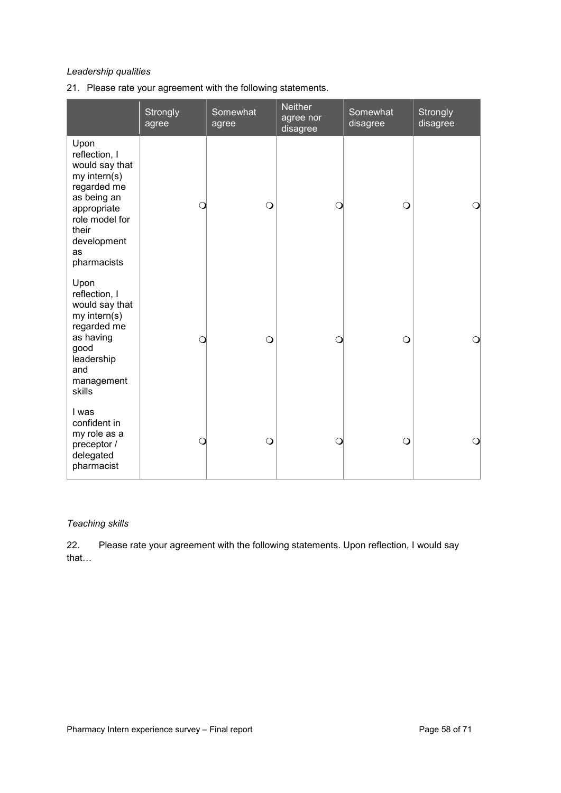## *Leadership qualities*

21. Please rate your agreement with the following statements.

|                                                                                                                                                                     | Strongly<br>agree | Somewhat<br>agree | <b>Neither</b><br>agree nor<br>disagree | Somewhat<br>disagree | Strongly<br>disagree |
|---------------------------------------------------------------------------------------------------------------------------------------------------------------------|-------------------|-------------------|-----------------------------------------|----------------------|----------------------|
| Upon<br>reflection, I<br>would say that<br>my intern(s)<br>regarded me<br>as being an<br>appropriate<br>role model for<br>their<br>development<br>as<br>pharmacists | С                 | $\circ$           | Q                                       | $\circ$              | $\circ$              |
| Upon<br>reflection, I<br>would say that<br>my intern(s)<br>regarded me<br>as having<br>good<br>leadership<br>and<br>management<br>skills                            | O                 | $\bigcirc$        | Q                                       | $\circ$              | $\bigcirc$           |
| I was<br>confident in<br>my role as a<br>preceptor /<br>delegated<br>pharmacist                                                                                     | O                 | $\bigcirc$        | Ω                                       | $\bigcirc$           | $\bigcirc$           |

## *Teaching skills*

22. Please rate your agreement with the following statements. Upon reflection, I would say that…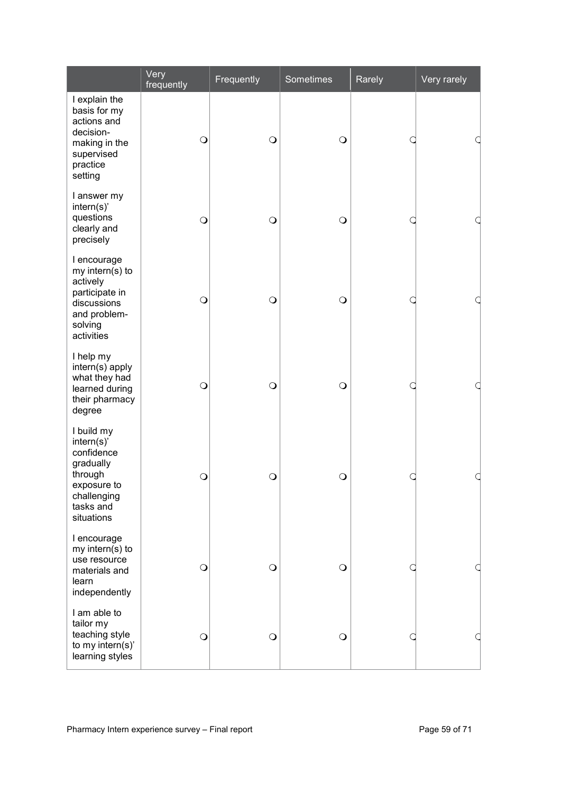|                                                                                                                        | Very<br>frequently | Frequently | <b>Sometimes</b> | Rarely | Very rarely |
|------------------------------------------------------------------------------------------------------------------------|--------------------|------------|------------------|--------|-------------|
| I explain the<br>basis for my<br>actions and<br>decision-<br>making in the<br>supervised<br>practice<br>setting        | $\circ$            | $\circ$    | $\bigcirc$       |        |             |
| I answer my<br>intern(s)<br>questions<br>clearly and<br>precisely                                                      | $\bigcirc$         | $\bigcirc$ | $\bigcirc$       |        |             |
| I encourage<br>my intern(s) to<br>actively<br>participate in<br>discussions<br>and problem-<br>solving<br>activities   | $\bigcirc$         | $\bigcirc$ | $\bigcirc$       |        |             |
| I help my<br>intern(s) apply<br>what they had<br>learned during<br>their pharmacy<br>degree                            | $\circ$            | $\bigcirc$ | $\bigcirc$       |        | a           |
| I build my<br>intern(s)<br>confidence<br>gradually<br>through<br>exposure to<br>challenging<br>tasks and<br>situations | $\circ$            | $\circ$    | $\bigcirc$       |        | a           |
| I encourage<br>my intern(s) to<br>use resource<br>materials and<br>learn<br>independently                              | $\bigcirc$         | $\bigcirc$ | $\bigcirc$       |        |             |
| I am able to<br>tailor my<br>teaching style<br>to my intern(s)'<br>learning styles                                     | $\circ$            | $\circ$    | $\bigcirc$       |        |             |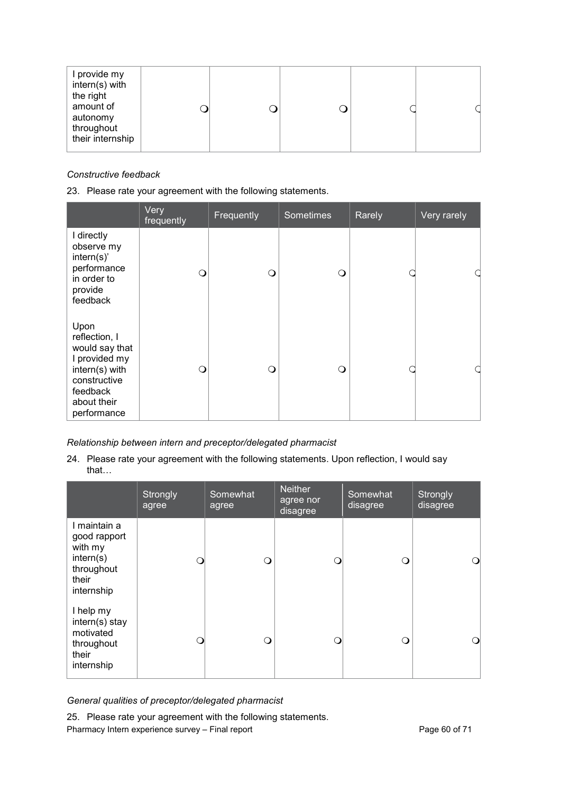| I provide my<br>intern(s) with<br>the right<br>amount of<br>autonomy<br>throughout<br>their internship |
|--------------------------------------------------------------------------------------------------------|
|--------------------------------------------------------------------------------------------------------|

## *Constructive feedback*

## 23. Please rate your agreement with the following statements.

|                                                                                                                                      | Very<br>frequently | Frequently | <b>Sometimes</b> | Rarely | Very rarely |
|--------------------------------------------------------------------------------------------------------------------------------------|--------------------|------------|------------------|--------|-------------|
| I directly<br>observe my<br>intern(s)<br>performance<br>in order to<br>provide<br>feedback                                           | $\Omega$           | ∩          | ∩                |        |             |
| Upon<br>reflection, I<br>would say that<br>I provided my<br>intern(s) with<br>constructive<br>feedback<br>about their<br>performance | $\Omega$           | ∩          | ∩                |        |             |

## *Relationship between intern and preceptor/delegated pharmacist*

24. Please rate your agreement with the following statements. Upon reflection, I would say that…

|                                                                                           | Strongly<br>agree | Somewhat<br>agree | <b>Neither</b><br>agree nor<br>disagree | Somewhat<br>disagree | Strongly<br>disagree |
|-------------------------------------------------------------------------------------------|-------------------|-------------------|-----------------------------------------|----------------------|----------------------|
| I maintain a<br>good rapport<br>with my<br>intern(s)<br>throughout<br>their<br>internship |                   | O                 |                                         |                      |                      |
| I help my<br>intern(s) stay<br>motivated<br>throughout<br>their<br>internship             | - 1               | O                 | ∩                                       |                      |                      |

## *General qualities of preceptor/delegated pharmacist*

Pharmacy Intern experience survey – Final report Pharmacy 10 Page 60 of 71 25. Please rate your agreement with the following statements.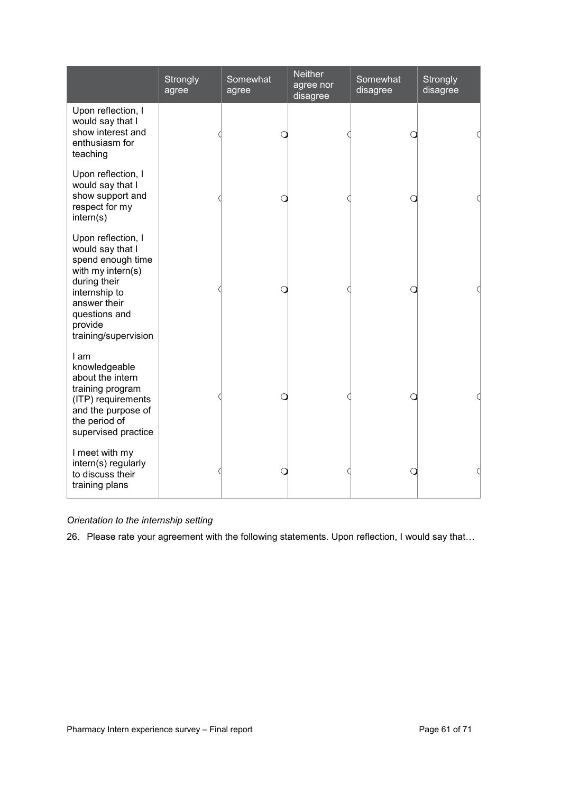|                                                                                                                                                                                       | Strongly<br>agree | Somewhat<br>agree | <b>Neither</b><br>agree nor<br>disagree | Somewhat<br>disagree | <b>Strongly</b><br>disagree |
|---------------------------------------------------------------------------------------------------------------------------------------------------------------------------------------|-------------------|-------------------|-----------------------------------------|----------------------|-----------------------------|
| Upon reflection, I<br>would say that I<br>show interest and<br>enthusiasm for<br>teaching                                                                                             |                   |                   |                                         |                      |                             |
| Upon reflection, I<br>would say that I<br>show support and<br>respect for my<br>intern(s)                                                                                             |                   |                   |                                         |                      |                             |
| Upon reflection, I<br>would say that I<br>spend enough time<br>with my intern(s)<br>during their<br>internship to<br>answer their<br>questions and<br>provide<br>training/supervision |                   |                   |                                         |                      |                             |
| I am<br>knowledgeable<br>about the intern<br>training program<br>(ITP) requirements<br>and the purpose of<br>the period of<br>supervised practice                                     |                   |                   |                                         |                      |                             |
| I meet with my<br>intern(s) regularly<br>to discuss their<br>training plans                                                                                                           |                   |                   |                                         |                      |                             |

## *Orientation to the internship setting*

26. Please rate your agreement with the following statements. Upon reflection, I would say that…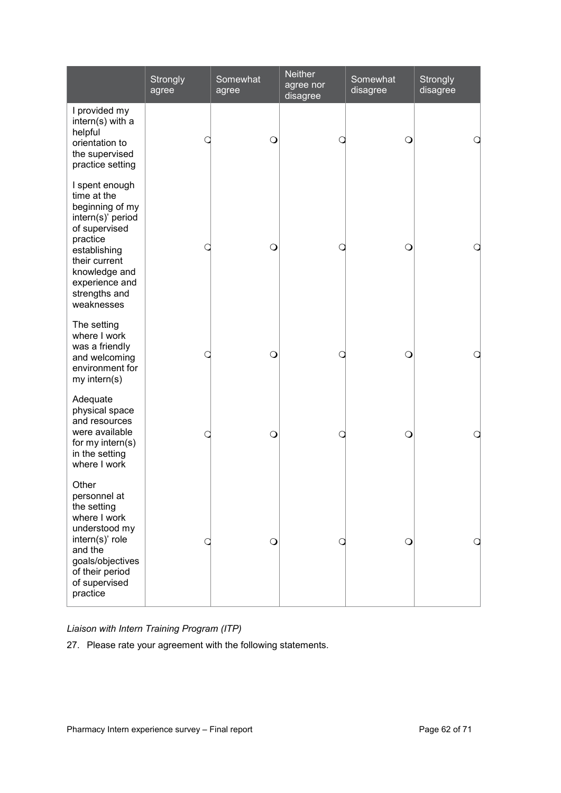|                                                                                                                                                                                                       | Strongly<br>agree | Somewhat<br>agree | <b>Neither</b><br>agree nor<br>disagree | Somewhat<br>disagree | Strongly<br>disagree |
|-------------------------------------------------------------------------------------------------------------------------------------------------------------------------------------------------------|-------------------|-------------------|-----------------------------------------|----------------------|----------------------|
| I provided my<br>intern(s) with a<br>helpful<br>orientation to<br>the supervised<br>practice setting                                                                                                  |                   | $\circ$           | 0                                       | $\circ$              | a                    |
| I spent enough<br>time at the<br>beginning of my<br>intern(s)' period<br>of supervised<br>practice<br>establishing<br>their current<br>knowledge and<br>experience and<br>strengths and<br>weaknesses |                   | $\circ$           |                                         | $\bigcirc$           | Q                    |
| The setting<br>where I work<br>was a friendly<br>and welcoming<br>environment for<br>my intern(s)                                                                                                     |                   | $\circ$           |                                         | $\bigcirc$           | a                    |
| Adequate<br>physical space<br>and resources<br>were available<br>for my intern(s)<br>in the setting<br>where I work                                                                                   |                   | $\circ$           | C                                       | $\circ$              | a                    |
| Other<br>personnel at<br>the setting<br>where I work<br>understood my<br>intern(s)' role<br>and the<br>goals/objectives<br>of their period<br>of supervised<br>practice                               |                   | $\circ$           |                                         | O                    | Q                    |

*Liaison with Intern Training Program (ITP)* 

27. Please rate your agreement with the following statements.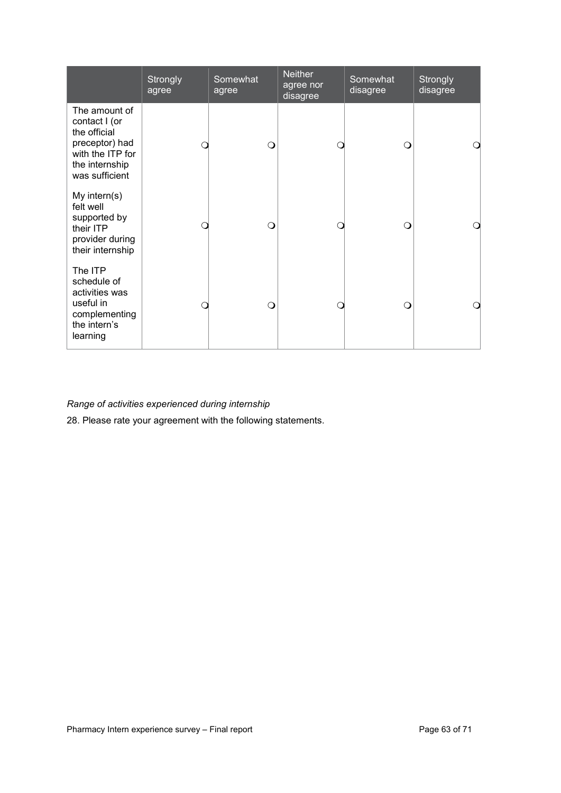|                                                                                                                          | Strongly<br>agree | Somewhat<br>agree | <b>Neither</b><br>agree nor<br>disagree | Somewhat<br>disagree | Strongly<br>disagree |
|--------------------------------------------------------------------------------------------------------------------------|-------------------|-------------------|-----------------------------------------|----------------------|----------------------|
| The amount of<br>contact I (or<br>the official<br>preceptor) had<br>with the ITP for<br>the internship<br>was sufficient |                   | ∩                 |                                         | ∩                    |                      |
| My intern $(s)$<br>felt well<br>supported by<br>their ITP<br>provider during<br>their internship                         |                   | ∩                 |                                         | ∩                    |                      |
| The ITP<br>schedule of<br>activities was<br>useful in<br>complementing<br>the intern's<br>learning                       |                   | ∩                 |                                         | ∩                    | ∩                    |

## *Range of activities experienced during internship*

28. Please rate your agreement with the following statements.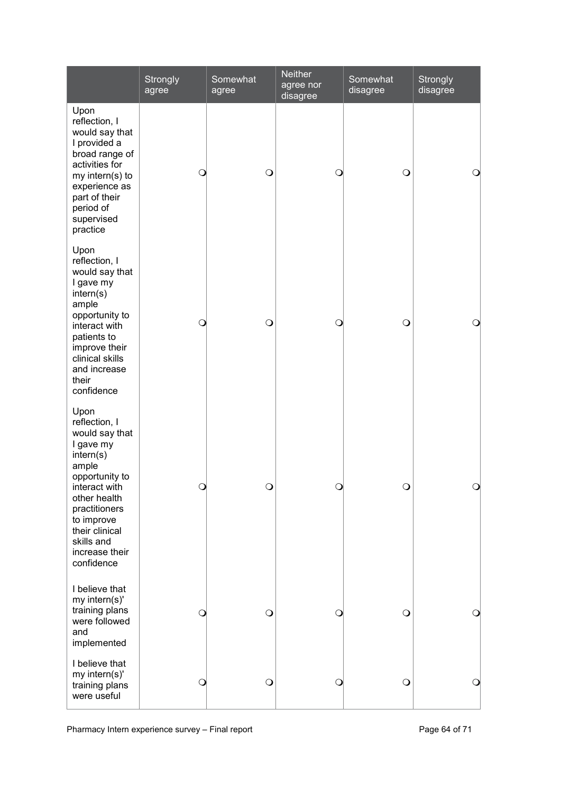|                                                                                                                                                                                                                              | Strongly<br>agree | Somewhat<br>agree | <b>Neither</b><br>agree nor<br>disagree | Somewhat<br>disagree | Strongly<br>disagree |
|------------------------------------------------------------------------------------------------------------------------------------------------------------------------------------------------------------------------------|-------------------|-------------------|-----------------------------------------|----------------------|----------------------|
| Upon<br>reflection, I<br>would say that<br>I provided a<br>broad range of<br>activities for<br>my intern(s) to<br>experience as<br>part of their<br>period of<br>supervised<br>practice                                      | $\bigcirc$        | $\bigcirc$        | Q                                       | $\bigcirc$           | $\bigcirc$           |
| Upon<br>reflection, I<br>would say that<br>I gave my<br>intern(s)<br>ample<br>opportunity to<br>interact with<br>patients to<br>improve their<br>clinical skills<br>and increase<br>their<br>confidence                      | $\bigcirc$        | $\bigcirc$        | Q                                       | $\circ$              | $\circ$              |
| Upon<br>reflection, I<br>would say that<br>I gave my<br>intern(s)<br>ample<br>opportunity to<br>interact with<br>other health<br>practitioners<br>to improve<br>their clinical<br>skills and<br>increase their<br>confidence | ∩                 | $\Omega$          | ∩                                       | ∩                    | ∩                    |
| I believe that<br>my intern(s)'<br>training plans<br>were followed<br>and<br>implemented                                                                                                                                     | O                 | $\circ$           | Q                                       | $\bigcirc$           | $\circ$              |
| I believe that<br>my intern(s)'<br>training plans<br>were useful                                                                                                                                                             |                   | $\circ$           |                                         | $\circ$              | O                    |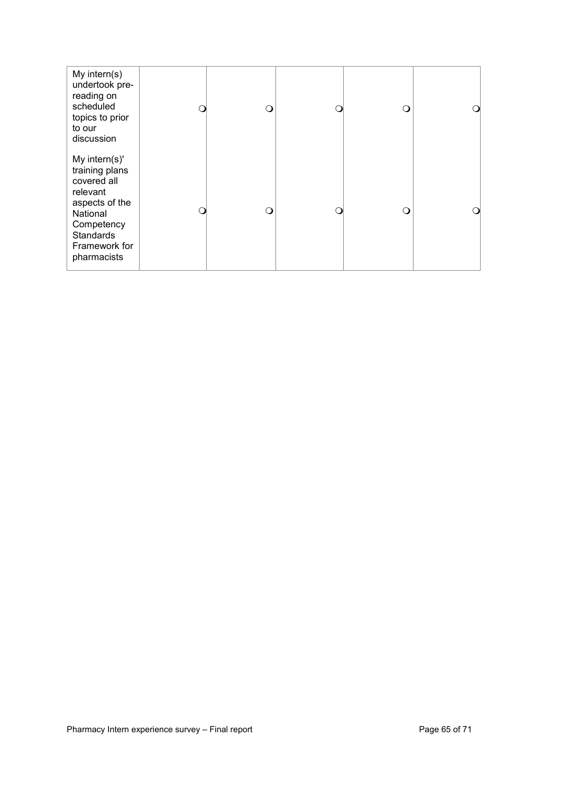| My intern(s)<br>undertook pre-<br>reading on<br>scheduled<br>topics to prior<br>to our<br>discussion                                                       | ( ) | O        | ∩ |   |
|------------------------------------------------------------------------------------------------------------------------------------------------------------|-----|----------|---|---|
| My intern(s)'<br>training plans<br>covered all<br>relevant<br>aspects of the<br>National<br>Competency<br><b>Standards</b><br>Framework for<br>pharmacists | 0   | $\Omega$ | ∩ | ∩ |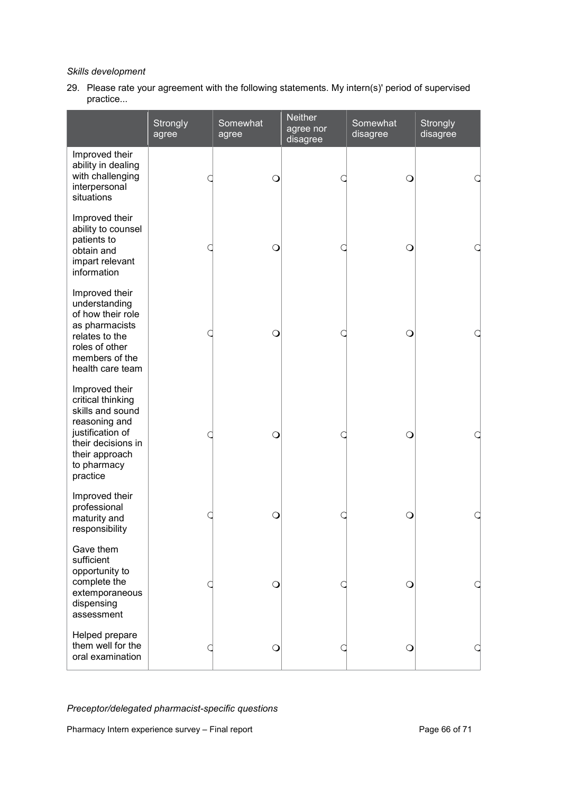## *Skills development*

29. Please rate your agreement with the following statements. My intern(s)' period of supervised practice...

|                                                                                                                                                                 | Strongly<br>agree | Somewhat<br>agree | <b>Neither</b><br>agree nor<br>disagree | Somewhat<br>disagree | Strongly<br>disagree |
|-----------------------------------------------------------------------------------------------------------------------------------------------------------------|-------------------|-------------------|-----------------------------------------|----------------------|----------------------|
| Improved their<br>ability in dealing<br>with challenging<br>interpersonal<br>situations                                                                         |                   | $\circ$           |                                         | $\circ$              |                      |
| Improved their<br>ability to counsel<br>patients to<br>obtain and<br>impart relevant<br>information                                                             |                   | $\circ$           |                                         | $\circ$              |                      |
| Improved their<br>understanding<br>of how their role<br>as pharmacists<br>relates to the<br>roles of other<br>members of the<br>health care team                |                   | O                 |                                         | Q                    |                      |
| Improved their<br>critical thinking<br>skills and sound<br>reasoning and<br>justification of<br>their decisions in<br>their approach<br>to pharmacy<br>practice |                   | $\circ$           |                                         | Q                    |                      |
| Improved their<br>professional<br>maturity and<br>responsibility                                                                                                |                   | Q                 |                                         | Q                    |                      |
| Gave them<br>sufficient<br>opportunity to<br>complete the<br>extemporaneous<br>dispensing<br>assessment                                                         |                   | O                 |                                         | Ω                    |                      |
| Helped prepare<br>them well for the<br>oral examination                                                                                                         |                   | $\circ$           |                                         | Q                    |                      |

*Preceptor/delegated pharmacist-specific questions*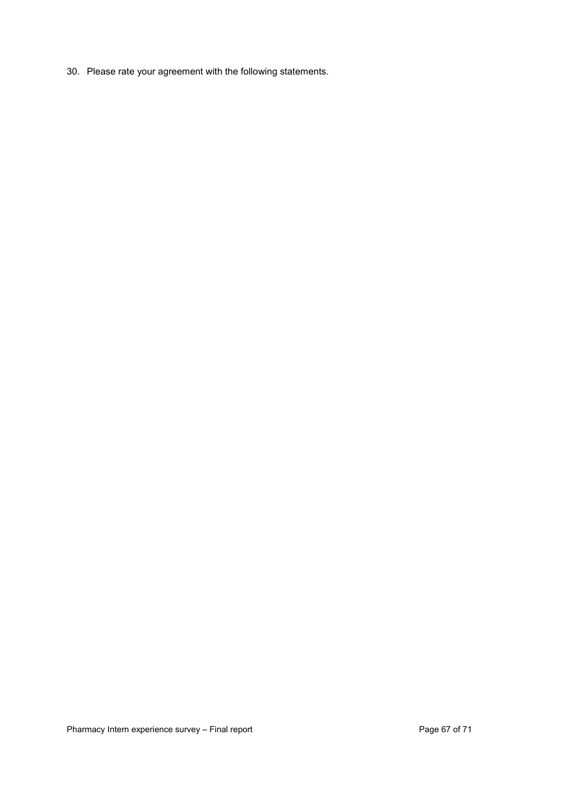30. Please rate your agreement with the following statements.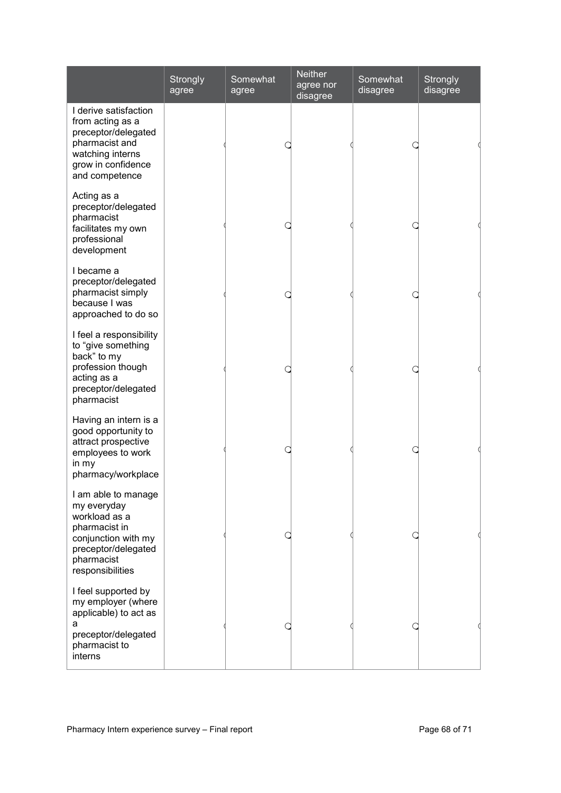|                                                                                                                                                      | Strongly<br>agree | Somewhat<br>agree | <b>Neither</b><br>agree nor<br>disagree | Somewhat<br>disagree | Strongly<br>disagree |
|------------------------------------------------------------------------------------------------------------------------------------------------------|-------------------|-------------------|-----------------------------------------|----------------------|----------------------|
| I derive satisfaction<br>from acting as a<br>preceptor/delegated<br>pharmacist and<br>watching interns<br>grow in confidence<br>and competence       |                   |                   |                                         |                      |                      |
| Acting as a<br>preceptor/delegated<br>pharmacist<br>facilitates my own<br>professional<br>development                                                |                   |                   |                                         |                      |                      |
| I became a<br>preceptor/delegated<br>pharmacist simply<br>because I was<br>approached to do so                                                       |                   |                   |                                         |                      |                      |
| I feel a responsibility<br>to "give something<br>back" to my<br>profession though<br>acting as a<br>preceptor/delegated<br>pharmacist                |                   |                   |                                         |                      |                      |
| Having an intern is a<br>good opportunity to<br>attract prospective<br>employees to work<br>in my<br>pharmacy/workplace                              |                   |                   |                                         |                      |                      |
| I am able to manage<br>my everyday<br>workload as a<br>pharmacist in<br>conjunction with my<br>preceptor/delegated<br>pharmacist<br>responsibilities |                   |                   |                                         |                      |                      |
| I feel supported by<br>my employer (where<br>applicable) to act as<br>а<br>preceptor/delegated<br>pharmacist to<br>interns                           |                   |                   |                                         |                      |                      |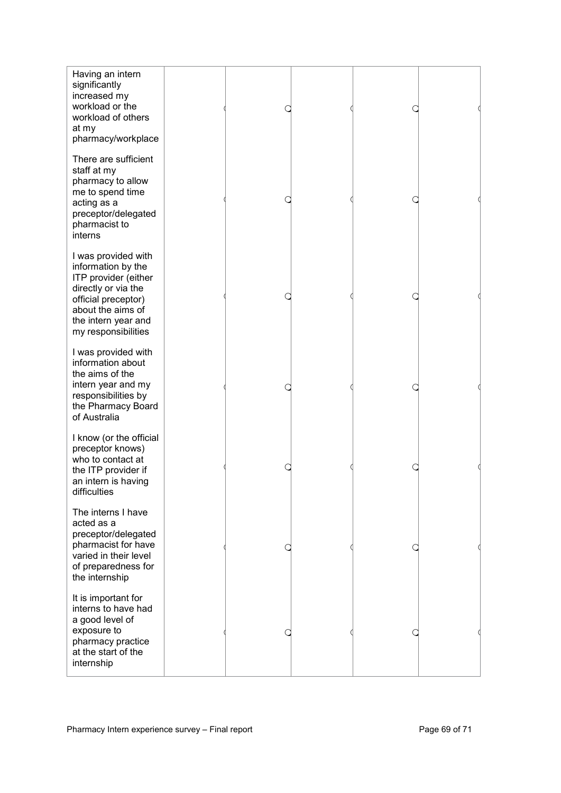| Having an intern<br>significantly<br>increased my<br>workload or the<br>workload of others<br>at my<br>pharmacy/workplace                                                          |  |  |  |
|------------------------------------------------------------------------------------------------------------------------------------------------------------------------------------|--|--|--|
| There are sufficient<br>staff at my<br>pharmacy to allow<br>me to spend time<br>acting as a<br>preceptor/delegated<br>pharmacist to<br>interns                                     |  |  |  |
| I was provided with<br>information by the<br>ITP provider (either<br>directly or via the<br>official preceptor)<br>about the aims of<br>the intern year and<br>my responsibilities |  |  |  |
| I was provided with<br>information about<br>the aims of the<br>intern year and my<br>responsibilities by<br>the Pharmacy Board<br>of Australia                                     |  |  |  |
| I know (or the official<br>preceptor knows)<br>who to contact at<br>the ITP provider if<br>an intern is having<br>difficulties                                                     |  |  |  |
| The interns I have<br>acted as a<br>preceptor/delegated<br>pharmacist for have<br>varied in their level<br>of preparedness for<br>the internship                                   |  |  |  |
| It is important for<br>interns to have had<br>a good level of<br>exposure to<br>pharmacy practice<br>at the start of the<br>internship                                             |  |  |  |